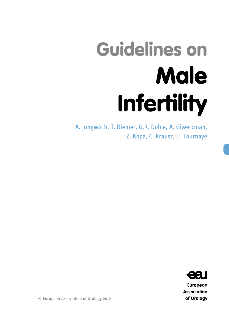# Guidelines on Male Infertility

A. Jungwirth, T. Diemer, G.R. Dohle, A. Giwercman, Z. Kopa, C. Krausz, H. Tournaye



**European Association** of Urology

© European Association of Urology 2012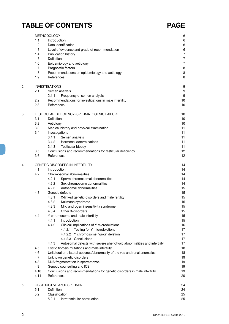## **TABLE OF CONTENTS PAGE**

| 1. |                                         | <b>METHODOLOGY</b>                                                                      | 6              |
|----|-----------------------------------------|-----------------------------------------------------------------------------------------|----------------|
|    | 1.1                                     | Introduction                                                                            | 6              |
|    | 1.2                                     | Data identification                                                                     | 6              |
|    | 1.3                                     | Level of evidence and grade of recommendation                                           | 6              |
|    | 1.4                                     | Publication history                                                                     | $\overline{7}$ |
|    | 1.5                                     | Definition                                                                              | $\overline{7}$ |
|    | 1.6                                     | Epidemiology and aetiology                                                              | $\overline{7}$ |
|    | 1.7                                     | Prognostic factors                                                                      | 8              |
|    | 1.8                                     | Recommendations on epidemiology and aetiology                                           | 8              |
|    | 1.9                                     | References                                                                              | 8              |
| 2. |                                         | <b>INVESTIGATIONS</b>                                                                   | 9              |
|    | 2.1                                     | Semen analysis                                                                          | 9              |
|    |                                         | Frequency of semen analysis<br>2.1.1                                                    | 9              |
|    | $2.2^{\circ}$                           | Recommendations for investigations in male infertility                                  | 10             |
|    | 2.3                                     | References                                                                              | 10             |
| 3. |                                         | TESTICULAR DEFICIENCY (SPERMATOGENIC FAILURE)                                           | 10             |
|    | 3.1                                     | Definition                                                                              | 10             |
|    | 3.2                                     | Aetiology                                                                               | 10             |
|    | 3.3                                     | Medical history and physical examination                                                | 11<br>11       |
|    | 3.4                                     | Investigations<br>3.4.1<br>Semen analysis                                               | 11             |
|    |                                         | Hormonal determinations<br>3.4.2                                                        | 11             |
|    |                                         | 3.4.3<br>Testicular biopsy                                                              | 11             |
|    | 3.5                                     | Conclusions and recommendations for testicular deficiency                               | 12             |
|    | 3.6                                     | References                                                                              | 12             |
| 4. | <b>GENETIC DISORDERS IN INFERTILITY</b> |                                                                                         | 14             |
|    | 4.1                                     | Introduction                                                                            | 14             |
|    | 4.2                                     | Chromosomal abnormalities                                                               | 14             |
|    |                                         | 4.2.1<br>Sperm chromosomal abnormalities                                                | 14             |
|    |                                         | 4.2.2<br>Sex chromosome abnormalities                                                   | 14             |
|    |                                         | 4.2.3<br>Autosomal abnormalities                                                        | 15             |
|    | 4.3                                     | Genetic defects                                                                         | 15             |
|    |                                         | 4.3.1<br>X-linked genetic disorders and male fertility                                  | 15             |
|    |                                         | 4.3.2<br>Kallmann syndrome                                                              | 15             |
|    |                                         | 4.3.3<br>Mild androgen insensitivity syndrome                                           | 15             |
|    |                                         | 4.3.4<br>Other X-disorders                                                              | 15             |
|    | 4.4                                     | Y chromosome and male infertility                                                       | 15             |
|    |                                         | 4.4.1<br>Introduction                                                                   | 15             |
|    |                                         | 4.4.2<br>Clinical implications of Y microdeletions                                      | 16             |
|    |                                         | 4.4.2.1 Testing for Y microdeletions                                                    | 17             |
|    |                                         | 4.4.2.2 Y chromosome: 'gr/gr' deletion                                                  | 17             |
|    |                                         | 4.4.2.3 Conclusions                                                                     | 17             |
|    |                                         | 4.4.3<br>Autosomal defects with severe phenotypic abnormalities and infertility         | 17             |
|    | 4.5                                     | Cystic fibrosis mutations and male infertility                                          | 18             |
|    | 4.6                                     | Unilateral or bilateral absence/abnormality of the vas and renal anomalies              | 18             |
|    | 4.7                                     | Unknown genetic disorders                                                               | 19             |
|    | 4.8                                     | DNA fragmentation in spermatozoa                                                        | 19             |
|    | 4.9                                     | Genetic counselling and ICSI                                                            | 19             |
|    | 4.10<br>4.11                            | Conclusions and recommendations for genetic disorders in male infertility<br>References | 19<br>20       |
| 5. |                                         | OBSTRUCTIVE AZOOSPERMIA                                                                 | 24             |
|    | 5.1                                     | Definition                                                                              | 24             |
|    | 5.2                                     | Classification                                                                          | 25             |
|    |                                         | 5.2.1<br>Intratesticular obstruction                                                    | 25             |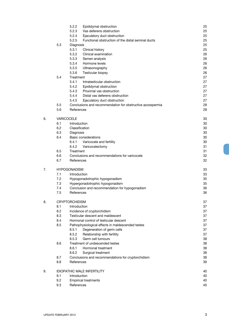|    |            | 5.2.2<br>Epididymal obstruction                             | 25 |
|----|------------|-------------------------------------------------------------|----|
|    |            | 5.2.3<br>Vas deferens obstruction                           | 25 |
|    |            | 5.2.4<br>Ejaculatory duct obstruction                       | 25 |
|    |            | 5.2.5<br>Functional obstruction of the distal seminal ducts | 25 |
|    | 5.3        | Diagnosis                                                   | 25 |
|    |            | 5.3.1<br>Clinical history                                   | 25 |
|    |            | 5.3.2<br>Clinical examination                               | 26 |
|    |            | 5.3.3<br>Semen analysis                                     | 26 |
|    |            | 5.3.4<br>Hormone levels                                     | 26 |
|    |            | 5.3.5<br>Ultrasonography                                    | 26 |
|    |            | 5.3.6<br>Testicular biopsy                                  | 26 |
|    | 5.4        | Treatment                                                   | 27 |
|    |            | 5.4.1<br>Intratesticular obstruction                        | 27 |
|    |            | 5.4.2<br>Epididymal obstruction                             | 27 |
|    |            | 5.4.3<br>Proximal vas obstruction                           | 27 |
|    |            | Distal vas deferens obstruction<br>5.4.4                    | 27 |
|    |            | 5.4.5<br>Ejaculatory duct obstruction                       | 27 |
|    | 5.5        | Conclusions and recommendation for obstructive azoospermia  | 28 |
|    | 5.6        | References                                                  | 28 |
|    |            |                                                             |    |
| 6. |            | <b>VARICOCELE</b>                                           | 30 |
|    | 6.1        | Introduction                                                | 30 |
|    | 6.2        | Classification                                              | 30 |
|    | 6.3        | Diagnosis                                                   | 30 |
|    | 6.4        | <b>Basic considerations</b>                                 | 30 |
|    |            | Varicocele and fertility<br>6.4.1                           | 30 |
|    |            | 6.4.2<br>Varicocelectomy                                    | 31 |
|    | 6.5        | Treatment                                                   | 31 |
|    | 6.6<br>6.7 | Conclusions and recommendations for varicocele              | 32 |
|    |            | References                                                  | 32 |
| 7. |            | <b>HYPOGONADISM</b>                                         | 33 |
|    | 7.1        | Introduction                                                | 33 |
|    | 7.2        | Hypogonadotrophic hypogonadism                              | 35 |
|    | 7.3        | Hypergonadotrophic hypogonadism                             | 35 |
|    | 7.4        | Conclusion and recommendation for hypogonadism              | 36 |
|    | 7.5        | References                                                  | 36 |
|    |            |                                                             |    |
| 8. |            | <b>CRYPTORCHIDISM</b>                                       | 37 |
|    | 8.1        | Introduction                                                | 37 |
|    | 8.2        | Incidence of cryptorchidism                                 | 37 |
|    | 8.3        | Testicular descent and maldescent                           | 37 |
|    | 8.4        | Hormonal control of testicular descent                      | 37 |
|    | 8.5        | Pathophysiological effects in maldescended testes           | 37 |
|    |            | 8.5.1<br>Degeneration of germ cells                         | 37 |
|    |            | 8.5.2<br>Relationship with fertility                        | 37 |
|    |            | 8.5.3<br>Germ cell tumours                                  | 38 |
|    | 8.6        | Treatment of undescended testes                             | 38 |
|    |            | 8.6.1<br>Hormonal treatment                                 | 38 |
|    |            | 8.6.2<br>Surgical treatment                                 | 38 |
|    | 8.7        | Conclusions and recommendations for cryptorchidism          | 38 |
|    | 8.8        | References                                                  | 39 |
| 9. |            | <b>IDIOPATHIC MALE INFERTILITY</b>                          | 40 |
|    | 9.1        | Introduction                                                | 40 |
|    | 9.2        | <b>Empirical treatments</b>                                 | 40 |
|    | 9.3        | References                                                  | 40 |
|    |            |                                                             |    |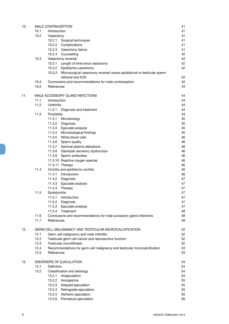| 10. |              | MALE CONTRACEPTION                                                                       | 41       |
|-----|--------------|------------------------------------------------------------------------------------------|----------|
|     | 10.1         | Introduction                                                                             | 41       |
|     | 10.2         | Vasectomy                                                                                | 41       |
|     |              | 10.2.1<br>Surgical techniques                                                            | 41       |
|     |              | 10.2.2 Complications                                                                     | 41       |
|     |              | 10.2.3 Vasectomy failure                                                                 | 41       |
|     |              | 10.2.4 Counselling                                                                       | 42       |
|     | 10.3         | Vasectomy reversal                                                                       | 42       |
|     |              | 10.3.1<br>Length of time since vasectomy                                                 | 42       |
|     |              | 10.3.2<br>Epididymo-vasostomy                                                            | 42       |
|     |              | 10.3.3<br>Microsurgical vasectomy reversal versus epididymal or testicular sperm         |          |
|     |              | retrieval and ICSI                                                                       | 42       |
|     | 10.4         | Conclusions and recommendations for male contraception                                   | 42<br>43 |
|     | 10.5         | References                                                                               |          |
| 11. |              | MALE ACCESSORY GLAND INFECTIONS                                                          | 44       |
|     | 11.1         | Introduction                                                                             | 44       |
|     | 11.2         | Urethritis                                                                               | 44       |
|     |              | 11.2.1 Diagnosis and treatment                                                           | 44       |
|     | 11.3         | Prostatitis                                                                              | 44       |
|     |              | 11.3.1<br>Microbiology                                                                   | 45       |
|     |              | 11.3.2<br>Diagnosis                                                                      | 45       |
|     |              | 11.3.3<br>Ejaculate analysis                                                             | 45       |
|     |              | 11.3.4<br>Microbiological findings                                                       | 45       |
|     |              | 11.3.5<br>White blood cells                                                              | 46       |
|     |              | 11.3.6 Sperm quality                                                                     | 46       |
|     |              | 11.3.7<br>Seminal plasma alterations                                                     | 46       |
|     |              | 11.3.8<br>Glandular secretory dysfunction                                                | 46       |
|     |              | 11.3.9<br>Sperm antibodies                                                               | 46       |
|     |              | 11.3.10 Reactive oxygen species                                                          | 46       |
|     |              | 11.3.11 Therapy                                                                          | 46       |
|     | 11.4         | Orchitis and epididymo-orchitis                                                          | 46       |
|     |              | 11.4.1<br>Introduction                                                                   | 46<br>47 |
|     |              | 11.4.2<br>Diagnosis<br>11.4.3<br>Ejaculate analysis                                      | 47       |
|     |              | 11.4.4<br>Therapy                                                                        | 47       |
|     | 11.5         | Epididymitis                                                                             | 47       |
|     |              | 11.5.1 Introduction                                                                      | 47       |
|     |              | 11.5.2<br>Diagnosis                                                                      | 47       |
|     |              | 11.5.3<br>Ejaculate analysis                                                             | 47       |
|     |              | 11.5.4<br>Treatment                                                                      | 48       |
|     | 11.6         | Conclusions and recommendations for male accessory gland infections                      | 48       |
|     | 11.7         | References                                                                               | 48       |
|     |              |                                                                                          |          |
| 12. |              | GERM CELL MALIGNANCY AND TESTICULAR MICROCALCIFICATION                                   | 52       |
|     | 12.1         | Germ cell malignancy and male infertility                                                | 52       |
|     | 12.2         | Testicular germ cell cancer and reproductive function<br>Testicular microlithiasis       | 52       |
|     | 12.3<br>12.4 |                                                                                          | 52<br>53 |
|     | 12.5         | Recommendations for germ cell malignancy and testicular microcalcification<br>References | 53       |
|     |              |                                                                                          |          |
| 13. |              | DISORDERS OF EJACULATION                                                                 | 54       |
|     | 13.1         | Definition                                                                               | 54       |
|     | 13.2         | Classification and aetiology                                                             | 54       |
|     |              | 13.2.1<br>Anejaculation                                                                  | 54       |
|     |              | 13.2.2<br>Anorgasmia                                                                     | 55       |
|     |              | 13.2.3<br>Delayed ejaculation                                                            | 55       |
|     |              | 13.2.4<br>Retrograde ejaculation                                                         | 55       |
|     |              | 13.2.5<br>Asthenic ejaculation                                                           | 55       |
|     |              | Premature ejaculation<br>13.2.6                                                          | 56       |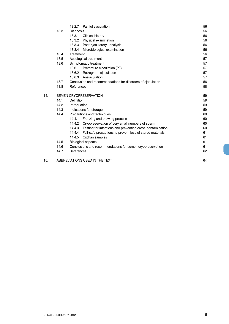|     |                        | 13.2.7 Painful ejaculation                                          | 56 |
|-----|------------------------|---------------------------------------------------------------------|----|
|     | 13.3                   | Diagnosis                                                           | 56 |
|     |                        | 13.3.1<br>Clinical history                                          | 56 |
|     |                        | 13.3.2<br>Physical examination                                      | 56 |
|     |                        | 13.3.3<br>Post-ejaculatory urinalysis                               | 56 |
|     |                        | 13.3.4<br>Microbiological examination                               | 56 |
|     | 13.4                   | Treatment                                                           | 56 |
|     | 13.5                   | Aetiological treatment                                              | 57 |
|     | 13.6                   | Symptomatic treatment                                               | 57 |
|     |                        | 13.6.1 Premature ejaculation (PE)                                   | 57 |
|     |                        | 13.6.2<br>Retrograde ejaculation                                    | 57 |
|     |                        | 13.6.3<br>Anejaculation                                             | 57 |
|     | 13.7                   | Conclusion and recommendations for disorders of ejaculation         | 58 |
|     | 13.8                   | References                                                          | 58 |
| 14. | SEMEN CRYOPRESERVATION |                                                                     | 59 |
|     | 14.1                   | Definition                                                          | 59 |
|     | 14.2                   | Introduction                                                        | 59 |
|     | 14.3                   | Indications for storage                                             | 59 |
|     | 14.4                   | Precautions and techniques                                          | 60 |
|     |                        | Freezing and thawing process<br>14.4.1                              | 60 |
|     |                        | 14.4.2 Cryopreservation of very small numbers of sperm              | 60 |
|     |                        | Testing for infections and preventing cross-contamination<br>14.4.3 | 60 |
|     |                        | 14.4.4<br>Fail-safe precautions to prevent loss of stored materials | 61 |
|     |                        | 14.4.5<br>Orphan samples                                            | 61 |
|     | 14.5                   | <b>Biological aspects</b>                                           | 61 |
|     | 14.6                   | Conclusions and recommendations for semen cryopreservation          | 61 |
|     | 14.7                   | References                                                          | 62 |
| 15. |                        | ABBREVIATIONS USED IN THE TEXT                                      | 64 |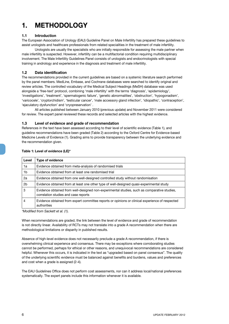## **1. METHODOLOGY**

#### **1.1 Introduction**

The European Association of Urology (EAU) Guideline Panel on Male Infertility has prepared these guidelines to assist urologists and healthcare professionals from related specialities in the treatment of male infertility.

Urologists are usually the specialists who are initially responsible for assessing the male partner when male infertility is suspected. However, infertility can be a multifactorial condition requiring multidisciplinary involvement. The Male Infertility Guidelines Panel consists of urologists and endocrinologists with special training in andrology and experience in the diagnosis and treatment of male infertility.

#### **1.2 Data identification**

The recommendations provided in the current guidelines are based on a systemic literature search performed by the panel members. MedLine, Embase, and Cochrane databases were searched to identify original and review articles. The controlled vocabulary of the Medical Subject Headings (MeSH) database was used alongside a 'free-text' protocol, combining 'male infertility' with the terms 'diagnosis', 'epidemiology', 'investigations', 'treatment', 'spermatogenic failure', 'genetic abnormalities', 'obstruction', 'hypogonadism', 'varicocele', 'cryptorchidism', 'testicular cancer', 'male accessory gland infection', 'idiopathic', 'contraception', 'ejaculatory dysfunction' and 'cryopreservation' .

All articles published between January 2010 (previous update) and November 2011 were considered for review. The expert panel reviewed these records and selected articles with the highest evidence.

#### **1.3 Level of evidence and grade of recommendation**

References in the text have been assessed according to their level of scientific evidence (Table 1), and guideline recommendations have been graded (Table 2) according to the Oxford Centre for Evidence-based Medicine Levels of Evidence (1). Grading aims to provide transparency between the underlying evidence and the recommendation given.

| Level          | <b>Type of evidence</b>                                                                                                             |
|----------------|-------------------------------------------------------------------------------------------------------------------------------------|
| 1a             | Evidence obtained from meta-analysis of randomised trials                                                                           |
| 1 <sub>b</sub> | Evidence obtained from at least one randomised trial                                                                                |
| 2a             | Evidence obtained from one well-designed controlled study without randomisation                                                     |
| 2b             | Evidence obtained from at least one other type of well-designed quasi-experimental study                                            |
| 3              | Evidence obtained from well-designed non-experimental studies, such as comparative studies,<br>correlation studies and case reports |
| 4              | Evidence obtained from expert committee reports or opinions or clinical experience of respected<br>authorities                      |

#### **Table 1: Level of evidence (LE)\***

*\*Modified from Sackett et al. (1).*

When recommendations are graded, the link between the level of evidence and grade of recommendation is not directly linear. Availability of RCTs may not translate into a grade A recommendation when there are methodological limitations or disparity in published results.

Absence of high-level evidence does not necessarily preclude a grade A recommendation, if there is overwhelming clinical experience and consensus. There may be exceptions where corroborating studies cannot be performed, perhaps for ethical or other reasons, and unequivocal recommendations are considered helpful. Whenever this occurs, it is indicated in the text as "upgraded based on panel consensus". The quality of the underlying scientific evidence must be balanced against benefits and burdens, values and preferences and cost when a grade is assigned (2-4).

The EAU Guidelines Office does not perform cost assessments, nor can it address local/national preferences systematically. The expert panels include this information whenever it is available.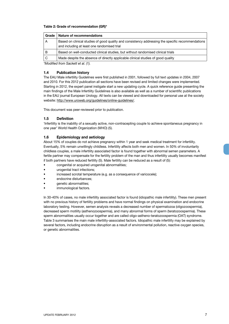#### **Table 2: Grade of recommendation (GR)\***

| Grade                                  | Nature of recommendations                                                                                                                        |
|----------------------------------------|--------------------------------------------------------------------------------------------------------------------------------------------------|
| Α                                      | Based on clinical studies of good quality and consistency addressing the specific recommendations<br>and including at least one randomised trial |
| в                                      | Based on well-conducted clinical studies, but without randomised clinical trials                                                                 |
| C                                      | Made despite the absence of directly applicable clinical studies of good quality                                                                 |
| $*$ Modified from Cookett of all $(1)$ |                                                                                                                                                  |

*\*Modified from Sackett et al. (1).*

#### **1.4 Publication history**

The EAU Male infertility Guidelines were first published in 2001, followed by full text updates in 2004, 2007 and 2010. For this 2012 publication all sections have been revised and limited changes were implemented. Starting in 2012, the expert panel instigate start a new updating cycle. A quick reference guide presenting the main findings of the Male Infertility Guidelines is also available as well as a number of scientific publications in the EAU journal European Urology. All texts can be viewed and downloaded for personal use at the society website: http://www.uroweb.org/guidelines/online-guidelines/.

This document was peer-reviewed prior to publication.

#### **1.5 Definition**

'Infertility is the inability of a sexually active, non-contracepting couple to achieve spontaneous pregnancy in one year' World Health Organization (WHO) (5).

#### **1.6 Epidemiology and aetiology**

About 15% of couples do not achieve pregnancy within 1 year and seek medical treatment for infertility. Eventually, 5% remain unwillingly childless. Infertility affects both men and women. In 50% of involuntarily childless couples, a male infertility associated factor is found together with abnormal semen parameters. A fertile partner may compensate for the fertility problem of the man and thus infertility usually becomes manifest if both partners have reduced fertility (5). Male fertility can be reduced as a result of (5):

- • congenital or acquired urogenital abnormalities;
- urogenital tract infections;
- increased scrotal temperature (e.g. as a consequence of varicocele);
- endocrine disturbances;
- genetic abnormalities;
- immunological factors.

In 30-40% of cases, no male infertility associated factor is found (idiopathic male infertility). These men present with no previous history of fertility problems and have normal findings on physical examination and endocrine laboratory testing. However, semen analysis reveals a decreased number of spermatozoa (oligozoospermia), decreased sperm motility (asthenozoospermia), and many abnormal forms of sperm (teratozoospermia). These sperm abnormalities usually occur together and are called oligo-astheno-teratozoospermia (OAT) syndrome. Table 3 summarises the main male infertility-associated factors. Idiopathic male infertility may be explained by several factors, including endocrine disruption as a result of environmental pollution, reactive oxygen species, or genetic abnormalities.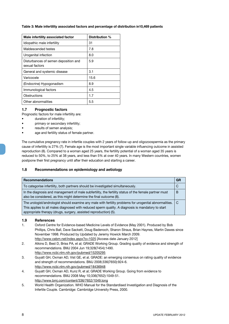#### **Table 3: Male infertility associated factors and percentage of distribution in10,469 patients**

| Male infertility associated factor                     | Distribution % |
|--------------------------------------------------------|----------------|
| Idiopathic male infertility                            | 31             |
| Maldescended testes                                    | 7.8            |
| Urogenital infection                                   | 8.0            |
| Disturbances of semen deposition and<br>sexual factors | 5.9            |
| General and systemic disease                           | 3.1            |
| Varicocele                                             | 15.6           |
| (Endocrine) Hypogonadism                               | 8.9            |
| Immunological factors                                  | 4.5            |
| Obstructions                                           | 1.7            |
| Other abnormalities                                    | 5.5            |

#### **1.7 Prognostic factors**

Prognostic factors for male infertility are:

- duration of infertility;
- primary or secondary infertility;
- results of semen analysis;
- age and fertility status of female partner.

The cumulative pregnancy rate in infertile couples with 2 years of follow-up and oligozoospermia as the primary cause of infertility is 27% (7). Female age is the most important single variable influencing outcome in assisted reproduction (8). Compared to a woman aged 25 years, the fertility potential of a woman aged 35 years is reduced to 50%, to 25% at 38 years, and less than 5% at over 40 years. In many Western countries, women postpone their first pregnancy until after their education and starting a career.

#### **1.8 Recommendations on epidemiology and aetiology**

| <b>Recommendations</b>                                                                                                                                                                                                                                                           | GR  |
|----------------------------------------------------------------------------------------------------------------------------------------------------------------------------------------------------------------------------------------------------------------------------------|-----|
| To categorise infertility, both partners should be investigated simultaneously.                                                                                                                                                                                                  | C   |
| In the diagnosis and management of male subfertility, the fertility status of the female partner must<br>also be considered, as this might determine the final outcome (8).                                                                                                      | B   |
| The urologist/andrologist should examine any male with fertility problems for urogenital abnormalities.<br>This applies to all males diagnosed with reduced sperm quality. A diagnosis is mandatory to start<br>appropriate therapy (drugs, surgery, assisted reproduction) (5). | - C |

#### **1.9 References**

- 1. Oxford Centre for Evidence-based Medicine Levels of Evidence (May 2001). Produced by Bob Phillips, Chris Ball, Dave Sackett, Doug Badenoch, Sharon Straus, Brian Haynes, Martin Dawes since November 1998. Produced by Updated by Jeremy Howick March 2009. http://www.cebm.net/index.aspx?o=1025 [Access date January 2012]
- 2. Atkins D, Best D, Briss PA, et al; GRADE Working Group. Grading quality of evidence and strength of recommendations. BMJ 2004 Jun 19;328(7454):1490. http://www.ncbi.nlm.nih.gov/pubmed/15205295
- 3. Guyatt GH, Oxman AD, Vist GE, et al. GRADE: an emerging consensus on rating quality of evidence and strength of recommendations. BMJ 2008;336(7650):924-6. http://www.ncbi.nlm.nih.gov/pubmed/18436948
- 4. Guyatt GH, Oxman AD, Kunz R, et al; GRADE Working Group. Going from evidence to recommendations. BMJ 2008 May 10;336(7652):1049-51. http://www.bmj.com/content/336/7652/1049.long
- 5. World Health Organization. WHO Manual for the Standardised Investigation and Diagnosis of the Infertile Couple. Cambridge: Cambridge University Press, 2000.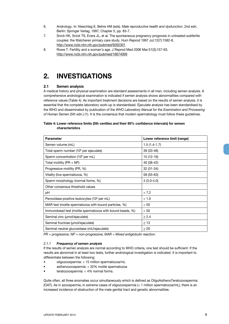- 6. Andrology. In: Nieschlag E, Behre HM (eds). *Male reproductive health and dysfunction*. 2nd edn. Berlin: Springer Verlag, 1997, Chapter 5, pp. 83-7.
- 7. Snick HK, Snick TS, Evers JL, et al. The spontaneous pregnancy prognosis in untreated subfertile couples: the Walcheren primary care study. Hum Reprod 1997 Jul;12(7):1582-8. http://www.ncbi.nlm.nih.gov/pubmed/9262301
- 8. Rowe T. Fertility and a woman's age. J Reprod Med 2006 Mar:51(3);157-63. http://www.ncbi.nlm.nih.gov/pubmed/16674009

## **2. INVESTIGATIONS**

#### **2.1 Semen analysis**

A medical history and physical examination are standard assessments in all men, including semen analysis. A comprehensive andrological examination is indicated if semen analysis shows abnormalities compared with reference values (Table 4). As important treatment decisions are based on the results of semen analysis, it is essential that the complete laboratory work-up is standardised. Ejaculate analysis has been standardised by the WHO and disseminated by publication of the *WHO Laboratory Manual for the Examination and Processing of Human Semen* (5th edn.) (1). It is the consensus that modern spermatology must follow these guidelines.

#### **Table 4: Lower reference limits (5th centiles and their 95% confidence intervals) for semen characteristics**

| <b>Parameter</b>                                         | Lower reference limit (range) |
|----------------------------------------------------------|-------------------------------|
| Semen volume (mL)                                        | $1.5(1.4-1.7)$                |
| Total sperm number (10 <sup>6</sup> per ejaculate)       | 39 (33-46)                    |
| Sperm concentration (10 <sup>6</sup> per mL)             | $15(12-16)$                   |
| Total motility ( $PR + NP$ )                             | 40 (38-42)                    |
| Progressive motility (PR, %)                             | 32 (31-34)                    |
| Vitality (live spermatozoa, %)                           | 58 (55-63)                    |
| Sperm morphology (normal forms, %)                       | $4(3.0-4.0)$                  |
| Other consensus threshold values                         |                               |
| pH                                                       | > 7.2                         |
| Peroxidase-positive leukocytes (10 <sup>6</sup> per mL)  | < 1.0                         |
| MAR test (motile spermatozoa with bound particles, %)    | < 50                          |
| Immunobead test (motile spermatozoa with bound beads, %) | < 50                          |
| Seminal zinc (umol/ejaculate)                            | $\geq$ 2.4                    |
| Seminal fructose (umol/ejaculate)                        | $\geq$ 13                     |
| Seminal neutral glucosidase (mU/ejaculate)               | > 20                          |

*PR = progressive; NP = non-progressive; MAR = Mixed antiglobulin reaction.*

#### *2.1.1 Frequency of semen analysis*

If the results of semen analysis are normal according to WHO criteria, one test should be sufficient. If the results are abnormal in at least two tests, further andrological investigation is indicated. It is important to differentiate between the following:

- oligozoospermia: < 15 million spermatozoa/mL
- asthenozoospermia: < 32% motile spermatozoa
- teratozoospermia:  $<$  4% normal forms.

Quite often, all three anomalies occur simultaneously which is defined as OligoAsthenoTeratozoospermia (OAT). As in azoospermia, in extreme cases of oligozoospermia  $(< 1$  million spermatozoa/mL), there is an increased incidence of obstruction of the male genital tract and genetic abnormalities.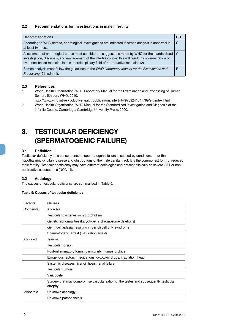#### **2.2 Recommendations for investigations in male infertility**

| <b>Recommendations</b>                                                                                                                                                                                                                                                                                   | <b>GR</b> |
|----------------------------------------------------------------------------------------------------------------------------------------------------------------------------------------------------------------------------------------------------------------------------------------------------------|-----------|
| According to WHO criteria, andrological investigations are indicated if semen analysis is abnormal in<br>at least two tests.                                                                                                                                                                             | C         |
| Assessment of andrological status must consider the suggestions made by WHO for the standardised   C<br>investigation, diagnosis, and management of the infertile couple; this will result in implementation of<br>evidence-based medicine in this interdisciplinary field of reproductive medicine (2). |           |
| Semen analysis must follow the quidelines of the WHO Laboratory Manual for the Examination and<br>Processing (5th edn) (1).                                                                                                                                                                              | B         |

#### **2.3 References**

- 1. World Health Organization. WHO Laboratory Manual for the Examination and Processing of Human Semen. 5th edn. WHO, 2010.
	- http://www.who.int/reproductivehealth/publications/infertility/9789241547789/en/index.html
- 2. World Health Organization. WHO Manual for the Standardised Investigation and Diagnosis of the Infertile Couple. Cambridge: Cambridge University Press, 2000.

## **3. TESTICULAR DEFICIENCY (SPERMATOGENIC FAILURE)**

#### **3.1 Definition**

Testicular deficiency as a consequence of spermatogenic failure is caused by conditions other than hypothalamic-pituitary disease and obstructions of the male genital tract. It is the commonest form of reduced male fertility. Testicular deficiency may have different aetiologies and present clinically as severe OAT or nonobstructive azoospermia (NOA) (1).

#### **3.2 Aetiology**

The causes of testicular deficiency are summarised in Table 5.

#### **Table 5: Causes of testicular deficiency**

| <b>Factors</b> | Causes                                                                                           |
|----------------|--------------------------------------------------------------------------------------------------|
| Congenital     | Anorchia                                                                                         |
|                | Testicular dysgenesis/cryptorchidism                                                             |
|                | Genetic abnormalities (karyotype, Y chromosome deletions)                                        |
|                | Germ cell aplasia, resulting in Sertoli cell only syndrome                                       |
|                | Spermatogenic arrest (maturation arrest)                                                         |
| Acquired       | Trauma                                                                                           |
|                | Testicular torsion                                                                               |
|                | Post-inflammatory forms, particularly mumps orchitis                                             |
|                | Exogenous factors (medications, cytotoxic drugs, irradiation, heat)                              |
|                | Systemic diseases (liver cirrhosis, renal failure)                                               |
|                | Testicular tumour                                                                                |
|                | Varicocele                                                                                       |
|                | Surgery that may compromise vascularisation of the testes and subsequently testicular<br>atrophy |
| Idiopathic     | Unknown aetiology                                                                                |
|                | Unknown pathogenesis                                                                             |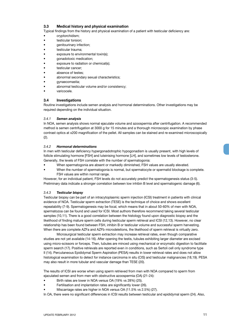#### **3.3 Medical history and physical examination**

Typical findings from the history and physical examination of a patient with testicular deficiency are:

- cryptorchidism;
- testicular torsion;
- genitourinary infection;
- testicular trauma;
- exposure to environmental toxin(s);
- gonadotoxic medication;
- exposure to radiation or chemical(s);
- testicular cancer;
- absence of testes:
- abnormal secondary sexual characteristics;
- gynaecomastia;
- abnormal testicular volume and/or consistency;
- varicocele.

#### **3.4 Investigations**

Routine investigations include semen analysis and hormonal determinations. Other investigations may be required depending on the individual situation.

#### *3.4.1 Semen analysis*

In NOA, semen analysis shows normal ejaculate volume and azoospermia after centrifugation. A recommended method is semen centrifugation at 3000 g for 15 minutes and a thorough microscopic examination by phase contrast optics at x200 magnification of the pellet. All samples can be stained and re-examined microscopically (2).

#### *3.4.2 Hormonal determinations*

In men with testicular deficiency hypergonadotrophic hypogonadism is usually present, with high levels of follicle stimulating hormone [FSH] and luteinising hormone [LH], and sometimes low levels of testosterone. Generally, the levels of FSH correlate with the number of spermatogonia:

- • When spermatogonia are absent or markedly diminished, FSH values are usually elevated.
- When the number of spermatogonia is normal, but spermatocyte or spermatid blockage is complete. FSH values are within normal range.

However, for an individual patient, FSH levels do not accurately predict the spermatogenesis status (3-5). Preliminary data indicate a stronger correlation between low inhibin B level and spermatogenic damage (6).

#### *3.4.3 Testicular biopsy*

Testicular biopsy can be part of an intracytoplasmic sperm injection (ICSI) treatment in patients with clinical evidence of NOA. Testicular sperm extraction (TESE) is the technique of choice and shows excellent repeatability (7-9). Spermatogenesis may be focal, which means that in about 50-60% of men with NOA, spermatozoa can be found and used for ICSI. Most authors therefore recommend taking several testicular samples (10,11). There is a good correlation between the histology found upon diagnostic biopsy and the likelihood of finding mature sperm cells during testicular sperm retrieval and ICSI (12,13). However, no clear relationship has been found between FSH, inhibin B or testicular volume and successful sperm harvesting. When there are complete AZFa and AZFb microdeletions, the likelihood of sperm retrieval is virtually zero.

Microsurgical testicular sperm extraction may increase retrieval rates, even though comparative studies are not yet available (14-16). After opening the testis, tubules exhibiting larger diameter are excised using micro-scissors or forceps. Then, tubules are minced using mechanical or enzymatic digestion to facilitate sperm search (17). Positive retrievals are reported even in conditions, such as Sertoli cell only syndrome type II (14). Percutaneous Epididymal Sperm Aspiration (PESA) results in lower retrieval rates and does not allow histological examination to detect for instance carcinoma in situ (CIS) and testicular malignancies (18,19). PESA may also result in more tubular and vascular damage than TESE (20).

The results of ICSI are worse when using sperm retrieved from men with NOA compared to sperm from ejaculated semen and from men with obstructive azoospermia (OA) (21-24):

- Birth rates are lower in NOA versus OA (19% vs 28%) (25).
- Fertilisation and implantation rates are significantly lower (26).
- Miscarriage rates are higher in NOA versus OA (11.5% vs 2.5%) (27).

In OA, there were no significant differences in ICSI results between testicular and epididymal sperm (24). Also,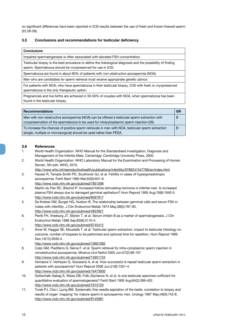no significant differences have been reported in ICSI results between the use of fresh and frozen-thawed sperm (22,26-28).

#### **3.5 Conclusions and recommendations for testicular deficiency**

Impaired spermatogenesis is often associated with elevated FSH concentration.

Testicular biopsy is the best procedure to define the histological diagnosis and the possibility of finding sperm. Spermatozoa should be cryopreserved for use in ICSI.

Spermatozoa are found in about 60% of patients with non-obstructive azoospermia (NOA).

Men who are candidates for sperm retrieval must receive appropriate genetic advice.

For patients with NOA, who have spermatozoa in their testicular biopsy, ICSI with fresh or cryopreserved spermatozoa is the only therapeutic option.

Pregnancies and live births are achieved in 30-50% of couples with NOA, when spermatozoa has been found in the testicular biopsy.

| <b>Recommendations</b>                                                                                                                                                                    | GR |
|-------------------------------------------------------------------------------------------------------------------------------------------------------------------------------------------|----|
| Men with non-obstructive azoospermia (NOA) can be offered a testicular sperm extraction with<br>cryopreservation of the spermatozoa to be used for intracytoplasmic sperm injection (28). | B  |
| To increase the chances of positive sperm retrievals in men with NOA, testicular sperm extraction<br>(single, multiple or microsurgical) should be used rather than PESA.                 | В  |

#### **3.6 References**

- 1. World Health Organization. WHO Manual for the Standardised Investigation, Diagnosis and Management of the Infertile Male. Cambridge: Cambridge University Press, 2000.
- 2. World Health Organization. WHO Laboratory Manual for the Examination and Processing of Human Semen. 5th edn. WHO, 2010.
- http://www.who.int/reproductivehealth/publications/infertility/9789241547789/en/index.html 3. Hauser R, Temple-Smith PD, Southwick GJ, et al. Fertility in cases of hypergonadotropic
- azoospermia. Fertil Steril 1995 Mar;63(3):631-6.
	- http://www.ncbi.nlm.nih.gov/pubmed/7851598
- 4. Martin-du Pan RC, Bischof P. Increased follicle stimulating hormone in infertile men. Is increased plasma FSH always due to damaged germinal epithelium? Hum Reprod 1995 Aug;10(8):1940-5. http://www.ncbi.nlm.nih.gov/pubmed/8567817
- 5. De Kretser DM, Burger HG, Hudson B. The relationship between germinal cells and serum FSH in males with infertility. J Clin Endocrinol Metab 1974 May;38(5):787-93. http://www.ncbi.nlm.nih.gov/pubmed/4823921
- 6. Pierik FH, Vreeburg JT, Stijnen T, et al. Serum inhibin B as a marker of spermatogenesis. J Clin Endocrinol Metab 1998 Sep;83(9):3110-4. http://www.ncbi.nlm.nih.gov/pubmed/9745412
- 7. Amer M, Haggar SE, Moustafa T, et al. Testicular sperm extraction: impact to testicular histology on outcome, number of biopsies to be performed and optional time for repetition. Hum Reprod 1999 Dec;14(12):3030-4.

- 8. Colpi GM, Piediferro G, Nerva F, et al. Sperm retrieval for intra-cytoplasmic sperm injection in nonobstructive azoospermia. Minerva Urol Nefrol 2005 Jun;57(2):99-107. http://www.ncbi.nlm.nih.gov/pubmed/15951734
- 9. Vernaeve V, Verheyen G, Goossens A, et al. How successful is repeat testicular sperm extraction in patients with azoospermia? Hum Reprod 2006 Jun;21(6):1551-4. http://www.ncbi.nlm.nih.gov/pubmed/16473930
- 10. Gottschalk-Sabag S, Weiss DB, Folb-Zacharow N, et al. Is one testicular specimen sufficient for quantitative evaluation of spermatogenesis? Fertil Steril 1995 Aug;64(2):399-402. http://www.ncbi.nlm.nih.gov/pubmed/7615120
- 11. Turek PJ, Cha I, Ljung BM. Systematic fine-needle aspiration of the testis: correlation to biopsy and results of organ 'mapping' for mature sperm in azoospermic men. Urology 1997 May;49(5):743-8. http://www.ncbi.nlm.nih.gov/pubmed/9145981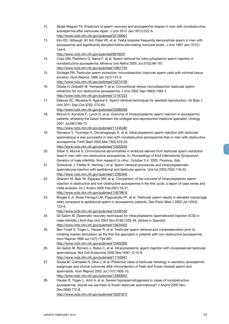- 12. Abdel-Meguid TA. Predictors of sperm recovery and azoospermia relapse in men with nonobstructive azoospermia after varicocele repair. J Urol 2012 Jan;187(1):222-6. http://www.ncbi.nlm.nih.gov/pubmed/22100001
- 13. Kim ED, Gilbaugh JH 3rd, Patel VR, et al. Testis biopsies frequently demonstrate sperm in men with azoospermia and significantly elevated follicle-stimulating hormone levels. J Urol 1997 Jan;157(1): 144-6.

- 14. Colpi GM, Piediferro G, Nerva F, et al. Sperm retrieval for intra-cytoplasmic sperm injection in nonobstructive azoospermia. Minerva Urol Nefrol 2005 Jun;57(2):99-107. http://www.ncbi.nlm.nih.gov/pubmed/15951734
- 15. Schlegel PN. Testicular sperm extraction: microdissection improves sperm yield with minimal tissue excision. Hum Reprod 1999 Jan:14(1):131-5. http://www.ncbi.nlm.nih.gov/pubmed/10374109
- 16. Okada H, Dobashi M, Yamazaki T, et al. Conventional versus microdissection testicular sperm extraction for non obstructive azoospermia. J Urol 2002 Sep;168(3):1063-7. http://www.ncbi.nlm.nih.gov/pubmed/12187223
- 17. Esteves SC, Miyaoka R, Agarwal A. Sperm retrieval techniques for assisted reproduction. Int Braz J Urol 2011 Sep-Oct;37(5): 570-83 http://www.ncbi.nlm.nih.gov/pubmed/22099268
- 18. Monzó A, Kondylis F, Lynch D, et al. Outcome of intracytoplasmic sperm injection in azoospermic patients: stressing the liaison between the urologist and reproductive medicine specialist. Urology 2001 Jul;58(1):69-75.
- http://www.ncbi.nlm.nih.gov/pubmed/11445482 19. Vernaeve V, Tournaye H, Osmanagaoglu K, et al. Intracytoplasmic sperm injection with testicular spermatozoa is less successful in men with nonobstructive azoospermia than in men with obstructive azoospermia. Fertil Steril 2003 Mar;79(3):529-33. http://www.ncbi.nlm.nih.gov/pubmed/12620435
- 20. Silber S, Munné S. Chromosomal abnormalities in embryos derived from testicular sperm extraction tese) in men with non-obstructive azoospermia. In: *Proceedings of EAA International Symposium. Genetics of male infertility: from research to clinic*. October 2-4, 2003, Florence, Italy.
- 21. Schwarzer J, Fiedler K, Hertwig I, et al. Sperm retrieval procedures and intracytoplasmatic spermatozoa injection with epididymal and testicular sperms. Urol Int 2003;70(2):119-23. http://www.ncbi.nlm.nih.gov/pubmed/12592040
- 22. Ghanem M, Bakr NI, Elgayaar MA, et al. Comparison of the outcome of intracytoplasmic sperm injection in obstructive and non-obstructive azoospermia in the first cycle: a report of case series and meta-analysis. Int J Androl 2005 Feb;28(1):16-21. http://www.ncbi.nlm.nih.gov/pubmed/15679616
- 23. Borges E Jr, Rossi-Ferragut LM, Pasqualotto FF, et al. Testicular sperm results in elevated miscarriage rates compared to epididymal sperm in azoospermic patients. Sao Paulo Med J 2002 Jul;120(4): 122-6.
	- http://www.ncbi.nlm.nih.gov/pubmed/12436160
- 24. Gil Salóm M. [Spermatic recovery techniques for intracytoplasmic spermatozoid injection (ICSI) in male infertility.] Arch Esp Urol 2004 Nov;57(9):1035-46. [Article in Spanish] http://www.ncbi.nlm.nih.gov/pubmed/15624403
- 25. Ben-Yosef D, Yogev L, Hauser R, et al. Testicular sperm retrieval and cryopreservation prior to initiating ovarian stimulation as the first line approach in patients with non-obstructive azoospermia. Hum Reprod 1999 Jul;14(7):1794-801. http://www.ncbi.nlm.nih.gov/pubmed/10402392
- 26. Gil-Salóm M, Romero J, Rubio C, et al. Intracytoplasmic sperm injection with cryopreserved testicular spermatozoa. Mol Cell Endocrinol 2000 Nov;169(1-2):15-9. http://www.ncbi.nlm.nih.gov/pubmed/11155947
- 27. Sousa M, Cremades N, Silva J, et al. Predictive value of testicular histology in secretory azoospermic subgroups and clinical outcomes after microinjection of fresh and frozen-thawed sperm and spermatids. Hum Reprod 2002 Jul;17(7):1800-10. http://www.ncbi.nlm.nih.gov/pubmed/12093843
- 28. Hauser R, Yogev L, Amit A, et al. Severe hypospermatogenesis in cases of nonobstructive azoospermia: should we use fresh or frozen testicular spermatozoa? J Androl 2005 Nov-Dec;26(6):772-8. http://www.ncbi.nlm.nih.gov/pubmed/16291973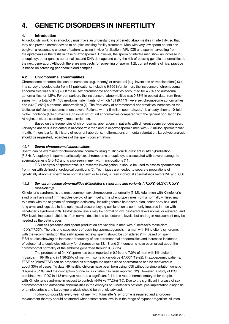## **4. GENETIC DISORDERS IN INFERTILITY**

#### **4.1 Introduction**

All urologists working in andrology must have an understanding of genetic abnormalities in infertility, so that they can provide correct advice to couples seeking fertility treatment. Men with very low sperm counts can be given a reasonable chance of paternity, using in vitro fertilisation (IVF), ICSI and sperm harvesting from the epididymis or the testis in case of azoospermia. However, the sperm of infertile men show an increase in aneuploidy, other genetic abnormalities and DNA damage and carry the risk of passing genetic abnormalities to the next generation. Although there are prospects for screening of sperm (1,2), current routine clinical practice is based on screening peripheral blood samples.

#### **4.2 Chromosomal abnormalities**

Chromosome abnormalities can be numerical (e.g. trisomy) or structural (e.g. inversions or translocations) (3,4). In a survey of pooled data from 11 publications, including 9,766 infertile men, the incidence of chromosomal abnormalities was 5.8% (3). Of these, sex chromosome abnormalities accounted for 4.2% and autosomal abnormalities for 1.5%. For comparison, the incidence of abnormalities was 0.38% in pooled data from three series, with a total of 94,465 newborn male infants, of which 131 (0.14%) were sex chromosome abnormalities and 232 (0.25%) autosomal abnormalities (4). The frequency of chromosomal abnormalities increases as the testicular deficiency becomes more severe. Patients with < 5 million spermatozoa/mL already show a 10-fold higher incidence (4%) of mainly autosomal structural abnormalities compared with the general population (5). At highest risk are secretory azoospermic men.

Based on the frequencies of chromosomal aberrations in patients with different sperm concentration, karyotype analysis is indicated in azoospermic men and in oligozoospermic men with < 5 million spermatozoa/ mL (5). If there is a family history of recurrent abortions, malformations or mental retardation, karyotype analysis should be requested, regardless of the sperm concentration.

#### *4.2.1 Sperm chromosomal abnormalities*

Sperm can be examined for chromosomal normality using multicolour fluorescent *in situ* hybridisation (FISH). Aneuploidy in sperm, particularly sex chromosome aneuploidy, is associated with severe damage to spermatogenesis (3,6-10) and is also seen in men with translocations (11).

FISH analysis of spermatozoa is a research investigation. It should be used to assess spermatozoa from men with defined andrological conditions (6). Techniques are needed to separate populations of genetically abnormal sperm from normal sperm or to safely screen individual spermatozoa before IVF and ICSI.

#### *4.2.2 Sex chromosome abnormalities (Klinefelter's syndrome and variants [47,XXY; 46,XY/47, XXY mosaicism])*

Klinefelter's syndrome is the most common sex chromosome abnormality (3,12). Adult men with Klinefelter's syndrome have small firm testicles devoid of germ cells. The phenotype varies from a normally virilised man to a man with the stigmata of androgen deficiency, including female hair distribution, scant body hair, and long arms and legs due to late epiphyseal closure. Leydig cell function is commonly impaired in men with Klinefelter's syndrome (13). Testosterone levels may be normal or low, oestradiol levels normal or elevated, and FSH levels increased. Libido is often normal despite low testosterone levels, but androgen replacement may be needed as the patient ages.

Germ cell presence and sperm production are variable in men with Klinefelter's mosaicism, 46,XY/47,XXY. There is one case report of declining spermatogenesis in a man with Klinefelter's syndrome, with the recommendation that early sperm retrieval sperm should be considered (14). Based on sperm FISH studies showing an increased frequency of sex chromosomal abnormalities and increased incidence of autosomal aneuploidies (disomy for chromosomes 13, 18 and 21), concerns have been raised about the chromosomal normality of the embryos generated through ICSI (15).

The production of 24,XY sperm has been reported in 0.9% and 7.0% of men with Klinefelter's mosaicism (16-18) and in 1.36-25% of men with somatic karyotype 47,XXY (19-22). In azoospermic patients, TESE or (MicroTESE) can be proposed as a therapeutic option since spermatozoa can be recovered in about 30% of cases. To date, 49 healthy children have been born using ICSI without preimplantation genetic diagnosis (PDG) and the conception of one 47,XXY fetus has been reported (12). However, a study of ICSI combined with PDG in 113 embryos reported a significant fall in the rate of normal embryos for couples with Klinefelter's syndrome in respect to controls (54% vs 77.2%) (15). Due to the significant increase of sex chromosomal and autosomal abnormalities in the embryos of Klinefelter's patients, pre-implantation diagnosis or amniocentesis and karyotype analysis should be strongly advised.

Follow-up (possibly every year) of men with Klinefelter's syndrome is required and androgen replacement therapy should be started when testosterone level is in the range of hypoandrogenism. All men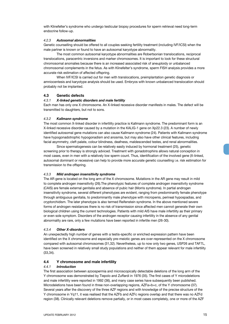with Klinefelter's syndrome who undergo testicular biopsy procedures for sperm retrieval need long-term endocrine follow-up.

#### *4.2.3 Autosomal abnormalities*

Genetic counselling should be offered to all couples seeking fertility treatment (including IVF/ICSI) when the male partner is known or found to have an autosomal karyotype abnormality.

The most common autosomal karyotype abnormalities are Robertsonian translocations, reciprocal translocations, paracentric inversions and marker chromosomes. It is important to look for these structural chromosomal anomalies because there is an increased associated risk of aneuploidy or unbalanced chromosomal complements in the fetus. As with Klinefelter's syndrome, sperm FISH analysis provides a more accurate risk estimation of affected offspring.

When IVF/ICSI is carried out for men with translocations, preimplantation genetic diagnosis or amniocentesis and karyotype analysis should be used. Embryos with known unbalanced translocation should probably not be implanted.

#### **4.3 Genetic defects**

#### *4.3.1 X-linked genetic disorders and male fertility*

Each man has only one X chromosome. An X-linked recessive disorder manifests in males. The defect will be transmitted to daughters, but not to sons.

#### *4.3.2 Kallmann syndrome*

The most common X-linked disorder in infertility practice is Kallmann syndrome. The predominant form is an X-linked recessive disorder caused by a mutation in the KALIG-1 gene on Xp22.3 (23). A number of newly identified autosomal gene mutations can also cause Kallmann syndrome (24). Patients with Kallmann syndrome have hypogonadotrophic hypogonadism and anosmia, but may also have other clinical features, including facial asymmetry, cleft palate, colour blindness, deafness, maldescended testes, and renal abnormalities.

Since spermatogenesis can be relatively easily induced by hormonal treatment (25), genetic screening prior to therapy is strongly adviced. Treatment with gonadotrophins allows natural conception in most cases, even in men with a relatively low sperm count. Thus, identification of the involved gene (X-linked, autosomal dominant or recessive) can help to provide more accurate genetic counselling i.e. risk estimation for transmission to the offspring.

#### *4.3.3 Mild androgen insensitivity syndrome*

The AR gene is located on the long arm of the X chromosome. Mutations in the AR gene may result in mild to complete androgen insensitivity (26).The phenotypic features of complete androgen insensitivity syndrome (CAIS) are female external genitalia and absence of pubic hair (Morris syndrome). In partial androgen insensitivity syndrome, several different phenotypes are evident, ranging from predominantly female phenotype through ambiguous genitalia, to predominantly male phenotype with micropenis, perineal hypospadias, and cryptorchidism. The later phenotype is also termed Reifenstein syndrome. In the above mentioned severe forms of androgen resistances there is no risk of transmission since affected men cannot generate their own biological children using the current technologies. Patients with mild AIS have male infertility as their primary or even sole symptom. Disorders of the androgen receptor causing infertility in the absence of any genital abnormality are rare, only a few mutations have been reported in infertile men (26-30).

#### *4.3.4 Other X-disorders*

An unexpectedly high number of genes with a testis-specific or enriched expression pattern have been identified on the X chromosome and especially pre-meiotic genes are over-represented on the X chromosome compared with autosomal chromosomes (31,32). Nevertheless, up to now only two genes, USP26 and TAF7L, have been screened in relatively small study populations and neither of them appear relevant for male infertility (33,34).

#### **4.4 Y chromosome and male infertility**

#### *4.4.1 Introduction*

The first association between azoospermia and microscopically detectable deletions of the long arm of the Y chromosome was demonstrated by Tiepolo and Zuffardi in 1976 (35). The first cases of Y microdeletions and male infertility were reported in 1992 (36), and many case series have subsequently been published. Microdeletions have been found in three non-overlapping regions, AZFa+b+c, of the Y chromosome (37). Several years after the discovery of the three AZF regions and with knowledge of the precise structure of the Y chromosome in Yq11, it was realised that the AZFb and AZFc regions overlap and that there was no AZFd region (38). Clinically relevant deletions remove partially, or in most cases completely, one or more of the AZF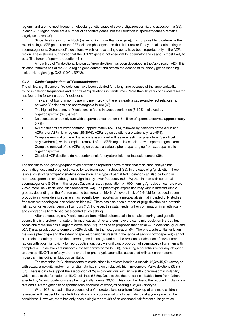regions, and are the most frequent molecular genetic cause of severe oligozoospermia and azoospermia (39). In each AFZ region, there are a number of candidate genes, but their function in spermatogenesis remains largely unknown (40).

Since deletions occur in block (i.e. removing more than one gene), it is not possible to determine the role of a single AZF gene from the AZF deletion phenotype and thus it is unclear if they are all participating in spermatogenesis. Gene-specific deletions, which remove a single gene, have been reported only in the AZFa region. These studies suggested that the USP9Y gene is not essential for spermatogenesis and is most likely to be a 'fine tuner' of sperm production (41).

A new type of Yq deletions, known as 'gr/gr deletion' has been described in the AZFc region (42). This deletion removes half of the AZFc region gene content and affects the dosage of multicopy genes mapping inside this region (e.g. DAZ, CDY1, BPY2).

#### *4.4.2 Clinical implications of Y microdeletions*

The clinical significance of Yq deletions have been debated for a long time because of the large variability found in deletion frequencies and reports of Yq deletions in 'fertile' men. More than 10 years of clinical research has found the following about Y deletions:

- They are not found in normospermic men, proving there is clearly a cause-and-effect relationship between Y deletions and spermatogenic failure (43).
- The highest frequency of Y deletions is found in azoospermic men (8-12%), followed by oligozoospermic (3-7%) men.
- Deletions are extremely rare with a sperm concentration  $> 5$  million of spermatozoa/mL (approximately 0.7%).
- AZFc deletions are most common (approximately 65-70%), followed by deletions of the AZFb and AZFb+c or AZFa+b+c regions (25-30%). AZFa region deletions are extremely rare (5%).
- Complete removal of the AZFa region is associated with severe testicular phenotype (Sertoli cell only syndrome), while complete removal of the AZFb region is associated with spermatogenic arrest. Complete removal of the AZFc region causes a variable phenotype ranging from azoospermia to oligozoospermia.
- Classical AZF deletions do not confer a risk for cryptorchidism or testicular cancer (39).

The specificity and genotype/phenotype correlation reported above means that Y deletion analysis has both a diagnostic and prognostic value for testicular sperm retrieval (39). In the case of gr/gr deletion, there is no such strict genotype/phenotype correlation. This type of partial AZFc deletion can also be found in normozoospermic men, although at a significantly lower frequency (0.5-1%) than in men with abnormal spermatogenesis (3-5%). In the largest Caucasian study population (> 1000 men), gr/gr deletion carriers were 7-fold more likely to develop oligozoospermia (44). The phenotypic expression may vary in different ethnic groups, depending on the Y chromosome background (45,46). An overall risk of 2.4-fold for reduced sperm production in gr/gr deletion carriers has recently been reported by a meta-analysis that included only studies free from methodological and selection bias (47). There has also been a report of gr/gr deletion as a potential risk factor for testicular germ cell tumours (48). However, this data needs further confirmation in an ethnically and geographically matched case-control study setting.

After conception, any Y deletions are transmitted automatically to a male offspring, and genetic counselling is therefore mandatory. In most cases, father and son have the same microdeletion (49-52), but occasionally the son has a larger microdeletion (53). It has been proposed that partial AZFc deletions (gr/gr and b2/b3) may predispose to complete AZFc deletion in the next generation (54). There is a substantial variation in the son's phenotype and the extent of spermatogenic failure (still in the range of azoo/oligozoospermia) cannot be predicted entirely, due to the different genetic background and the presence or absence of environmental factors with potential toxicity for reproductive function. A significant proportion of spermatozoa from men with complete AZFc deletion are nullisomic for sex chromosome (55,56), indicating a potential risk for any offspring to develop 45,X0 Turner's syndrome and other phenotypic anomalies associated with sex chromosome mosaicism, including ambiguous genitalia.

The screening for Y chromosome microdeletions in patients bearing a mosaic 46,XY/45,X0 karyotype with sexual ambiguity and/or Turner stigmata has shown a relatively high incidence of AZFc deletions (33%) (57). There is data to support the association of Yq microdeletions with an overall Y chromosomal instability, which leads to the formation of 45,X0 cell lines (58,59). Despite this theoretical risk, babies born from fathers affected by Yq microdeletions are phenotypically normal (39,60). This could be due to the reduced implantation rate and a likely higher risk of spontaneous abortions of embryos bearing a 45,X0 karyotype.

When ICSI is used in the presence of a Y microdeletion, long-term follow up of any male children is needed with respect to their fertility status and cryoconservation of spermatozoa at a young age can be considered. However, there has only been a single report (48) of an enhanced risk for testicular germ cell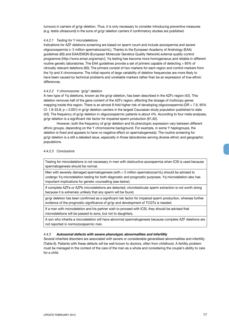tumours in carriers of gr/gr deletion. Thus, it is only necessary to consider introducing preventive measures (e.g. testis ultrasound) in the sons of gr/gr deletion carriers if confirmatory studies are published.

#### *4.4.2.1 Testing for Y microdeletions*

Indications for AZF deletions screening are based on sperm count and include azoospermia and severe oligozoospermia (< 5 million spermatozoa/mL). Thanks to the European Academy of Andrology (EAA) guidelines (60) and EAA/EMQN (European Molecular Genetics Quality Network) external quality control programme (http://www.emqn.org/emqn/), Yq testing has become more homogeneous and reliable in different routine genetic laboratories. The EAA guidelines provide a set of primers capable of detecting > 95% of clinically relevant deletions (60). The primers consist of two markers for each region and control markers from the Yp and X chromosome. The initial reports of large variability of deletion frequencies are more likely to have been caused by technical problems and unreliable markers rather than be an expression of true ethnic differences.

#### *4.4.2.2 Y chromosome: 'gr/gr' deletion*

A new type of Yq deletions, known as the gr/gr deletion, has been described in the AZFc region (42). This deletion removes half of the gene content of the AZFc region, affecting the dosage of multicopy genes mapping inside this region. There is an almost 8-fold higher risk of developing oligozoospermia (OR = 7.9, 95% CI: 1.8-33.8; p < 0.001) in gr/gr deletion carriers in the largest Caucasian study population published to date (43). The frequency of gr/gr deletion in oligozoospermic patients is about 4%. According to four meta-analyses, gr/gr deletion is a significant risk factor for impaired sperm production (61,62).

However, both the frequency of gr/gr deletion and its phenotypic expression vary between different ethnic groups, depending on the Y chromosome background. For example, in some Y haplogroups, the deletion is fixed and appears to have no negative effect on spermatogenesis). The routine screening for gr/gr deletion is a still a debated issue, especially in those laboratories serving diverse ethnic and geographic populations.

#### *4.4.2.3 Conclusions*

Testing for microdeletions is not necessary in men with obstructive azoospermia when ICSI is used because spermatogenesis should be normal.

Men with severely damaged spermatogenesis (with < 5 million spermatozoa/mL) should be advised to undergo Yq microdeletion testing for both diagnostic and prognostic purposes. Yq microdeletion also has important implications for genetic counselling (*see below*).

If complete AZFa or AZFb microdeletions are detected, microtesticular sperm extraction is not worth doing because it is extremely unlikely that any sperm will be found.

gr/gr deletion has been confirmed as a significant risk factor for impaired sperm production, whereas further evidence of the prognostic significance of gr/gr and development of TCGTs is needed.

If a man with microdeletion and his partner wish to proceed with ICSI, they should be advised that microdeletions will be passed to sons, but not to daughters.

A son who inherits a microdeletion will have abnormal spermatogenesis because complete AZF deletions are not reported in normozoospermic men.

#### *4.4.3 Autosomal defects with severe phenotypic abnormalities and infertility*

Several inherited disorders are associated with severe or considerable generalised abnormalities and infertility (Table 6). Patients with these defects will be well known to doctors, often from childhood. A fertility problem must be managed in the context of the care of the man as a whole and considering the couple's ability to care for a child.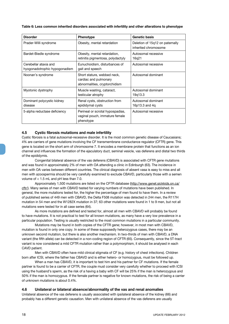**Table 6: Less common inherited disorders associated with infertility and other alterations to phenotype**

| <b>Disorder</b>                                        | <b>Phenotype</b>                                                                      | <b>Genetic basis</b>                                    |
|--------------------------------------------------------|---------------------------------------------------------------------------------------|---------------------------------------------------------|
| Prader-Willi syndrome                                  | Obesity, mental retardation                                                           | Deletion of 15q12 on paternally<br>inherited chromosome |
| Bardet-Biedle syndrome                                 | Obesity, mental retardation,<br>retinitis pigmentosa, polydactyly                     | Autosomal recessive<br>16q21                            |
| Cerebellar ataxia and<br>hyogonadotrophic hypogonadism | Eunuchoidism, disturbances of<br>gait and speech                                      | Autosomal recessive                                     |
| Noonan's syndrome                                      | Short stature, webbed neck,<br>cardiac and pulmonary<br>abnormalities, cryptorchidism | Autosomal dominant                                      |
| Myotonic dystrophy                                     | Muscle wasting, cataract,<br>testicular atrophy                                       | Autosomal dominant<br>19q13.3                           |
| Dominant polycystic kidney<br>disease                  | Renal cysts, obstruction from<br>epididymal cysts                                     | Autosomal dominant<br>16p13.3 and 4q                    |
| 5-alpha reductase deficiency                           | Perineal or scrotal hypospadias,<br>vaginal pouch, immature female<br>phenotype       | Autosomal recessive                                     |

#### **4.5 Cystic fibrosis mutations and male infertility**

Cystic fibrosis is a fatal autosomal-recessive disorder. It is the most common genetic disease of Caucasians; 4% are carriers of gene mutations involving the CF transmembrane conductance regulator (CFTR) gene. This gene is located on the short arm of chromosome 7. It encodes a membrane protein that functions as an ion channel and influences the formation of the ejaculatory duct, seminal vesicle, vas deferens and distal two thirds of the epididymis.

Congenital bilateral absence of the vas deferens (CBAVD) is associated with CFTR gene mutations and was found in approximately 2% of men with OA attending a clinic in Edinburgh (63). The incidence in men with OA varies between different countries. The clinical diagnosis of absent vasa is easy to miss and all men with azoospermia should be very carefully examined to exclude CBAVD, particularly those with a semen volume of < 1.5 mL and pH less than 7.0.

Approximately 1,500 mutations are listed on the CFTR database (http://www.genet.sickkids.on.ca/ cftr/). Many series of men with CBAVD tested for varying numbers of mutations have been published. In general, the more mutations tested for, the higher the percentage of men found to have them. In a review of published series of 449 men with CBAVD, the Delta F508 mutation was detected in 244 men, the R117H mutation in 54 men and the W1282X mutation in 37; 63 other mutations were found in 1 to 9 men, but not all mutations were tested for in all case series (64).

As more mutations are defined and tested for, almost all men with CBAVD will probably be found to have mutations. It is not practical to test for all known mutations, as many have a very low prevalence in a particular population. Testing is usually restricted to the most common mutations in a particular community.

 Mutations may be found in both copies of the CFTR gene; however, in most men with CBAVD, mutation is found in only one copy. In some of these supposedly heterozygous cases, there may be an unknown second mutation, but there is also another mechanism. In two-thirds of men with CBAVD, a DNA variant (the fifth allele) can be detected in a non-coding region of CFTR (65). Consequently, since the 5T-tract variant is now considered a mild CFTR mutation rather than a polymorphism, it should be analysed in each CAVD patient.

Men with CBAVD often have mild clinical stigmata of CF (e.g. history of chest infections). Children born after ICSI, where the father has CBAVD and is either hetero- or homozygous, must be followed up.

When a man has CBAVD, it is important to test him and his partner for CF mutations. If the female partner is found to be a carrier of CFTR, the couple must consider very carefully whether to proceed with ICSI using the husband's sperm, as the risk of a having a baby with CF will be 25% if the man is heterozygous and 50% if the man is homozygous. If the female partner is negative for known mutations, the risk of being a carrier of unknown mutations is about 0.4%.

#### **4.6 Unilateral or bilateral absence/abnormality of the vas and renal anomalies**

Unilateral absence of the vas deferens is usually associated with ipsilateral absence of the kidney (66) and probably has a different genetic causation. Men with unilateral absence of the vas deferens are usually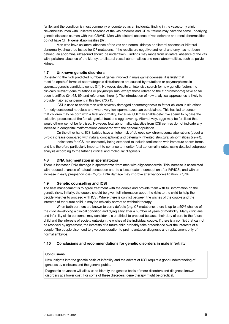fertile, and the condition is most commonly encountered as an incidental finding in the vasectomy clinic. Nevertheless, men with unilateral absence of the vas deferens and CF mutations may have the same underlying genetic diseases as men with true CBAVD. Men with bilateral absence of vas deferens and renal abnormalities do not have CFTR gene abnormalities (67).

Men who have unilateral absence of the vas and normal kidneys or bilateral absence or bilateral abnormality, should be tested for CF mutations. If the results are negative and renal anatomy has not been defined, an abdominal ultrasound should be undertaken. Findings may range from unilateral absence of the vas with ipsilateral absence of the kidney, to bilateral vessel abnormalities and renal abnormalities, such as pelvic kidney.

#### **4.7 Unknown genetic disorders**

Considering the high predicted number of genes involved in male gametogenesis, it is likely that most 'idiopathic' forms of spermatogenic disturbances are caused by mutations or polymorphisms in spermatogenesis candidate genes (34). However, despite an intensive search for new genetic factors, no clinically relevant gene mutations or polymorphisms (except those related to the Y chromosome) have so far been identified (34, 68, 69, and references therein). The introduction of new analytical approaches is likely to provide major advancement in this field (70,71).

ICSI is used to enable men with severely damaged spermatogenesis to father children in situations formerly considered hopeless and where very few spermatozoa can be obtained. This has led to concern that children may be born with a fetal abnormality, because ICSI may enable defective sperm to bypass the selective processes of the female genital tract and egg covering. Alternatively, eggs may be fertilised that would otherwise not be fertilised. However, fetal abnormality statistics from ICSI centres do not indicate any increase in congenital malformations compared with the general population.

On the other hand, ICSI babies have a higher risk of *de novo* sex chromosomal aberrations (about a 3-fold increase compared with natural conceptions) and paternally inherited structural abnormalities (72-74).

Indications for ICSI are constantly being extended to include fertilisation with immature sperm forms, and it is therefore particularly important to continue to monitor fetal abnormality rates, using detailed subgroup analysis according to the father's clinical and molecular diagnosis.

#### **4.8 DNA fragmentation in spermatozoa**

There is increased DNA damage in spermatozoa from men with oligozoospermia. This increase is associated with reduced chances of natural conception and, to a lesser extent, conception after IVF/ICSI, and with an increase in early pregnancy loss (75,76). DNA damage may improve after varicocele ligation (77,78).

#### **4.9 Genetic counselling and ICSI**

The best management is to agree treatment with the couple and provide them with full information on the genetic risks. Initially, the couple should be given full information about the risks to the child to help them decide whether to proceed with ICSI. Where there is conflict between the wishes of the couple and the interests of the future child, it may be ethically correct to withhold therapy.

When both partners are known to carry defects (e.g. CF mutations), there is up to a 50% chance of the child developing a clinical condition and dying early after a number of years of morbidity. Many clinicians and infertility clinic personnel may consider it is unethical to proceed because their duty of care to the future child and the interests of society outweigh the wishes of the individual couple. If there is a conflict that cannot be resolved by agreement, the interests of a future child probably take precedence over the interests of a couple. The couple also need to give consideration to preimplantation diagnosis and replacement only of normal embryos.

#### **4.10 Conclusions and recommendations for genetic disorders in male infertility**

#### **Conclusions**

New insights into the genetic basis of infertility and the advent of ICSI require a good understanding of genetics by clinicians and the general public.

Diagnostic advances will allow us to identify the genetic basis of more disorders and diagnose known disorders at a lower cost. For some of these disorders, gene therapy might be practical.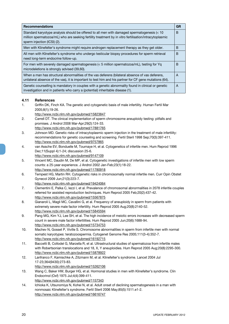| <b>GR</b> | <b>Recommendations</b>                                                                                                                                                                                                               |
|-----------|--------------------------------------------------------------------------------------------------------------------------------------------------------------------------------------------------------------------------------------|
| B         | Standard karyotype analysis should be offered to all men with damaged spermatogenesis (< 10<br>million spermatozoa/mL) who are seeking fertility treatment by in vitro fertilisation/intracytoplasmic<br>sperm injection (ICSI) (2). |
| B         | Men with Klinefelter's syndrome might require androgen replacement therapy as they get older.                                                                                                                                        |
| B         | All men with Klinefelter's syndrome who undergo testicular biopsy procedures for sperm retrieval<br>need long-term endocrine follow-up.                                                                                              |
| B         | For men with severely damaged spermatogenesis ( $<$ 5 million spermatozoa/mL), testing for Yg<br>microdeletions is strongly advised (39,60).                                                                                         |
| A         | When a man has structural abnormalities of the vas deferens (bilateral absence of vas deferens,<br>unilateral absence of the vas), it is important to test him and his partner for CF gene mutations (64).                           |
| A         | Genetic counselling is mandatory in couples with a genetic abnormality found in clinical or genetic<br>investigation and in patients who carry a (potential) inheritable disease (1).                                                |
|           |                                                                                                                                                                                                                                      |

#### **4.11 References**

- 1. Griffin DK, Finch KA. The genetic and cytogenetic basis of male infertility. Human Fertil Mar 2005;8(1);19-26.
	- http://www.ncbi.nlm.nih.gov/pubmed/15823847
- 2. Carrell DT. The clinical implementation of sperm chromosome aneuploidy testing: pitfalls and promises. J Androl 2008 Mar-Apr;29(2):124-33. http://www.ncbi.nlm.nih.gov/pubmed/17881765
- 3. Johnson MD. Genetic risks of intracytoplasmic sperm injection in the treatment of male infertility: recommendations for genetic counseling and screening. Fertil Steril 1998 Sep;70(3):397-411. http://www.ncbi.nlm.nih.gov/pubmed/9757865
- 4. van Assche EV, Bonduelle M, Tournaye H, et al. Cytogenetics of infertile men. Hum Reprod 1996 Dec;11(Suppl 4):1-24; discussion 25-6.
- http://www.ncbi.nlm.nih.gov/pubmed/9147109
- 5. Vincent MC, Daudin M, De MP, et al. Cytogenetic investigations of infertile men with low sperm counts: a 25-year experience. J Androl 2002 Jan-Feb;23(1):18-22. http://www.ncbi.nlm.nih.gov/pubmed/11780918
- 6. Tempest HG, Martin RH. Cytogenetic risks in chromosomally normal infertile men. Curr Opin Obstet Gynecol 2009 Jun;21(3):223-7.
	- http://www.ncbi.nlm.nih.gov/pubmed/19424064
- 7. Clementini E, Palka C, Iezzi I, et al. Prevalence of chromosomal abnormalities in 2078 inferitle couples referred for assisted reproduction techniques. Hum Reprod 2005 Feb;20(2):437-42. http://www.ncbi.nlm.nih.gov/pubmed/15567875
- 8. Gianaroli L, Magli MC, Cavallini G, et al. Frequency of aneuploidy in sperm from patients with extremely severe male factor infertility. Hum Reprod 2005 Aug;20(8):2140-52. http://www.ncbi.nlm.nih.gov/pubmed/15845594
- 9. Pang MG, Kim YJ, Lee SH, et al. The high incidence of meiotic errors increases with decreased sperm count in severe male factor infertilities. Hum Reprod 2005 Jun;20(6):1688-94. http://www.ncbi.nlm.nih.gov/pubmed/15734753
- 10. Machev N, Gosset P, Viville S. Chromosome abnormalities in sperm from infertile men with normal somatic karyotypes: teratozoospermia. Cytogenet Genome Res 2005;111(3-4):352-7. http://www.ncbi.nlm.nih.gov/pubmed/16192715
- 11. Baccetti B, Collodel G, Marzella R, et al. Ultrastructural studies of spermatozoa from infertile males with Robertsonian translocations and 18, X, Y aneuploidies. Hum Reprod 2005 Aug;20(8):2295-300. http://www.ncbi.nlm.nih.gov/pubmed/15878922
- 12. Lanfranco F, Kamischke A, Zitzmann M, et al. Klinefelter's syndrome. Lancet 2004 Jul 17-23;364(9430):273-83. http://www.ncbi.nlm.nih.gov/pubmed/15262106
- 13. Wang C, Baker HW, Burger HG, et al. Hormonal studies in men with Klinefelter's syndrome. Clin Endocrinol (Oxf) 1975 Jul;4(4):399-411. http://www.ncbi.nlm.nih.gov/pubmed/1157343
- 14. Ichioka K, Utsunomiya N, Kohei N, et al. Adult onset of declining spermatogenesis in a man with nonmosaic Klinefelter's syndrome. Fertil Steril 2006 May;85(5):1511.e1-2. http://www.ncbi.nlm.nih.gov/pubmed/16616747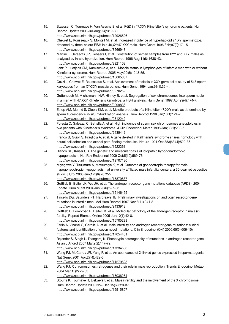- 15. Staessen C, Tournaye H, Van Assche E, et al. PGD in 47,XXY Klinefelter's syndrome patients. Hum Reprod Update 2003 Jul-Aug;9(4):319-30. http://www.ncbi.nlm.nih.gov/pubmed/12926526
- 16. Chevret E, Rousseaux S, Monteil M, et al. Increased incidence of hyperhaploid 24 XY spermatozoa detected by three-colour FISH in a 46,XY/47,XXY male. Hum Genet 1996 Feb;97(2):171-5. http://www.ncbi.nlm.nih.gov/pubmed/8566948
- 17. Martini E, Geraedts JP, Liebaers I, et al. Constitution of semen samples from XYY and XXY males as analysed by in-situ hybridization. Hum Reprod 1996 Aug;11(8):1638-43. http://www.ncbi.nlm.nih.gov/pubmed/8921108
- 18. Lenz P, Luetjens CM, Kamischke A, et al. Mosaic status in lymphocytes of infertile men with or without Klinefelter syndrome. Hum Reprod 2005 May;20(5):1248-55. http://www.ncbi.nlm.nih.gov/pubmed/15665007
- 19. Cozzi J, Chevret E, Rousseaux S, et al. Achievement of meiosis in XXY germ cells: study of 543 sperm karyotypes from an XY/XXY mosaic patient. Hum Genet 1994 Jan;93(1):32-4. http://www.ncbi.nlm.nih.gov/pubmed/8270252
- 20. Guttenbach M, Michelmann HW, Hinney B, et al. Segregation of sex chromosomes into sperm nuclei in a man with 47,XXY Klinefelter's karyotype: a FISH analysis. Hum Genet 1997 Apr;99(4):474-7. http://www.ncbi.nlm.nih.gov/pubmed/9099836
- 21. Estop AM, Munné S, Cieply KM, et al. Meiotic products of a Klinefelter 47,XXY male as determined by sperm fluorescence in-situ hybridization analysis. Hum Reprod 1998 Jan;13(1):124-7. http://www.ncbi.nlm.nih.gov/pubmed/9512242
- 22. Foresta C, Galeazzi C, Bettella A, et al. High incidence of sperm sex chromosomes aneuploidies in two patients with Klinefelter's syndrome. J Clin Endocrinol Metab 1998 Jan;83(1):203-5. http://www.ncbi.nlm.nih.gov/pubmed/9435442
- 23. Franco B, Guioli S, Pragliola A, et al. A gene deleted in Kallmann's syndrome shares homology with neural cell adhesion and axonal path-finding molecules. Nature 1991 Oct;353(6344):529-36. http://www.ncbi.nlm.nih.gov/pubmed/1922361
- 24. Bianco SD, Kaiser UB. The genetic and molecular basis of idiopathic hypogonadotropic hypogonadism. Nat Rev Endocrinol 2009 Oct;5(10):569-76. http://www.ncbi.nlm.nih.gov/pubmed/19707180
- 25. Miyagawa Y, Tsujimura A, Matsumiya K, et al. Outcome of gonadotropin therapy for male hypogonadotropic hypogonadism at university affiliated male infertility centers: a 30-year retrospective study. J Urol 2005 Jun;173(6):2072-5. http://www.ncbi.nlm.nih.gov/pubmed/15879837
- 26. Gottlieb B, Beitel LK, Wu JH, et al. The androgen receptor gene mutations database (ARDB): 2004 update. Hum Mutat 2004 Jun;23(6):527-33.
- http://www.ncbi.nlm.nih.gov/pubmed/15146455 27. Tincello DG, Saunders PT, Hargreave TB. Preliminary investigations on androgen receptor gene mutations in infertile men. Mol Hum Reprod 1997 Nov;3(11):941-3. http://www.ncbi.nlm.nih.gov/pubmed/9433918
- 28. Gottlieb B, Lombroso R, Beitel LK, et al. Molecular pathology of the androgen receptor in male (in) fertility. Reprod Biomed Online 2005 Jan;10(1):42-8. http://www.ncbi.nlm.nih.gov/pubmed/15705293
- 29. Ferlin A, Vinanzi C, Garolla A, et al. Male infertility and androgen receptor gene mutations: clinical features and identification of seven novel mutations. Clin Endocrinol (Oxf) 2006;65(5):606-10). http://www.ncbi.nlm.nih.gov/pubmed/17054461
- 30. Rajender S, Singh L, Thangaraj K. Phenotypic heterogeneity of mutations in androgen receptor gene. Asian J Androl 2007 Mar;9(2):147-79.
- http://www.ncbi.nlm.nih.gov/pubmed/17334586 31. Wang PJ, McCarrey JR, Yang F, et al. An abundance of X-linked genes expressed in spermatogonia.
- Nat Genet 2001 Apr;27(4):422-6.
- http://www.ncbi.nlm.nih.gov/pubmed/11279525
- 32. Wang PJ. X chromosomes, retrogenes and their role in male reproduction. Trends Endocrinol Metab 2004 Mar;15(2):79-83.
- http://www.ncbi.nlm.nih.gov/pubmed/15036254
- 33. Stouffs K, Tournaye H, Liebaers I, et al. Male infertility and the involvement of the X chromosome. Hum Reprod Update 2009 Nov-Dec;15(6):623-37. http://www.ncbi.nlm.nih.gov/pubmed/19515807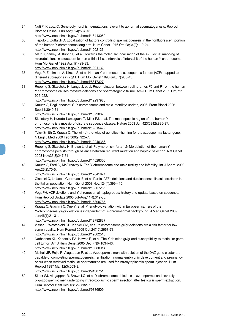Biomed Online 2008 Apr;16(4):504-13. http://www.ncbi.nlm.nih.gov/pubmed/18413059 35. Tiepolo L, Zuffardi O. Localization of factors controlling spermatogenesis in the nonfluorescent portion of the human Y chromosome long arm. Hum Genet 1976 Oct 28;34(2):119-24. http://www.ncbi.nlm.nih.gov/pubmed/1002136 36. Ma K, Sharkey, A, Kirsch S, et al. Towards the molecular localisation of the AZF locus: mapping of microdeletions in azoospermic men within 14 subintervals of interval 6 of the human Y chromosome. Hum Mol Genet 1992 Apr;1(1):29-33. http://www.ncbi.nlm.nih.gov/pubmed/1301132 37. Vogt P, Edelmann A, Kirsch S, et al. Human Y chromosome azoospermia factors (AZF) mapped to different subregions in Yq11. Hum Mol Genet 1996 Jul;5(7):933-43. http://www.ncbi.nlm.nih.gov/pubmed/8817327 38. Repping S, Skaletsky H, Lange J, et al. Recombination between palindromes P5 and P1 on the human Y chromosome causes massive deletions and spermatogenic failure. Am J Hum Genet 2002 Oct;71: 906-922. http://www.ncbi.nlm.nih.gov/pubmed/12297986 39. Krausz C, Degl'Innocenti S. Y chromosome and male infertility: update, 2006. Front Biosci 2006 Sep;11:3049-61. http://www.ncbi.nlm.nih.gov/pubmed/16720375 40. Skaletsky H, Kuroda-Kawaguchi T, Minx PJ, et al. The male-specific region of the human Y chromosome is a mosaic of discrete sequence classes. Nature 2003 Jun;423(6942):825-37. http://www.ncbi.nlm.nih.gov/pubmed/12815422 41. Tyler-Smith C, Krausz C. The will-o'-the-wisp of genetics--hunting for the azoospermia factor gene. N Engl J Med 2009 Feb;360(9):925-7. http://www.ncbi.nlm.nih.gov/pubmed/19246366 42. Repping S, Skaletsky H, Brown L, et al. Polymorphism for a 1.6-Mb deletion of the human Y chromosome persists through balance between recurrent mutation and haploid selection. Nat Genet 2003 Nov;35(3):247-51. http://www.ncbi.nlm.nih.gov/pubmed/14528305 43. Krausz C, Forti G, McElreavey K. The Y chromosome and male fertility and infertility. Int J Androl 2003 Apr;26(2):70-5. http://www.ncbi.nlm.nih.gov/pubmed/12641824 44. Giachini C, Laface I, Guarducci E, et al. Partial AZFc deletions and duplications: clinical correlates in the Italian population. Hum Genet 2008 Nov;124(4):399-410. http://www.ncbi.nlm.nih.gov/pubmed/18807255 45. Vogt PH. AZF deletions and Y chromosomal haplogroups: history and update based on sequence. Hum Reprod Update 2005 Jul-Aug;11(4):319-36. http://www.ncbi.nlm.nih.gov/pubmed/15890785 46. Krausz C, Giachini C, Xue Y, et al. Phenotypic variation within European carriers of the Y-chromosomal gr/gr deletion is independent of Y-chromosomal background. J Med Genet 2009 Jan;46(1):21-31. http://www.ncbi.nlm.nih.gov/pubmed/18782837 47. Visser L, Westerveld GH, Korver CM, et al. Y chromosome gr/gr deletions are a risk factor for low semen quality. Hum Reprod 2009 Oct;24(10):2667-73. http://www.ncbi.nlm.nih.gov/pubmed/19602516 48. Nathanson KL, Kanetsky PA, Hawes R, et al. The Y deletion gr/gr and susceptibility to testicular germ cell tumor. Am J Hum Genet 2005 Dec;77(6):1034-43. http://www.ncbi.nlm.nih.gov/pubmed/16380914 49. Mulhall JP, Reijo R, Alagappan R, et al. Azoospermic men with deletion of the DAZ gene cluster are capable of completing spermatogenesis: fertilization, normal embryonic development and pregnancy occur when retrieved testicular spermatozoa are used for intracytoplasmic sperm injection. Hum Reprod 1997 Mar;12(3):503-8. http://www.ncbi.nlm.nih.gov/pubmed/9130751 50. Silber SJ, Alagappan R, Brown LG, et al. Y chromosome deletions in azoospermic and severely oligozoospermic men undergoing intracytoplasmic sperm injection after testicular sperm extraction. Hum Reprod 1998 Dec;13(12):3332-7. http://www.ncbi.nlm.nih.gov/pubmed/9886509

34. Nuti F, Krausz C. Gene polymorphisms/mutations relevant to abnormal spermatogenesis. Reprod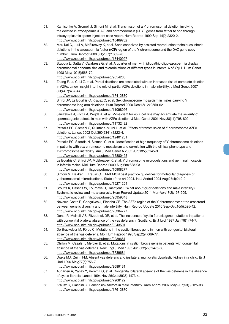- 51. Kamischke A, Gromoll J, Simoni M, et al. Transmisson of a Y chromosomal deletion involving the deleted in azoospermia (DAZ) and chromodomain (CDYI) genes from father to son through intracytoplasmic sperm injection: case report. Hum Reprod 1999 Sep;14(9):2320-2. http://www.ncbi.nlm.nih.gov/pubmed/10469702
- 52. Mau Kai C, Juul A, McElreavey K, et al. Sons conceived by assisted reproduction techniques inherit deletions in the azoospermia factor (AZF) region of the Y chromosome and the DAZ gene copy number. Hum Reprod 2008 Jul;23(7):1669-78. http://www.ncbi.nlm.nih.gov/pubmed/18440997
- 53. Stuppia L, Gatta V, Calabrese G, et al. A quarter of men with idiopathic oligo-azospermia display chromosomal abnormalities and microdeletions of different types in interval 6 of Yq11. Hum Genet 1998 May;102(5):566-70.
	- http://www.ncbi.nlm.nih.gov/pubmed/9654206
- 54. Zhang F, Lu C, Li Z, et al. Partial deletions are associated with an increased risk of complete deletion in AZFc: a new insight into the role of partial AZFc deletions in male infertility. J Med Genet 2007 Jul;44(7):437-44.

- 55. Siffroi JP, Le Bourhis C, Krausz C, et al. Sex chromosome mosaicism in males carrying Y chromosome long arm deletions. Hum Reprod 2000 Dec;15(12):2559-62. http://www.ncbi.nlm.nih.gov/pubmed/11098026
- 56. Jaruzelska J, Korcz A, Wojda A, et al. Mosaicism for 45,X cell line may accentuate the severity of spermatogenic defects in men with AZFc deletion. J Med Genet 2001 Nov;38(11):798-802. http://www.ncbi.nlm.nih.gov/pubmed/11732492
- 57. Patsalis PC, Sismani C, Quintana-Murci L, et al. Effects of transmission of Y chromosome AZFc deletions. Lancet 2002 Oct;360(9341):1222-4. http://www.ncbi.nlm.nih.gov/pubmed/12401251
- 58. Patsalis PC, Skordis N, Sismani C, et al. Identification of high frequency of Y chromosome deletions in patients with sex chromosome mosaicism and correlation with the clinical phenotype and Y-chromosome instability. Am J Med Genet A 2005 Jun;135(2):145-9. http://www.ncbi.nlm.nih.gov/pubmed/15880425
- 59. Le Bourhis C, Siffroi JP, McElreavey K, et al. Y chromosome microdeletions and germinal mosaicism in infertile males. Mol Hum Reprod 2000 Aug;6(8):688-93. http://www.ncbi.nlm.nih.gov/pubmed/10908277
- 60. Simoni M, Bakker E, Krausz C. EAA/EMQN best practice guidelines for molecular diagnosis of y-chromosomal microdeletions. State of the art 2004. Int J Androl 2004 Aug;27(4):240-9. http://www.ncbi.nlm.nih.gov/pubmed/15271204
- 61. Stouffs K, Lissens W, Tournaye H, Haentjens P.What about gr/gr deletions and male infertility? Systematic review and meta-analysis. Hum Reprod Update 2011 Mar-Apr;17(2):197-209. http://www.ncbi.nlm.nih.gov/pubmed/20959348
- 62. Navarro-Costa P, Gonçalves J, Plancha CE. The AZFc region of the Y chromosome: at the crossroad between genetic diversity and male infertility. Hum Reprod Update 2010 Sep-Oct;16(5):525-42. http://www.ncbi.nlm.nih.gov/pubmed/20304777
- 63. Donat R, McNeill AS, Fitzpatrick DR, et al. The incidence of cystic fibrosis gene mutations in patients with congenital bilateral absence of the vas deferens in Scotland. Br J Urol 1997 Jan;79(1):74-7. http://www.ncbi.nlm.nih.gov/pubmed/9043501
- 64. De Braekeleer M, Férec C. Mutations in the cystic fibrosis gene in men with congenital bilateral absence of the vas deferens. Mol Hum Reprod 1996 Sep;2(9):669-77. http://www.ncbi.nlm.nih.gov/pubmed/9239681
- 65. Chillón M, Casals T, Mercier B, et al. Mutations in cystic fibrosis gene in patients with congenital absence of the vas deferens. New Engl J Med 1995 Jun;332(22):1475-80. http://www.ncbi.nlm.nih.gov/pubmed/7739684
- 66. Drake MJ, Quinn FM. Absent vas deferens and ipsilateral multicystic dysplastic kidney in a child. Br J Urol 1996 May;77(5):756-7. http://www.ncbi.nlm.nih.gov/pubmed/8689131
- 67. Augarten A, Yahav Y, Kerem BS, et al. Congenital bilateral absence of the vas deferens in the absence of cystic fibrosis. Lancet 1994 Nov 26;344(8935):1473-4. http://www.ncbi.nlm.nih.gov/pubmed/7968122
- 68. Krausz C, Giachini C. Genetic risk factors in male infertility. Arch Androl 2007 May-Jun;53(3):125-33. http://www.ncbi.nlm.nih.gov/pubmed/17612870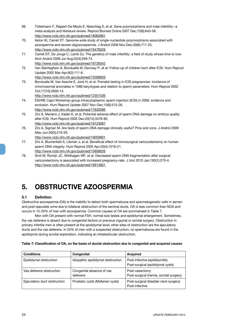- 69. Tüttelmann F, Rajpert-De Meyts E, Nieschlag E, et al. Gene polymorphisms and male infertility--a meta-analysis and literature review. Reprod Biomed Online 2007 Dec;15(6):643-58. http://www.ncbi.nlm.nih.gov/pubmed/18062861
- 70. Aston KI, Carrell DT. Genome-wide study of single-nucleotide polymorphisms associated with azoospermia and severe oligozoospermia. J Androl 2009 Nov-Dec;30(6):711-25. http://www.ncbi.nlm.nih.gov/pubmed/19478329
- 71. Carrell DT, De Jonge C, Lamb DJ. The genetics of male infertility: a field of study whose time is now. Arch Androl 2006 Jul-Aug;52(4):269-74. http://www.ncbi.nlm.nih.gov/pubmed/16728342
- 72. Van Steirteghem A, Bonduelle M, Devroey P, et al. Follow-up of children born after ICSI. Hum Reprod Update 2002 Mar-Apr;8(2):111-6.
	- http://www.ncbi.nlm.nih.gov/pubmed/12099626
- 73. Bonduelle M, Van Assche E, Joris H, et al. Prenatal testing in ICSI pregnancies: incidence of chromosomal anomalies in 1586 karyotypes and relation to sperm parameters. Hum Reprod 2002 Oct;17(10):2600-14.

- 74. ESHRE Capri Workshop group Intracytoplasmic sperm injection (ICSI) in 2006: evidence and evolution. Hum Reprod Update 2007 Nov-Dec;13(6):515-26. http://www.ncbi.nlm.nih.gov/pubmed/17630396
- 75. Zini A, Meriano J, Kader K, et al. Potential adverse effect of sperm DNA damage on embryo quality after ICSI. Hum Reprod 2005 Dec;20(12);3476-80. http://www.ncbi.nlm.nih.gov/pubmed/16123087
- 76. Zini A, Sigman M. Are tests of sperm DNA damage clinically useful? Pros and cons. J Androl 2009 May-Jun;30(3):219-29.

http://www.ncbi.nlm.nih.gov/pubmed/19059901

- 77. Zini A, Blumenfeld A, Libman J, et al. Beneficial effect of microsurgical varicocelectomy on human sperm DNA integrity. Hum Reprod 2005 Apr;20(4):1018-21. http://www.ncbi.nlm.nih.gov/pubmed/15608026
- 78. Smit M, Romijn JC, Wildhagen MF, et al. Decreased sperm DNA fragmentation after surgical varicocelectomy is associated with increased pregnancy rate. J Urol 2010 Jan;183(1):270-4. http://www.ncbi.nlm.nih.gov/pubmed/19913801

## **5. OBSTRUCTIVE AZOOSPERMIA**

### **5.1 Definition**

Obstructive azoospermia (OA) is the inability to detect both spermatozoa and spermatogenetic cells in semen and post-ejaculate urine due to bilateral obstruction of the seminal ducts. OA is less common than NOA and occurs in 15-20% of men with azoospermia. Common causes of OA are summarised in Table 7.

Men with OA present with normal FSH, normal size testes and epididymal enlargement. Sometimes, the vas deferens is absent due to congenital factors or previous inguinal or scrotal surgery. Obstruction in primary infertile men is often present at the epididymal level; other sites of obstruction are the ejaculatory ducts and the vas deferens. In 25% of men with a suspected obstruction, no spermatozoa are found in the epididymis during scrotal exploration, indicating an intratesticular obstruction.

| <b>Conditions</b>            | Congenital                            | <b>Acquired</b>                                                   |
|------------------------------|---------------------------------------|-------------------------------------------------------------------|
| Epididymal obstruction       | Idiopathic epididymal obstruction     | Post-infective (epididymitis)<br>Post-surgical (epididymal cysts) |
| Vas deferens obstruction     | Congenital absence of vas<br>deferens | Post-vasectomy<br>Post-surgical (hernia, scrotal surgery)         |
| Ejaculatory duct obstruction | Prostatic cysts (Müllerian cysts)     | Post-surgical (bladder neck surgery)<br>Post-infective            |

#### **Table 7: Classification of OA, on the basis of ductal obstruction due to congenital and acquired causes**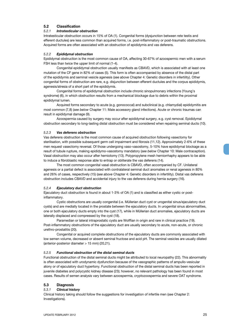#### **5.2 Classification**

#### *5.2.1 Intratesticular obstruction*

Intratesticular obstruction occurs in 15% of OA (1). Congenital forms (dysjunction between rete testis and efferent ductules) are less common than acquired forms, i.e. post-inflammatory or post-traumatic obstructions. Acquired forms are often associated with an obstruction of epididymis and vas deferens.

#### *5.2.2 Epididymal obstruction*

Epididymal obstruction is the most common cause of OA, affecting 30-67% of azoospermic men with a serum FSH less than twice the upper limit of normal (1-4).

Congenital epididymal obstruction usually manifests as CBAVD, which is associated with at least one mutation of the CF gene in 82% of cases (5). This form is often accompanied by absence of the distal part of the epididymis and seminal vesicle agenesis (*see above* Chapter 4: Genetic disorders in infertility). Other congenital forms of obstruction are rare, e.g. disjunction between efferent ductules and the corpus epididymis, agenesis/atresia of a short part of the epididymis.

Congenital forms of epididymal obstruction include chronic sinopulmonary infections (Young's syndrome) (6), in which obstruction results from a mechanical blockage due to debris within the proximal epididymal lumen.

Acquired forms secondary to acute (e.g. gonococcal) and subclinical (e.g. chlamydial) epididymitis are most common (7,8) (*see below* Chapter 11: Male accessory gland infections). Acute or chronic traumas can result in epididymal damage (9).

Azoospermia caused by surgery may occur after epididymal surgery, e.g. cyst removal. Epididymal obstruction secondary to long-lasting distal obstruction must be considered when repairing seminal ducts (10).

#### *5.2.3 Vas deferens obstruction*

Vas deferens obstruction is the most common cause of acquired obstruction following vasectomy for sterilisation, with possible subsequent germ cell impairment and fibrosis (11,12). Approximately 2-6% of these men request vasectomy reversal. Of those undergoing vaso-vasostomy, 5-10% have epididymal blockage as a result of tubule rupture, making epididymo-vasostomy mandatory (*see below* Chapter 10: Male contraception). Vasal obstruction may also occur after herniotomy (13). Polypropylene mesh herniorrhaphy appears to be able to induce a fibroblastic response able to entrap or obliterate the vas deferens (14).

The most common congenital vasal obstruction is CBAVD, often accompanied by CF. Unilateral agenesis or a partial defect is associated with contralateral seminal duct anomalies or renal agenesis in 80% and 26% of cases, respectively (15) (*see above* Chapter 4: Genetic disorders in infertility). Distal vas deferens obstruction includes CBAVD and accidental injury to the vas deferens during hernia surgery (16).

#### *5.2.4 Ejaculatory duct obstruction*

Ejaculatory duct obstruction is found in about 1-3% of OA (1) and is classified as either cystic or postinflammatory.

Cystic obstructions are usually congenital (i.e. Müllerian duct cyst or urogenital sinus/ejaculatory duct cysts) and are medially located in the prostate between the ejaculatory ducts. In urogenital sinus abnormalities, one or both ejaculatory ducts empty into the cyst (17), while in Müllerian duct anomalies, ejaculatory ducts are laterally displaced and compressed by the cyst (18).

Paramedian or lateral intraprostatic cysts are Wolffian in origin and rare in clinical practice (19). Post-inflammatory obstructions of the ejaculatory duct are usually secondary to acute, non-acute, or chronic urethro-prostatitis (20).

Congenital or acquired complete obstructions of the ejaculatory ducts are commonly associated with low semen volume, decreased or absent seminal fructose and acid pH. The seminal vesicles are usually dilated (anterior-posterior diameter > 15 mm) (20,21).

#### *5.2.5 Functional obstruction of the distal seminal ducts*

Functional obstruction of the distal seminal ducts might be attributed to local neuropathy (22). This abnormality is often associated with urodynamic dysfunction because of the vasographic patterns of ampullo-vesicular atony or of ejaculatory duct hypertony. Functional obstruction of the distal seminal ducts has been reported in juvenile diabetes and polycystic kidney disease (23); however, no relevant pathology has been found in most cases. Results of semen analysis vary between azoospermia, cryptozoospermia and severe OAT syndrome.

#### **5.3 Diagnosis**

#### *5.3.1 Clinical history*

Clinical history taking should follow the suggestions for investigation of infertile men (*see* Chapter 2: Investigations).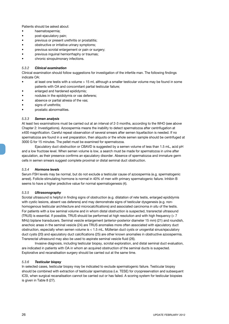Patients should be asked about:

- haematospermia;
- post-ejaculatory pain;
- previous or present urethritis or prostatitis;
- obstructive or irritative urinary symptoms;
- previous scrotal enlargement or pain or surgery;
- previous inguinal herniorrhaphy or traumas;
- chronic sinopulmonary infections.

#### *5.3.2 Clinical examination*

Clinical examination should follow suggestions for investigation of the infertile man. The following findings indicate OA:

- at least one testis with a volume > 15 ml, although a smaller testicular volume may be found in some patients with OA and concomitant partial testicular failure;
- enlarged and hardened epididymis;
- nodules in the epididymis or vas deferens;
- absence or partial atresia of the vas;
- signs of urethritis:
- prostatic abnormalities.

#### *5.3.3 Semen analysis*

At least two examinations must be carried out at an interval of 2-3 months, according to the WHO (*see above* Chapter 2: Investigations). Azoospermia means the inability to detect spermatozoa after centrifugation at x400 magnification. Careful repeat observation of several smears after semen liquefaction is needed. If no spermatozoa are found in a wet preparation, then aliquots or the whole semen sample should be centrifuged at 3000 G for 15 minutes. The pellet must be examined for spermatozoa.

Ejaculatory duct obstruction or CBAVD is suggested by a semen volume of less than 1.5 mL, acid pH and a low fructose level. When semen volume is low, a search must be made for spermatozoa in urine after ejaculation, as their presence confirms an ejaculatory disorder. Absence of spermatozoa and immature germ cells in semen smears suggest complete proximal or distal seminal duct obstruction.

#### *5.3.4 Hormone levels*

Serum FSH levels may be normal, but do not exclude a testicular cause of azoospermia (e.g. spermatogenic arrest). Follicle-stimulating hormone is normal in 40% of men with primary spermatogenic failure. Inhibin B seems to have a higher predictive value for normal spermatogenesis (4).

#### *5.3.5 Ultrasonography*

Scrotal ultrasound is helpful in finding signs of obstruction (e.g. dilatation of rete testis, enlarged epididymis with cystic lesions, absent vas deferens) and may demonstrate signs of testicular dysgenesis (e.g. nonhomogenous testicular architecture and microcalcifications) and associated carcinoma *in situ* of the testis. For patients with a low seminal volume and in whom distal obstruction is suspected, transrectal ultrasound (TRUS) is essential. If possible, TRUS should be performed at high resolution and with high frequency  $(>7$ MHz) biplane transducers. Seminal vesicle enlargement (anterior-posterior diameter 15 mm) (21) and roundish, anechoic areas in the seminal vesicle (24) are TRUS anomalies more often associated with ejaculatory duct obstruction, especially when semen volume is < 1.5 mL. Müllerian duct cysts or urogenital sinus/ejaculatory duct cysts (20) and ejaculatory duct calcifications (25) are other known anomalies in obstructive azoospermia. Transrectal ultrasound may also be used to aspirate seminal vesicle fluid (26).

Invasive diagnosis, including testicular biopsy, scrotal exploration, and distal seminal duct evaluation, are indicated in patients with OA in whom an acquired obstruction of the seminal ducts is suspected. Explorative and recanalisation surgery should be carried out at the same time.

#### *5.3.6 Testicular biopsy*

In selected cases, testicular biopsy may be indicated to exclude spermatogenic failure. Testicular biopsy should be combined with extraction of testicular spermatozoa (i.e. TESE) for cryopreservation and subsequent ICSI, when surgical recanalisation cannot be carried out or has failed. A scoring system for testicular biopsies is given in Table 8 (27).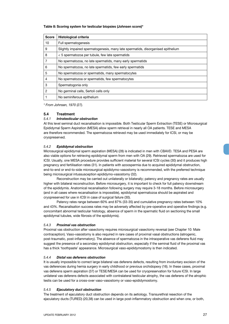#### **Table 8: Scoring system for testicular biopsies (Johnsen score)\***

| <b>Score</b> | <b>Histological criteria</b>                                                     |
|--------------|----------------------------------------------------------------------------------|
| 10           | Full spermatogenesis                                                             |
| 9            | Slightly impaired spermatogenesis, many late spermatids, disorganised epithelium |
| 8            | < 5 spermatozoa per tubule, few late spermatids                                  |
| 7            | No spermatozoa, no late spermatids, many early spermatids                        |
| 6            | No spermatozoa, no late spermatids, few early spermatids                         |
| 5            | No spermatozoa or spermatids, many spermatocytes                                 |
| 4            | No spermatozoa or spermatids, few spermatocytes                                  |
| 3            | Spermatogonia only                                                               |
| 2            | No germinal cells, Sertoli cells only                                            |
|              | No seminiferous epithelium                                                       |

*\* From Johnsen, 1970 (27).*

#### **5.4 Treatment**

#### *5.4.1 Intratesticular obstruction*

At this level seminal duct recanalisation is impossible. Both Testicular Sperm Extraction (TESE) or Microsurgical Epididymal Sperm Aspiration (MESA) allow sperm retrieval in nearly all OA patients. TESE and MESA are therefore recommended. The spermatozoa retrieved may be used immediately for ICSI, or may be cryopreserved.

#### *5.4.2 Epididymal obstruction*

Microsurgical epididymal sperm aspiration (MESA) (28) is indicated in men with CBAVD. TESA and PESA are also viable options for retrieving epididymal sperm from men with OA (29). Retrieved spermatozoa are used for ICSI. Usually, one MESA procedure provides sufficient material for several ICSI cycles (30) and it produces high pregnancy and fertilisation rates (31). In patients with azoospermia due to acquired epididymal obstruction, end-to-end or end-to-side microsurgical epididymo-vasostomy is recommended, with the preferred technique being microsurgical intussusception epididymo-vasostomy (32).

Reconstruction may be carried out unilaterally or bilaterally; patency and pregnancy rates are usually higher with bilateral reconstruction. Before microsurgery, it is important to check for full patency downstream of the epididymis. Anatomical recanalisation following surgery may require 3-18 months. Before microsurgery (and in all cases where recanalisation is impossible), epididymal spermatozoa should be aspirated and cryopreserved for use in ICSI in case of surgical failure (30).

Patency rates range between 60% and 87% (33-35) and cumulative pregnancy rates between 10% and 43%. Recanalisation success rates may be adversely affected by pre-operative and operative findings (e.g. concomitant abnormal testicular histology, absence of sperm in the spermatic fluid on sectioning the small epididymal tubules, wide fibrosis of the epididymis).

#### *5.4.3 Proximal vas obstruction*

Proximal vas obstruction after vasectomy requires microsurgical vasectomy reversal (*see* Chapter 10: Male contraception). Vaso-vasostomy is also required in rare cases of proximal vasal obstructions (iatrogenic, post-traumatic, post-inflammatory). The absence of spermatozoa in the intraoperative vas deferens fluid may suggest the presence of a secondary epididymal obstruction, especially if the seminal fluid of the proximal vas has a thick 'toothpaste' appearance. Microsurgical vaso-epididymostomy is then indicated.

#### *5.4.4 Distal vas deferens obstruction*

It is usually impossible to correct large bilateral vas deferens defects, resulting from involuntary excision of the vas deferences during hernia surgery in early childhood or previous orchidopexy (16). In these cases, proximal vas deferens sperm aspiration (37) or TESE/MESA can be used for cryopreservation for future ICSI. In large unilateral vas deferens defects associated with contralateral testicular atrophy, the vas deferens of the atrophic testis can be used for a cross-over vaso-vasostomy or vaso-epididymostomy.

#### *5.4.5 Ejaculatory duct obstruction*

The treatment of ejaculatory duct obstruction depends on its aetiology. Transurethral resection of the ejaculatory ducts (TURED) (20,38) can be used in large post-inflammatory obstruction and when one, or both,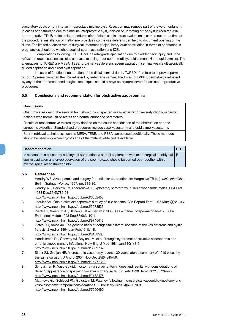ejaculatory ducts empty into an intraprostatic midline cyst. Resection may remove part of the verumontanum. In cases of obstruction due to a midline intraprostatic cyst, incision or unroofing of the cyst is required (20). Intra-operative TRUS makes this procedure safer. If distal seminal tract evaluation is carried out at the time of the procedure, installation of methylene blue dye into the vas deferens can help to document opening of the ducts. The limited success rate of surgical treatment of ejaculatory duct obstruction in terms of spontaneous pregnancies should be weighed against sperm aspiration and ICSI.

Complications following TURED include retrograde ejaculation due to bladder neck injury and urine reflux into ducts, seminal vesicles and vasa (causing poor sperm motility, acid semen pH and epididymitis). The alternatives to TURED are MESA, TESE, proximal vas deferens sperm aspiration, seminal vesicle ultrasonically guided aspiration and direct cyst aspiration.

In cases of functional obstruction of the distal seminal ducts, TURED often fails to improve sperm output. Spermatozoa can then be retrieved by antegrade seminal tract washout (38). Spermatozoa retrieved by any of the aforementioned surgical techniques should always be cryopreserved for assisted reproductive procedures.

#### **5.5 Conclusions and recommendation for obstructive azoospermia**

#### **Conclusions**

Obstructive lesions of the seminal tract should be suspected in azoospermic or severely oligozoospermic patients with normal-sized testes and normal endocrine parameters.

Results of reconstructive microsurgery depend on the cause and location of the obstruction and the surgeon's expertise. Standardised procedures include vaso-vasostomy and epididymo-vasostomy.

Sperm retrieval techniques, such as MESA, TESE, and PESA can be used additionally. These methods should be used only when cryostorage of the material obtained is available.

#### **Recommendation GR**

In azoospermia caused by epididymal obstruction, a scrotal exploration with microsurgical epididymal sperm aspiration and cryopreservation of the spermatozoa should be carried out, together with a microsurgical reconstruction (35). B

#### **5.6 References**

- 1. Hendry WF. Azoospermia and surgery for testicular obstruction. In: Hargreave TB (ed). *Male Infertility*. Berlin: Springer-Verlag, 1997, pp. 319-36.
- 2. Hendry WF, Parslow JM, Stedronska J. Exploratory scrototomy in 168 azoospermic males. Br J Urol 1983 Dec;55(6):785-91.
	- http://www.ncbi.nlm.nih.gov/pubmed/6652453
- 3. Jequier AM. Obstructive azoospermia: a study of 102 patients. Clin Reprod Fertil 1985 Mar;3(1):21-36. http://www.ncbi.nlm.nih.gov/pubmed/3978535
- 4. Pierik FH, Vreeburg JT, Stijnen T, et al. Serum inhibin B as a marker of spermatogenesis. J Clin Endocrinol Metab 1998 Sep;83(9):3110-4. http://www.ncbi.nlm.nih.gov/pubmed/9745412
- 5. Oates RD, Amos JA. The genetic basis of congenital bilateral absence of the vas deferens and cystic fibrosis. J Androl 1994 Jan-Feb;15(1):1-8.
	- http://www.ncbi.nlm.nih.gov/pubmed/8188533
- 6. Handelsman DJ, Conway AJ, Boylan LM, et al. Young's syndrome: obstructive azoospermia and chronic sinopulmonary infections. New Engl J Med 1984 Jan;310(1):3-9. http://www.ncbi.nlm.nih.gov/pubmed/6689737
- 7. Silber SJ, Grotjan HE. Microscopic vasectomy reversal 30 years later: a summary of 4010 cases by the same surgeon. J Androl 2004 Nov-Dec;25(6):845-59. http://www.ncbi.nlm.nih.gov/pubmed/15477352
- 8. Schoysman R. Vaso-epididymostomy a survey of techniques and results with considerations of delay of appearance of spermatozoa after surgery. Acta Eur Fertil 1990 Sep-Oct;21(5):239-45. http://www.ncbi.nlm.nih.gov/pubmed/2132475
- 9. Matthews GJ, Schlegel PN, Goldstein M. Patency following microsurgical vasoepididymostomy and vasovasostomy: temporal considerations. J Urol 1995 Dec154(6):2070-3. http://www.ncbi.nlm.nih.gov/pubmed/7500460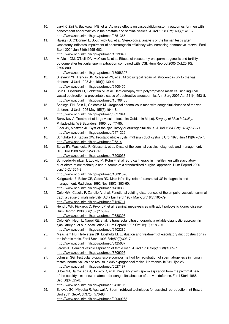- 10. Jarvi K, Zini A, Buckspan MB, et al. Adverse effects on vasoepididymostomy outcomes for men with concomitant abnormalities in the prostate and seminal vesicle. J Urol 1998 Oct;160(4):1410-2. http://www.ncbi.nlm.nih.gov/pubmed/9751365
- 11. Raleigh D, O'Donnell L, Southwick GJ, et al. Stereological analysis of the human testis after vasectomy indicates impairment of spermatogenic efficiency with increasing obstructive interval. Fertil Steril 2004 Jun;81(6):1595-603.

12. McVicar CM, O'Neill DA, McClure N, et al. Effects of vasectomy on spermatogenesis and fertility outcome after testicular sperm extraction combined with ICSI. Hum Reprod 2005 Oct;20(10): 2795-800.

http://www.ncbi.nlm.nih.gov/pubmed/15958397

- 13. Sheynkin YR, Hendin BN, Schlegel PN, et al. Microsurgical repair of iatrogenic injury to the vas deferens. J Urol 1998 Jan;159(1):139-41.
	- http://www.ncbi.nlm.nih.gov/pubmed/9400456
- 14. Shin D, Lipshultz LI, Goldstein M, et al. Herniorrhaphy with polypropylene mesh causing inguinal vassal obstruction: a preventable cause of obstructive azoospermia. Ann Surg 2005 Apr;241(4):553-8. http://www.ncbi.nlm.nih.gov/pubmed/15798455
- 15. Schlegel PN, Shin D, Goldstein M. Urogenital anomalies in men with congenital absence of the vas deferens. J Urol 1996 May;155(5):1644-8.

http://www.ncbi.nlm.nih.gov/pubmed/8627844

- 16. Borovikov A. Treatment of large vasal defects. In: Goldstein M (ed). *Surgery of Male Infertility*. Philadelphia: WB Saunders, 1995, pp. 77-95.
- 17. Elder JS, Mostwin JL. Cyst of the ejaculatory duct/urogenital sinus. J Urol 1984 Oct;132(4):768-71. http://www.ncbi.nlm.nih.gov/pubmed/6471229
- 18. Schuhrke TD, Kaplan GW. Prostatic utricle cysts (müllerian duct cysts). J Urol 1978 Jun;119(6):765-7. http://www.ncbi.nlm.nih.gov/pubmed/26814
- 19. Surya BV, Washecka R, Glasser J, et al. Cysts of the seminal vesicles: diagnosis and management. Br J Urol 1988 Nov;62(5):491-3.

http://www.ncbi.nlm.nih.gov/pubmed/3208033

20. Schroeder-Printzen I, Ludwig M, Kohn F, et al. Surgical therapy in infertile men with ejaculatory duct obstruction: technique and outcome of a standardized surgical approach. Hum Reprod 2000 Jun;15(6):1364-8.

http://www.ncbi.nlm.nih.gov/pubmed/10831570

- 21. Kuligowska E, Baker CE, Oates RD. Male infertility: role of transrectal US in diagnosis and management. Radiology 1992 Nov;185(2):353-60. http://www.ncbi.nlm.nih.gov/pubmed/1410338
- 22. Colpi GM, Casella F, Zanollo A, et al. Functional voiding disturbances of the ampullo-vesicular seminal tract: a cause of male infertility. Acta Eur Fertil 1987 May-Jun;18(3):165-79. http://www.ncbi.nlm.nih.gov/pubmed/3125711
- 23. Hendry WF, Rickards D, Pryor JP, et al. Seminal megavesicles with adult polycystic kidney disease. Hum Reprod 1998 Jun;13(6):1567-9.
- http://www.ncbi.nlm.nih.gov/pubmed/9688393
- 24. Colpi GM, Negri L, Nappi RE, et al. Is transrectal ultrasonography a reliable diagnostic approach in ejaculatory duct sub-obstruction? Hum Reprod 1997 Oct;12(10):2186-91. http://www.ncbi.nlm.nih.gov/pubmed/9402280
- 25. Meacham RB, Hellerstein DK, Lipshultz LI. Evaluation and treatment of ejaculatory duct obstruction in the infertile male. Fertil Steril 1993 Feb;59(2):393-7. http://www.ncbi.nlm.nih.gov/pubmed/8425637
- 26. Jarow JP. Seminal vesicle aspiration of fertile men. J Urol 1996 Sep;156(3):1005-7. http://www.ncbi.nlm.nih.gov/pubmed/8709296
- 27. Johnsen SG. Testicular biopsy score count-a method for registration of spermatogenesis in human testes: normal values and results in 335 hypogonadal males. Hormones 1970;1(1):2-25. http://www.ncbi.nlm.nih.gov/pubmed/5527187
- 28. Silber SJ, Balmaceda J, Borrero C, et al. Pregnancy with sperm aspiration from the proximal head of the epididymis: a new treatment for congenital absence of the vas deferens. Fertil Steril 1988 Sep;50(3):525-8.

http://www.ncbi.nlm.nih.gov/pubmed/3410105

29. Esteves SC, Miyaoka R, Agarwal A. Sperm retrieval techniques for assisted reproduction. Int Braz J Urol 2011 Sep-Oct;37(5): 570-83 http://www.ncbi.nlm.nih.gov/pubmed/22099268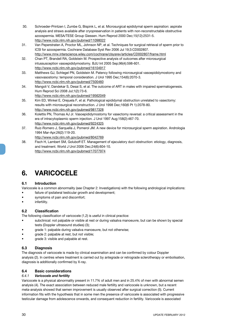- 30. Schroeder-Printzen I, Zumbe G, Bispink L, et al. Microsurgical epididymal sperm aspiration: aspirate analysis and straws available after cryopreservation in patients with non-reconstructable obstructive azoospermia. MESA/TESE Group Giessen. Hum Reprod 2000 Dec;15(12):2531-5. http://www.ncbi.nlm.nih.gov/pubmed/11098022
- 31. Van Peperstraten A, Proctor ML, Johnson NP, et al. Techniques for surgical retrieval of sperm prior to ICSI for azoospermia. Cochrane Database Syst Rev 2006 Jul 19;3:CD002807. http://www.mrw.interscience.wiley.com/cochrane/clsysrev/articles/CD002807/frame.html
- 32. Chan PT, Brandell RA, Goldstein M. Prospective analysis of outcomes after microsurgical intussusception vasoepididymostomy. BJU Int 2005 Sep;96(4):598-601. http://www.ncbi.nlm.nih.gov/pubmed/16104917
- 33. Matthews GJ, Schlegel PN, Goldstein M. Patency following microsurgical vasoepididymostomy and vasovasostomy: temporal consideration. J Urol 1995 Dec;154(6):2070-3. http://www.ncbi.nlm.nih.gov/pubmed/7500460
- 34. Mangoli V, Dandekar S, Desai S, et al. The outcome of ART in males with impaired spermatogenesis. Hum Reprod Sci 2008 Jul;1(2):73-6. http://www.ncbi.nlm.nih.gov/pubmed/19562049
- 35. Kim ED, Winkel E, Orejuela F, et al. Pathological epididymal obstruction unrelated to vasectomy: results with microsurgical reconstruction. J Urol 1998 Dec;160(6 Pt 1):2078-80. http://www.ncbi.nlm.nih.gov/pubmed/9817328
- 36. Kolettis PN, Thomas AJ Jr. Vasoepididymostomy for vasectomy reversal: a critical assessment in the era of intracytoplasmic sperm injection. J Urol 1997 Aug;158(2):467-70. http://www.ncbi.nlm.nih.gov/pubmed/9224325
- 37. Ruiz-Romero J, Sarquella J, Pomerol JM. A new device for microsurgical sperm aspiration. Andrologia 1994 Mar-Apr;26(2):119-20.
- http://www.ncbi.nlm.nih.gov/pubmed/8042769 38. Fisch H, Lambert SM, Goluboff ET. Management of ejaculatory duct obstruction: etiology, diagnosis, and treatment. World J Urol 2006 Dec;24(6):604-10. http://www.ncbi.nlm.nih.gov/pubmed/17077974

## **6. VARICOCELE**

#### **6.1 Introduction**

Varicocele is a common abnormality (*see* Chapter 2: Investigations) with the following andrological implications:

- failure of ipsilateral testicular growth and development;
- symptoms of pain and discomfort;
- infertility.

#### **6.2 Classification**

The following classification of varicocele (1,2) is useful in clinical practice:

- subclinical: not palpable or visible at rest or during valsalva manoeuvre, but can be shown by special tests (Doppler ultrasound studies) (3);
- grade 1: palpable during valsalva manoeuvre, but not otherwise;
- grade 2: palpable at rest, but not visible;
- grade 3: visible and palpable at rest.

#### **6.3 Diagnosis**

The diagnosis of varicocele is made by clinical examination and can be confirmed by colour Doppler analysis (2). In centres where treatment is carried out by antegrade or retrograde sclerotherapy or embolisation, diagnosis is additionally confirmed by X-ray.

#### **6.4 Basic considerations**

#### *6.4.1 Varicocele and fertility*

Varicocele is a physical abnormality present in 11.7% of adult men and in 25.4% of men with abnormal semen analysis (4). The exact association between reduced male fertility and varicocele is unknown, but a recent meta-analysis showed that semen improvement is usually observed after surgical correction (5). Current information fits with the hypothesis that in some men the presence of varicocele is associated with progressive testicular damage from adolescence onwards, and consequent reduction in fertility. Varicocele is associated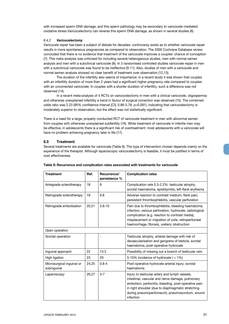with increased sperm DNA damage, and this sperm pathology may be secondary to varicocele-mediated oxidative stress.Varicocelectomy can reverse this sperm DNA damage, as shown in several studies (6).

#### *6.4.2 Varicocelectomy*

Varicocele repair has been a subject of debate for decades: controversy exists as to whether varicocele repair results in more spontaneous pregnancies as compared to observation. The 2009 Cochrane Database review concluded that there is no evidence that treatment of the varicocele improves a couples' chance of conception (7). This meta-analysis was criticised for including several heterogenous studies, men with normal semen analysis and men with a subclinical varicocele (8). In 3 randomised controlled studies varicocele repair in men with a subclinical varicocele was found to be ineffective (9-11). Also, studies of men with a varicocele and normal semen analysis showed no clear benefit of treatment over observation (12,13).

The duration of the infertility also seems of importance: in a recent study it was shown that couples with an infertility duration of more than 2 years had a significant higher pregnancy rate compared to couples with an uncorrected varicocele. In couples with a shorter duration of infertility, such a difference was not observed (14).

In a recent meta-analysis of 4 RCTs on varicocelectomy in men with a clinical varicocele, oligospermia and otherwise unexplained infertility a trend in favour of surgical correction was observed (15). The combined odds ratio was 2.23 (95% confidence interval [CI], 0.86-5.78; p=0.091), indicating that varicocelectomy is moderately superior to observation, but the effect was not statistically significant.

There is a need for a large, properly conducted RCT of varicocele treatment in men with abnormal semen from couples with otherwise unexplained subfertility (16). While treatment of varicocele in infertile men may be effective, in adolescents there is a significant risk of overtreatment: most adolescents with a varicocele will have no problem achieving pregnancy later in life (17).

#### **6.5 Treatment**

Several treatments are available for varicocele (Table 9). The type of intervention chosen depends mainly on the experience of the therapist. Although laparoscopic varicocelectomy is feasible, it must be justified in terms of cost effectiveness.

| <b>Treatment</b>                         | Ref.  | Recurrence/<br>persistence % | <b>Complication rates</b>                                                                                                                                                                                                                                                       |
|------------------------------------------|-------|------------------------------|---------------------------------------------------------------------------------------------------------------------------------------------------------------------------------------------------------------------------------------------------------------------------------|
| Antegrade sclerotherapy                  | 18    | 9                            | Complication rate 0.3-2.2%: testicular atrophy,<br>scrotal haematoma, epididymitis, left-flank erythema                                                                                                                                                                         |
| Retrograde sclerotherapy                 | 19    | 9.8                          | Adverse reaction to contrast medium, flank pain,<br>persistent thrombophlebitis, vascular perforation                                                                                                                                                                           |
| Retrograde embolisation                  | 20,21 | $3.8 - 10$                   | Pain due to thrombophlebitis, bleeding haematoma,<br>infection, venous perforation, hydrocele, radiological<br>complication (e.g. reaction to contrast media),<br>misplacement or migration of coils, retroperitoneal<br>haemorrhage, fibrosis, ureteric obstruction            |
| Open operation                           |       |                              |                                                                                                                                                                                                                                                                                 |
| Scrotal operation                        |       |                              | Testicular atrophy, arterial damage with risk of<br>devascularisation and gangrene of testicle, scrotal<br>haematoma, post-operative hydrocele                                                                                                                                  |
| Inguinal approach                        | 22    | 13.3                         | Possibility of missing out a branch of testicular vein                                                                                                                                                                                                                          |
| High ligation                            | 23    | 29                           | 5-10% incidence of hydrocele ( $<$ 1%)                                                                                                                                                                                                                                          |
| Microsurgical inguinal or<br>subinguinal | 24,25 | $0.8 - 4$                    | Post-operative hydrocele arterial injury, scrotal<br>haematoma                                                                                                                                                                                                                  |
| Laparoscopy                              | 26,27 | $3 - 7$                      | Injury to testicular artery and lymph vessels,<br>intestinal, vascular and nerve damage, pulmonary<br>embolism, peritonitis, bleeding, post-operative pain<br>in right shoulder (due to diaphragmatic stretching<br>during pneumoperitoneum), pneumoscrotum, wound<br>infection |

#### **Table 9: Recurrence and complication rates associated with treatments for varicocele**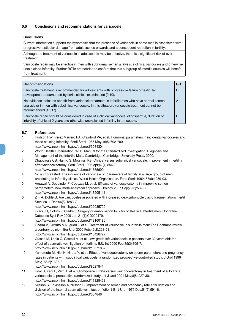#### **6.6 Conclusions and recommendations for varicocele**

#### **Conclusions**

Current information supports the hypothesis that the presence of varicocele in some men is associated with progressive testicular damage from adolescence onwards and a consequent reduction in fertility.

Although the treatment of varicocele in adolescents may be effective, there is a significant risk of overtreatment.

Varicocele repair may be effective in men with subnormal semen analysis, a clinical varicocele and otherwise unexplained infertility. Further RCTs are needed to confirm that this subgroup of infertile couples will benefit from treatment.

| <b>Recommendations</b>                                                                                                                                                                                                      | <b>GR</b> |
|-----------------------------------------------------------------------------------------------------------------------------------------------------------------------------------------------------------------------------|-----------|
| Varicocele treatment is recommended for adolescents with progressive failure of testicular<br>development documented by serial clinical examination (9,10).                                                                 | B         |
| No evidence indicates benefit from varicocele treatment in infertile men who have normal semen<br>analysis or in men with subclinical varicocele. In this situation, varicocele treatment cannot be<br>recommended (15-17). | A         |
| Varicocele repair should be considered in case of a clinical varicocele, oligospermia, duration of<br>infertility of at least 2 years and otherwise unexplained infertility in the couple.                                  | В         |

#### **6.7 References**

- 1. Hudson RW, Perez Marrero RA, Crawford VA, et al. Hormonal parameters in incidental varicoceles and those causing infertility. Fertil Steril 1986 May;45(5):692-700.
- http://www.ncbi.nlm.nih.gov/pubmed/3084304
- 2. World Health Organization. WHO Manual for the Standardized Investigation, Diagnosis and Management of the Infertile Male. Cambridge: Cambridge University Press, 2000.
- 3. Dhabuwala CB, Hamid S, Moghissi KS. Clinical versus subclinical varicocele: improvement in fertility after varicocelectomy. Fertil Steril 1992 Apr;57(4):854-7. http://www.ncbi.nlm.nih.gov/pubmed/1555699
- 4. No authors listed. The influence of varicocele on parameters of fertility in a large group of men presenting to infertility clinics. World Health Organisation. Fertil Steril 1992; 57(6):1289-93.
- 5. Argawal A, Deepinder F, Cocuzza M, et al. Efficacy of varicocelectomy in improving semen parqameters: new meta-analytical approach. Urology 2007 Sep;70(3):532-8. http://www.ncbi.nlm.nih.gov/pubmed/17905111
- 6. Zini A, Dohle G. Are varicoceles associated with increased deoxyribonucleic acid fragmentation? Fertil Steril 2011 Dec;96(6):1283-7.
	- http://www.ncbi.nlm.nih.gov/pubmed/22035729
- 7. Evers JH, Collins J, Clarke J. Surgery or embolisation for varicoceles in subfertile men. Cochrane Database Syst Rev 2009 Jan 21;(1):CD000479. http://www.ncbi.nlm.nih.gov/pubmed/19160180
- 8. Ficarra V, Cerruto MA, Iguori G et al. Treatment of varicocele in subfertile men: The Cochrane review a contrary opinion. Eur Urol 2006 Feb;49(2):258-63. http://www.ncbi.nlm.nih.gov/pubmed/16426727
- 9. Grasso M, Lania C, Castelli M, et al. Low-grade left varicocoele in patients over 30 years old: the effect of spermatic vein ligation on fertility. BJU Int 2000 Feb;85(3):305-7. http://www.ncbi.nlm.nih.gov/pubmed/10671887
- 10. Yamamoto M, Hibi H, Hirata Y, et al. Effect of varicocoelectomy on sperm parameters and pregnancy rates in patients with subclinical varicocele: a randomized prospective controlled study. J Urol 1996 May;155(5):1636-8.
	- http://www.ncbi.nlm.nih.gov/pubmed/8627841
- 11. Unal D, Yeni E, Verit A, et al. Clomiphene citrate versus varicocoelectomy in treatment of subclinical varicocoele: a prospective randomized study. Int J Urol 2001 May;8(5):227-30. http://www.ncbi.nlm.nih.gov/pubmed/11328423
- 12. Nilsson S, Edvinsson A, Nilsson B. Improvement of semen and pregnancy rate after ligation and division of the internal spermatic vein: fact or fiction? Br J Urol 1979 Dec;51(6):591-6. http://www.ncbi.nlm.nih.gov/pubmed/534846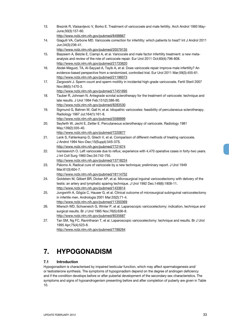- 13. Breznik R, Vlaisavljevic V, Borko E. Treatment of varicocoele and male fertility. Arch Androl 1993 May-June;30(3):157-60.
	- http://www.ncbi.nlm.nih.gov/pubmed/8498867
- 14. Giagulli VA, Carbone MD. Varicocele correction for infertility: which patients to treat? Int J Androl 2011 Jun;34(3):236-41.
	- http://www.ncbi.nlm.nih.gov/pubmed/20579135
- 15. Baazeem A, Belzile E, Ciampi A, et al. Varicocele and male factor infertility treatment: a new metaanalysis and review of the role of varicocele repair. Eur Urol 2011 Oct;60(4):796-808. http://www.ncbi.nlm.nih.gov/pubmed/21733620
- 16. Abdel-Meguid, TA, Al-Sayyad A, Tayib A, et al. Does varicocele repair improve male infertility? An evidence-based perspective from a randomized, controlled trial. Eur Urol 2011 Mar;59(3):455-61. http://www.ncbi.nlm.nih.gov/pubmed/21196073
- 17. Zargooshi J. Sperm count and sperm motility in incidental high-grade varicocoele. Fertil Steril 2007 Nov;88(5):1470-3. http://www.ncbi.nlm.nih.gov/pubmed/17451695
- 18. Tauber R, Johnsen N. Antegrade scrotal sclerotherapy for the treatment of varicocele: technique and late results. J Urol 1994 Feb;151(2):386-90. http://www.ncbi.nlm.nih.gov/pubmed/8283530
- 19. Sigmund G, Bahren W, Gall H, et al. Idiopathic varicoceles: feasibility of percutaneous sclerotherapy. Radiology 1987 Jul;164(1):161-8. http://www.ncbi.nlm.nih.gov/pubmed/3588899
- 20. Seyferth W, Jecht E, Zeitler E. Percutaneous sclerotherapy of varicocele. Radiology 1981 May;139(2):335-40. http://www.ncbi.nlm.nih.gov/pubmed/7220877
- 21. Lenk S, Fahlenkamp D, Gliech V, et al. Comparison of different methods of treating varicocele. J Androl 1994 Nov-Dec;15(Suppl):34S-37S. http://www.ncbi.nlm.nih.gov/pubmed/7721674
- 22. Ivanissevich O. Left varicocele due to reflux; experience with 4,470 operative cases in forty-two years. J Int Coll Surg 1960 Dec;34:742-755.
	- http://www.ncbi.nlm.nih.gov/pubmed/13718224
- 23. Palomo A. Radical cure of varicocele by a new technique; preliminary report. J Urol 1949 Mar;61(3):604-7.
	- http://www.ncbi.nlm.nih.gov/pubmed/18114752
- 24. Goldstein M, Gilbert BR, Dicker AP, et al. Microsurgical inguinal varicocelectomy with delivery of the testis: an artery and lymphatic sparing technique. J Urol 1992 Dec;148(6):1808-11. http://www.ncbi.nlm.nih.gov/pubmed/1433614
- 25. Jungwirth A, Gögüs C, Hauser G, et al. Clinical outcome of microsurgical subinguinal varicocelectomy in infertile men. Andrologia 2001 Mar;33(2):71-4. http://www.ncbi.nlm.nih.gov/pubmed/11350369
- 26. Miersch WD, Schoeneich G, Winter P, et al. Laparoscopic varicocelectomy: indication, technique and surgical results. Br J Urol 1995 Nov;76(5):636-8.
- http://www.ncbi.nlm.nih.gov/pubmed/8535687 27. Tan SM, Ng FC, Ravintharan T, et al. Laparoscopic varicocelectomy: technique and results. Br J Urol 1995 Apr;75(4):523-8.

## **7. HYPOGONADISM**

#### **7.1 Introduction**

Hypogonadism is characterised by impaired testicular function, which may affect spermatogenesis and/ or testosterone synthesis. The symptoms of hypogonadism depend on the degree of androgen deficiency and if the condition develops before or after pubertal development of the secondary sex characteristics. The symptoms and signs of hypoandrogenism presenting before and after completion of puberty are given in Table 10.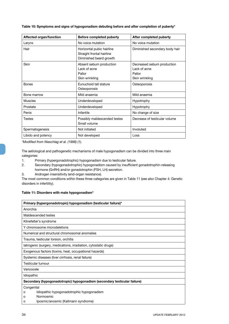| Affected organ/function | Before completed puberty                                                          | After completed puberty                                                |
|-------------------------|-----------------------------------------------------------------------------------|------------------------------------------------------------------------|
| Larynx                  | No voice mutation                                                                 | No voice mutation                                                      |
| Hair                    | Horizontal pubic hairline<br>Straight frontal hairline<br>Diminished beard growth | Diminished secondary body hair                                         |
| <b>Skin</b>             | Absent sebum production<br>Lack of acne<br>Pallor<br>Skin wrinkling               | Decreased sebum production<br>Lack of acne<br>Pallor<br>Skin wrinkling |
| <b>Bones</b>            | Eunuchoid tall stature<br>Osteoporosis                                            | Osteoporosis                                                           |
| Bone marrow             | Mild anaemia                                                                      | Mild anaemia                                                           |
| <b>Muscles</b>          | Underdeveloped                                                                    | Hypotrophy                                                             |
| Prostate                | Underdeveloped                                                                    | Hypotrophy                                                             |
| Penis                   | Infantile                                                                         | No change of size                                                      |
| Testes                  | Possibly maldescended testes<br>Small volume                                      | Decrease of testicular volume                                          |
| Spermatogenesis         | Not initiated                                                                     | Involuted                                                              |
| Libido and potency      | Not developed                                                                     | Loss                                                                   |

**Table 10: Symptoms and signs of hypogonadism debuting before and after completion of puberty\***

*\*Modified from Nieschlag et al. (1998) (1).*

The aetiological and pathogenetic mechanisms of male hypogonadism can be divided into three main categories:

- 1. Primary (hypergonadotrophic) hypogonadism due to testicular failure.
- 2. Secondary (hypogonadotrophic) hypogonadism caused by insufficient gonadotrophin-releasing hormone (GnRH) and/or gonadotrophin (FSH, LH) secretion.
- 3. Androgen insensitivity (end-organ resistance).

The most common conditions within these three categories are given in Table 11 (*see also* Chapter 4: Genetic disorders in infertility).

#### **Table 11: Disorders with male hypogonadism\***

| Primary (hypergonadotropic) hypogonadism (testicular failure)*           |
|--------------------------------------------------------------------------|
| Anorchia                                                                 |
| Maldescended testes                                                      |
| Klinefelter's syndrome                                                   |
| Y chromosome microdeletions                                              |
| Numerical and structural chromosomal anomalies                           |
| Trauma, testicular torsion, orchitis                                     |
| latrogenic (surgery, medications, irradiation, cytostatic drugs)         |
| Exogenous factors (toxins, heat, occupational hazards)                   |
| Systemic diseases (liver cirrhosis, renal failure)                       |
| Testicular tumour                                                        |
| Varicocele                                                               |
| Idiopathic                                                               |
| Secondary (hypogonadotropic) hypogonadism (secondary testicular failure) |
| Congenital                                                               |
| Idiopathic hypogonadotrophic hypogonadism<br>о                           |
| Normosmic<br>O                                                           |
| Iposmic/anosmic (Kallmann syndrome)<br>ο                                 |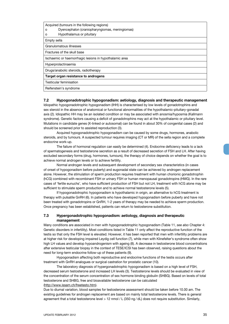| Acquired (tumours in the following regions)<br>Dyencephalon (craniopharyngiomas, meningiomas)<br>o<br>Hypothalamus or pituitary<br>о |
|--------------------------------------------------------------------------------------------------------------------------------------|
| Empty sella                                                                                                                          |
| Granulomatous illnesses                                                                                                              |
| Fractures of the skull base                                                                                                          |
| Ischaemic or haemorrhagic lesions in hypothalamic area                                                                               |
| Hyperprolactinaemia                                                                                                                  |
| Drugs/anabolic steroids, radiotherapy                                                                                                |
| Target organ resistance to androgens                                                                                                 |
| Testicular feminisation                                                                                                              |
| Reifenstein's syndrome                                                                                                               |

#### **7.2 Hypogonadotrophic hypogonadism: aetiology, diagnosis and therapeutic management**

Idiopathic hypogonadotrophic hypogonadism (IHH) is characterised by low levels of gonadotrophins and sex steroid in the absence of anatomical or functional abnormalities of the hypothalamic-pituitary-gonadal axis (2). Idiopathic HH may be an isolated condition or may be associated with anosmia/hyposmia (Kallmann syndrome). Genetic factors causing a deficit of gonadotrophins may act at the hypothalamic or pituitary level. Mutations in candidate genes (X-linked or autosomal) can be found in about 30% of congenital cases (2) and should be screened prior to assisted reproduction (3).

Acquired hypogonadotrophic hypogonadism can be caused by some drugs, hormones, anabolic steroids, and by tumours. A suspected tumour requires imaging (CT or MR) of the sella region and a complete endocrine work-up.

The failure of hormonal regulation can easily be determined (4). Endocrine deficiency leads to a lack of spermatogenesis and testosterone secretion as a result of decreased secretion of FSH and LH. After having excluded secondary forms (drug, hormones, tumours), the therapy of choice depends on whether the goal is to achieve normal androgen levels or to achieve fertility.

Normal androgen levels and subsequent development of secondary sex characteristics (in cases of onset of hypogonadism before puberty) and eugonadal state can be achieved by androgen replacement alone. However, the stimulation of sperm production requires treatment with human chorionic gonadotrophin (hCG) combined with recombinant FSH or urinary FSH or human menopausal gonadotropins (HMG). In the rare cases of 'fertile eunuchs', who have sufficient production of FSH but not LH, treatment with hCG alone may be sufficient to stimulate sperm production and to achieve normal testosterone levels (5).

If hypogonadotrophic hypogonadism is hypothalamic in origin, an alternative to hCG treatment is therapy with pulsatile GnRH (6). In patients who have developed hypogonadism before puberty and have not been treated with gonadotropins or GnRH, 1-2 years of therapy may be needed to achieve sperm production. Once pregnancy has been established, patients can return to testosterone substitution.

#### **7.3 Hypergonadotrophic hypogonadism: aetiology, diagnosis and therapeutic management**

Many conditions are associated in men with hypogonadotrophic hypogonadism (Table 11, *see also* Chapter 4: Genetic disorders in infertility). Most conditions listed in Table 11 only affect the reproductive function of the testis so that only the FSH level is elevated. However, it has been reported that men with infertility problems are at higher risk for developing impaired Leydig cell function (7), while men with Klinefelter's syndrome often show high LH values and develop hypoandrogenism with ageing (8). A decrease in testosterone blood concentrations after extensive testicular biopsy in the context of TESE/ICSI has been observed, raising questions about the need for long-term endocrine follow-up of these patients (9).

Hypogonadism affecting both reproductive and endocrine functions of the testis occurs after treatment with GnRH analogues or surgical castration for prostatic cancer (10).

The laboratory diagnosis of hypergonadotrophic hypogonadism is based on a high level of FSH, decreased serum testosterone and increased LH levels (3). Testosterone levels should be evaluated in view of the concentration of the serum concentration of sex hormone binding globulin (SHBG). Based on levels of total testosterone and SHBG, free and bioavailable testosterone can be calculated (http://www.issam.ch/freetesto.htm).

Due to diurnal variation, blood samples for testosterone assessment should be taken before 10.00 am. The existing guidelines for androgen replacement are based on mainly total testosterone levels. There is general agreement that a total testosterone level > 12 nmol / L (350 ng / dL) does not require substitution. Similarly,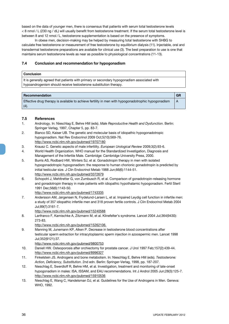based on the data of younger men, there is consensus that patients with serum total testosterone levels < 8 nmol / L (230 ng / dL) will usually benefit from testosterone treatment. If the serum total testosterone level is between 8 and 12 nmol/L, testosterone supplementation is based on the presence of symptoms.

In obese men, decision-making may be helped by measuring total testosterone with SHBG to calculate free testosterone or measurement of free testosterone by equilibrium dialysis (11). Injectable, oral and transdermal testosterone preparations are available for clinical use (3). The best preparation to use is one that maintains serum testosterone levels as near as possible to physiological concentrations (11-13).

#### **7.4 Conclusion and recommendation for hypogonadism**

#### **Conclusion**

It is generally agreed that patients with primary or secondary hypogonadism associated with hypoandrogenism should receive testosterone substitution therapy.

| $\mid$ Recommendation $\mid$                                                                                | <b>GR</b> |
|-------------------------------------------------------------------------------------------------------------|-----------|
| Effective drug therapy is available to achieve fertility in men with hypogonadotrophic hypogonadism<br>(4). | A         |

#### **7.5 References**

- 1. Andrology. In: Nieschlag E, Behre HM (eds). *Male Reproductive Health and Dysfunction*. Berlin: Springer Verlag, 1997, Chapter 5, pp. 83-7.
- 2. Bianco SD, Kaiser UB. The genetic and molecular basis of idiopathic hypogonadotropic hypogonadism. Nat Rev Endocrinol 2009 Oct;5(10):569-76. http://www.ncbi.nlm.nih.gov/pubmed/19707180
- 3. Krausz C. Genetic aspects of male infertility. *European Urological Review* 2009;3(2):93-6.
- 4. World Health Organization. WHO manual for the Standardized Investigation, Diagnosis and Management of the Infertile Male. Cambridge: Cambridge University Press, 2000.
- 5. Burris AS, Rodbard HW, Winters SJ, et al. Gonadotropin therapy in men with isolated hypogonadotropic hypogonadism: the response to human chorionic gonadotropin is predicted by initial testicular size. J Clin Endocrinol Metab 1988 Jun;66(6):1144-51. http://www.ncbi.nlm.nih.gov/pubmed/3372679
- 6. Schopohl J, Mehltretter G, von Zumbusch R, et al. Comparison of gonadotropin-releasing hormone and gonadotropin therapy in male patients with idiopathic hypothalamic hypogonadism. Fertil Steril 1991 Dec;56(6):1143-50.
	- http://www.ncbi.nlm.nih.gov/pubmed/1743335
- 7. Andersson AM, Jørgensen N, Frydelund-Larsen L, et al. Impaired Leydig cell function in infertile men: a study of 357 idiopathic infertile men and 318 proven fertile controls. J Clin Endocrinol Metab 2004 Jul;89(7):3161-7.
	- http://www.ncbi.nlm.nih.gov/pubmed/15240588
- 8. Lanfranco F, Kamischke A, Zitzmann M, et al. Klinefelter's syndrome. Lancet 2004 Jul;364(9430): 273-83.
	- http://www.ncbi.nlm.nih.gov/pubmed/15262106.
- 9. Manning M, Junemann KP, Alken P. Decrease in testosterone blood concentrations after testicular sperm extraction for intracytoplasmic sperm injection in azoospermic men. Lancet 1998 Jul;352(9121):37.
	- http://www.ncbi.nlm.nih.gov/pubmed/9800753
- 10. Daniell HW. Osteoporosis after orchiectomy for prostate cancer. J Urol 1997 Feb;157(2):439-44. http://www.ncbi.nlm.nih.gov/pubmed/8996327
- 11. Finkelstein JS. Androgens and bone metabolism. In: Nieschlag E, Behre HM (eds). *Testosterone: Action, Deficiency, Substitution*. 2nd edn. Berlin: Springer-Verlag, 1998, pp. 187-207.
- 12. Nieschlag E, Swerdloff R, Behre HM, et al. Investigation, treatment and monitoring of late-onset hypogonadism in males: ISA, ISSAM, and EAU recommendations. Int J Androl 2005 Jun;28(3):125-7. http://www.ncbi.nlm.nih.gov/pubmed/15910536
- 13. Nieschlag E, Wang C, Handelsman DJ, et al. Guidelines for the Use of Androgens in Men. Geneva: WHO, 1992.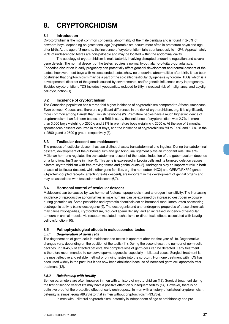## **8. CRYPTORCHIDISM**

#### **8.1 Introduction**

Cryptorchidism is the most common congenital abnormality of the male genitalia and is found in 2-5% of newborn boys, depending on gestational age (cryptorchidism occurs more often in premature boys) and age after birth. At the age of 3 months, the incidence of cryptorchidism falls spontaneously to 1-2%. Approximately 20% of undescended testes are non-palpable and may be located within the abdominal cavity.

The aetiology of cryptorchidism is multifactorial, involving disrupted endocrine regulation and several gene defects. The normal descent of the testes requires a normal hypothalamo-pituitary-gonadal axis. Endocrine disruption in early pregnancy can potentially affect gonadal development and normal descent of the testes; however, most boys with maldescended testes show no endocrine abnormalities after birth. It has been postulated that cryptorchidism may be a part of the so-called testicular dysgenesis syndrome (TDS), which is a developmental disorder of the gonads caused by environmental and/or genetic influences early in pregnancy. Besides cryptorchidism, TDS includes hypospadias, reduced fertility, increased risk of malignancy, and Leydig cell dysfunction (1).

#### **8.2 Incidence of cryptorchidism**

The Caucasian population has a three-fold higher incidence of cryptorchidism compared to African-Americans. Even between Caucasians, there are significant differences in the risk of cryptorchidism, e.g. it is significantly more common among Danish than Finnish newborns (2). Premature babies have a much higher incidence of cryptorchidism than full-term babies. In a British study, the incidence of cryptorchidism was 2.7% in more than 3,000 boys weighing > 2500 g and 21% in premature boys weighing < 2500 g. At the age of 3 months, spontaneous descent occurred in most boys, and the incidence of cryptorchidism fell to 0.9% and 1.7%, in the  $>$  2500 g and  $<$  2500 g group, respectively (3).

#### **8.3 Testicular descent and maldescent**

The process of testicular descent has two distinct phases: transabdominal and inguinal. During transabdominal descent, development of the gubernaculum and genitoinguinal ligament plays an important role. The anti-Müllerian hormone regulates the transabdominal descent of the testes. Induction of the gubernaculum depends on a functional Insl3 gene in mice (4). This gene is expressed in Leydig cells and its targeted deletion causes bilateral cryptorchidism with free-moving testes and genital ducts (5). Androgens play an important role in both phases of testicular descent, while other gene families, e.g. the homeobox (HOX) and GREAT/RXFP2 genes (G-protein-coupled receptor affecting testis descent), are important in the development of genital organs and may be associated with testicular maldescent (6,7).

#### **8.4 Hormonal control of testicular descent**

Maldescent can be caused by two hormonal factors: hypogonadism and androgen insensitivity. The increasing incidence of reproductive abnormalities in male humans can be explained by increased oestrogen exposure during gestation (8). Some pesticides and synthetic chemicals act as hormonal modulators, often possessing oestrogenic activity (xeno-oestrogens) (9). The oestrogenic and anti-androgenic properties of these chemicals may cause hypospadias, cryptorchidism, reduced sperm density, and an increased incidence of testicular tumours in animal models, via receptor-mediated mechanisms or direct toxic effects associated with Leydig cell dysfunction (10).

#### **8.5 Pathophysiological effects in maldescended testes**

#### *8.5.1 Degeneration of germ cells*

The degeneration of germ cells in maldescended testes is apparent after the first year of life. Degenerative changes vary, depending on the position of the testis (11). During the second year, the number of germ cells declines. In 10-45% of affected patients, the complete loss of germ cells can be detected. Early treatment is therefore recommended to conserve spermatogenesis, especially in bilateral cases. Surgical treatment is the most effective and reliable method of bringing testes into the scrotum. Hormone treatment with hCG has been used widely in the past, but it has now been abolished because of increased germ cell apoptosis after treatment (12).

#### *8.5.2 Relationship with fertility*

Semen parameters are often impaired in men with a history of cryptorchidism (13). Surgical treatment during the first or second year of life may have a positive effect on subsequent fertility (14). However, there is no definitive proof of the protective effect of early orchidopexy. In men with a history of unilateral cryptorchidism, paternity is almost equal (89.7%) to that in men without cryptorchidism (93.7%).

In men with unilateral cryptorchidism, paternity is independent of age at orchidopexy and pre-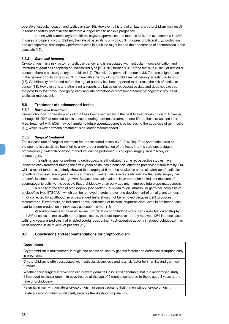operative testicular location and testicular size (15). However, a history of unilateral cryptorchidism may result in reduced fertility potential and therefore a longer time to achieve pregnancy.

In men with bilateral cryptorchidism, oligozoospermia can be found in 31% and azoospermia in 42%. In cases of bilateral cryptorchidism, the rate of paternity is only 35-53%. In cases of bilateral cryptorchidism and azoospermia, orchidopexy performed even in adult life might lead to the appearance of spermatozoa in the ejaculate (16).

#### *8.5.3 Germ cell tumours*

Cryptorchidism is a risk factor for testicular cancer and is associated with testicular microcalcification and intratubular germ cell neoplasia of unclassified type [ITGCNU] former "CIS" of the testis. In 5-10% of testicular cancers, there is a history of cryptorchidism (17). The risk of a germ cell tumour is 3.6-7.4 times higher than in the general population and 2-6% of men with a history of cryptorchidism will develop a testicular tumour (17). Orchidopexy preformed before the age of puberty has been reported to decrease the risk of testicular cancer (18). However, this and other similar reports are based on retrospective data and does not exclude the possibility that boys undergoing early and late orchidopexy represent different pathogenetic groups of testicular maldescent.

#### **8.6 Treatment of undescended testes**

#### *8.6.1 Hormonal treatment*

Human chorionic gonadotrophin or GnRH has been used widely in the past to treat cryptorchidism. However, although 15-20% of retained testes descend during hormonal treatment, one-fifth of these re-ascend later. Also, treatment with hCG may be harmful to future spermatogenesis by increasing the apoptosis of germ cells (12), which is why hormonal treatment is no longer recommended.

#### *8.6.2 Surgical treatment*

The success rate of surgical treatment for undescended testes is 70-90% (19). If the spermatic cords or the spermatic vessels are too short to allow proper mobilisation of the testis into the scrotum, a staged orchidopexy (Fowler-Stephenson procedure) can be performed, using open surgery, laparoscopy or microsurgery.

The optimal age for performing orchidopexy is still debated. Some retrospective studies have indicated early treatment (during the first 2 years of life) has a beneficial effect on preserving future fertility (20), while a recent randomised study showed that surgery at 9 months resulted in a partial catch-up of testicular growth until at least age 4 years versus surgery at 3 years. The results clearly indicate that early surgery has a beneficial effect on testicular growth. Because testicular volume is an approximate indirect measure of spermatogenic activity, it is possible that orchidopexy at an early age might improve future spermatogenesis.

A biopsy at the time of orchidopexy (*see section* 8.5.3) can reveal intratubular germ cell neoplasia of unclassified type [ITGCNU], which can be removed thereby preventing development of a malignant tumour. If not corrected by adulthood, an undescended testis should not be removed because it still produces testosterone. Furthermore, as indicated above, correction of bilateral cryptorchidism, even in adulthood, can lead to sperm production in previously azoospermic men (16).

Vascular damage is the most severe complication of orchidopexy and can cause testicular atrophy in 1-2% of cases. In males with non-palpable testes, the post-operative atrophy rate was 12% in those cases with long vascular pedicles that enabled scrotal positioning. Post-operative atrophy in staged ochidopexy has been reported in up to 40% of patients (19).

#### **8.7 Conclusions and recommendations for cryptorchidism**

#### **Conclusions**

Cryptorchidism is multifactorial in origin and can be caused by genetic factors and endocrine disruption early in pregnancy.

Cryptorchidism is often associated with testicular dysgenesis and is a risk factor for infertility and germ cell tumours.

Whether early surgical intervention can prevent germ cell loss is still debatable, but in a randomised study it improved testicular growth in boys treated at the age of 9 months compared to those aged 3 years at the time of orchidopexy.

Paternity in men with unilateral cryptorchidism in almost equal to that in men without cryptorchidism.

Bilateral cryptorchidism significantly reduces the likelihood of paternity.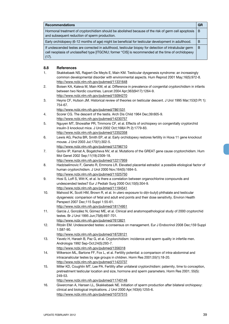| <b>Recommendations</b>                                                                                                                                                                                                 | GR |
|------------------------------------------------------------------------------------------------------------------------------------------------------------------------------------------------------------------------|----|
| Hormonal treatment of cryptorchidism should be abolished because of the risk of germ cell apoptosis<br>and subsequent reduction of sperm production.                                                                   | B  |
| Early orchidopexy (6-12 months of age) might be beneficial for testicular development in adulthood.                                                                                                                    | B  |
| If undescended testes are corrected in adulthood, testicular biopsy for detection of intratubular germ<br>cell neoplasia of unclassified type [ITGCNU; former "CIS] is recommended at the time of orchidopexy<br>(17). | B  |

#### **8.8 References**

- 1. Skakkebaek NS, Rajpert-De Meyts E, Main KM. Testicular dysgenesis syndrome: an increasingly common developmental disorder with environmental aspects. Hum Reprod 2001 May;16(5):972-8. http://www.ncbi.nlm.nih.gov/pubmed/11331648
- 2. Boisen KA, Kaleva M, Main KM, et al. Difference in prevalence of congenital cryptorchidism in infants between two Nordic countries. Lancet 2004 Apr;363(9417):1264-9. http://www.ncbi.nlm.nih.gov/pubmed/15094270
- 3. Heyns CF, Hutson JM. Historical review of theories on testicular descent. J Urol 1995 Mar;153(3 Pt 1): 754-67.
	- http://www.ncbi.nlm.nih.gov/pubmed/7861531
- 4. Scorer CG. The descent of the testis. Arch Dis Child 1964 Dec;39:605-9. http://www.ncbi.nlm.nih.gov/pubmed/14230757
- 5. Nguyen MT, Showalter PR, Timmons CF, et al. Effects of orchiopexy on congenitally cryptorchid insulin-3 knockout mice. J Urol 2002 Oct;168(4 Pt 2):1779-83. http://www.ncbi.nlm.nih.gov/pubmed/12352358
- 6. Lewis AG, Pecha BR, Smith EP, et al. Early orchidopexy restores fertility in Hoxa 11 gene knockout mouse. J Urol 2003 Jul;170(1):302-5. http://www.ncbi.nlm.nih.gov/pubmed/12796710
- 7. Gorlov IP, Kamat A, Bogatcheva NV, et al. Mutations of the GREAT gene cause cryptorchidism. Hum Mol Genet 2002 Sep;11(19):2309-18. http://www.ncbi.nlm.nih.gov/pubmed/12217959
- 8. Hadziselimovic F, Geneto R, Emmons LR. Elevated placental estradiol: a possible etiological factor of human cryptorchidism. J Urol 2000 Nov;164(5):1694-5. http://www.ncbi.nlm.nih.gov/pubmed/11025750
- 9. Hosi S, Loff S, Witt K, et al. Is there a correlation between organochlorine compounds and undescended testes? Eur J Pediatr Surg 2000 Oct;10(5):304-9. http://www.ncbi.nlm.nih.gov/pubmed/11194541
- 10. Mahood IK, Scott HM, Brown R, et al. In utero exposure to di(n-butyl) phthalate and testicular dysgenesis: comparison of fetal and adult end points and their dose sensitivity. Environ Health Perspect 2007 Dec;115 Suppl 1:55-61. http://www.ncbi.nlm.nih.gov/pubmed/18174951
- 11. Garcia J, González N, Gómez ME, et al. Clinical and anatomopathological study of 2000 cryptorchid testes. Br J Urol 1995 Jun;75(6):697-701. http://www.ncbi.nlm.nih.gov/pubmed/7613821
- 12. Ritzén EM. Undescended testes: a consensus on management. Eur J Endocrinol 2008 Dec;159 Suppl 1:S87-90.
	- http://www.ncbi.nlm.nih.gov/pubmed/18728121
- 13. Yavetz H, Harash B, Paz G, et al. Cryptorchidism: incidence and sperm quality in infertile men. Andrologia 1992 Sep-Oct;24(5):293-7.
	- http://www.ncbi.nlm.nih.gov/pubmed/1356318
- 14. Wilkerson ML, Bartone FF, Fox L, et al. Fertility potential: a comparison of intra-abdominal and intracanalicular testes by age groups in children. Horm Res 2001;55(1):18-20. http://www.ncbi.nlm.nih.gov/pubmed/11423737
- 15. Miller KD, Coughlin MT, Lee PA. Fertility after unilateral cryptorchidism: paternity, time to conception, pretreatment testicular location and size, hormone and sperm parameters. Horm Res 2001; 55(5): 249-53.

```
http://www.ncbi.nlm.nih.gov/pubmed/11740148
```
16. Giwercman A, Hansen LL, Skakkebaek NE. Initiation of sperm production after bilateral orchiopexy: clinical and biological implications. J Urol 2000 Apr;163(4):1255-6. http://www.ncbi.nlm.nih.gov/pubmed/10737515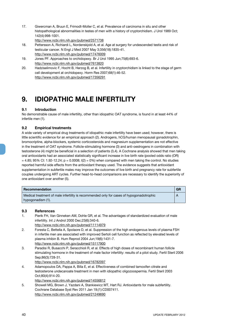17. Giwercman A, Bruun E, Frimodt-Moller C, et al. Prevalence of carcinoma in situ and other histopathological abnormalities in testes of men with a history of cryptorchidism. J Urol 1989 Oct; 142(4):998-1001.

http://www.ncbi.nlm.nih.gov/pubmed/2571738

- 18. Pettersson A, Richiardi L, Nordenskjold A, et al. Age at surgery for undescended testis and risk of testicular cancer. N Engl J Med 2007 May 3;356(18):1835-41. http://www.ncbi.nlm.nih.gov/pubmed/17476009
- 19. Jones PF. Approaches to orchidopexy. Br J Urol 1995 Jun;75(6):693-6. http://www.ncbi.nlm.nih.gov/pubmed/7613820
- 20. Hadziselimovic F, Hocht B, Herzog B, et al. Infertility in cryptorchidism is linked to the stage of germ cell development at orchidopexy. Horm Res 2007;68(1):46-52. http://www.ncbi.nlm.nih.gov/pubmed/17356291

## **9. IDIOPATHIC MALE INFERTILITY**

#### **9.1 Introduction**

No demonstrable cause of male infertility, other than idiopathic OAT syndrome, is found in at least 44% of infertile men (1).

#### **9.2 Empirical treatments**

A wide variety of empirical drug treatments of idiopathic male infertility have been used; however, there is little scientific evidence for an empirical approach (2). Androgens, hCG/human menopausal gonadotrophin, bromocriptine, alpha-blockers, systemic corticosteroids and magnesium supplementation are not effective in the treatment of OAT syndrome. Follicle-stimulating hormone (3) and anti-oestrogens in combination with testosterone (4) might be beneficial in a selection of patients (3,4). A Cochrane analysis showed that men taking oral antioxidants had an associated statistically significant increase in live birth rate (pooled odds ratio (OR)  $= 4.85$ ; 95% CI: 1.92-12.24; p = 0.0008; I(2) = 0%) when compared with men taking the control. No studies reported harmful side effects from the antioxidant therapy used. The evidence suggests that antioxidant supplementation in subfertile males may improve the outcomes of live birth and pregnancy rate for subfertile couples undergoing ART cycles. Further head-to-head comparisons are necessary to identify the superiority of one antioxidant over another (5).

| <b>Recommendation</b>                                                                    | <b>GR</b> |
|------------------------------------------------------------------------------------------|-----------|
| Medical treatment of male infertility is recommended only for cases of hypogonadotrophic |           |
| hypogonadism (1).                                                                        |           |

#### **9.3 References**

- 1. Pierik FH, Van Ginneken AM, Dohle GR, et al. The advantages of standardized evaluation of male infertility. Int J Androl 2000 Dec;23(6):340-6. http://www.ncbi.nlm.nih.gov/pubmed/11114979
- 2. Foresta C, Bettella A, Spolaore D, et al. Suppression of the high endogenous levels of plasma FSH in infertile men are associated with improved Sertoli cell function as reflected by elevated levels of plasma inhibin B. Hum Reprod 2004 Jun;19(6):1431-7. http://www.ncbi.nlm.nih.gov/pubmed/15117900
- 3. Paradisi R, Busacchi P, Seracchioli R, et al. Effects of high doses of recombinant human follicle stimulating hormone in the treatment of male factor infertility: results of a pilot study. Fertil Steril 2006 Sep;86(3):728-31.
- http://www.ncbi.nlm.nih.gov/pubmed/16782097 4. Adamopoulos DA, Pappa A, Billa E, et al. Effectiveness of combined tamoxifen citrate and testosterone undecanoate treatment in men with idiopathic oligozoospermia. Fertil Steril 2003
	- Oct;80(4):914-20. http://www.ncbi.nlm.nih.gov/pubmed/14556812
- 5. Showell MG, Brown J, Yazdani A, Stankiewicz MT, Hart RJ. Antioxidants for male subfertility. Cochrane Database Syst Rev 2011 Jan 19;(1):CD007411. http://www.ncbi.nlm.nih.gov/pubmed/21249690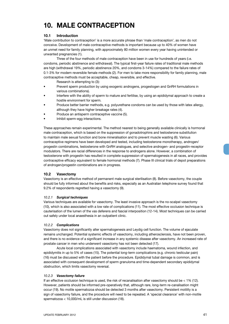## **10. MALE CONTRACEPTION**

#### **10.1 Introduction**

'Male contribution to contraception' is a more accurate phrase than 'male contraception', as men do not conceive. Development of male contraceptive methods is important because up to 40% of women have an unmet need for family planning, with approximately 80 million women every year having unintended or unwanted pregnancies (1).

Three of the four methods of male contraception have been in use for hundreds of years (i.e. condoms, periodic abstinence and withdrawal). The typical first-year failure rates of traditional male methods are high (withdrawal 19%, periodic abstinence 20%, and condoms 3-14%) compared to the failure rates of 0.1-3% for modern reversible female methods (2). For men to take more responsibility for family planning, male contraceptive methods must be acceptable, cheap, reversible, and effective.

Research is attempting to (3):

- Prevent sperm production by using exogenic androgens, progestogen and GnRH formulations in various combinations).
- Interfere with the ability of sperm to mature and fertilise, by using an epididymal approach to create a hostile environment for sperm.
- Produce better barrier methods, e.g. polyurethane condoms can be used by those with latex allergy, although they have higher breakage rates (4).
- Produce an antisperm contraceptive vaccine (5).
- Inhibit sperm-egg interactions.

These approaches remain experimental. The method nearest to being generally available clinically is hormonal male contraception, which is based on the suppression of gonadotrophins and testosterone substitution to maintain male sexual function and bone mineralisation and to prevent muscle wasting (6). Various contraceptive regimens have been developed and tested, including testosterone monotherapy, androgen/ progestin combinations, testosterone with GnRH analogues, and selective androgen- and progestin-receptor modulators. There are racial differences in the response to androgens alone. However, a combination of testosterone with progestin has resulted in complete suppression of spermatogenesis in all races, and provides contraceptive efficacy equivalent to female hormonal methods (7). Phase III clinical trials of depot preparations of androgen/progestin combinations are in progress.

#### **10.2 Vasectomy**

Vasectomy is an effective method of permanent male surgical sterilisation (8). Before vasectomy, the couple should be fully informed about the benefits and risks, especially as an Australian telephone survey found that 9.2% of respondents regretted having a vasectomy (9).

#### *10.2.1 Surgical techniques*

Various techniques are available for vasectomy. The least invasive approach is the no-scalpel vasectomy (10), which is also associated with a low rate of complications (11). The most effective occlusion technique is cauterisation of the lumen of the vas deferens and fascial interposition (12-14). Most techniques can be carried out safely under local anaesthesia in an outpatient clinic.

#### *10.2.2 Complications*

Vasectomy does not significantly alter spermatogenesis and Leydig cell function. The volume of ejaculate remains unchanged. Potential systemic effects of vasectomy, including atherosclerosis, have not been proven, and there is no evidence of a significant increase in any systemic disease after vasectomy. An increased rate of prostate cancer in men who underwent vasectomy has not been detected (17).

Acute local complications associated with vasectomy include haematoma, wound infection, and epididymitis in up to 5% of cases (15). The potential long-term complications (e.g. chronic testicular pain) (16) must be discussed with the patient before the procedure. Epididymal tubal damage is common, and is associated with consequent development of sperm granuloma and time-dependent secondary epididymal obstruction, which limits vasectomy reversal.

#### *10.2.3 Vasectomy failure*

If an effective occlusion technique is used, the risk of recanalisation after vasectomy should be < 1% (12). However, patients should be informed pre-operatively that, although rare, long-term re-canalisation might occur (19). No motile spermatozoa should be detected 3 months after vasectomy. Persistent motility is a sign of vasectomy failure, and the procedure will need to be repeated. A 'special clearance' with non-motile spermatozoa < 10,000/mL is still under discussion (18).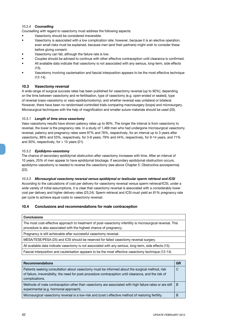#### *10.2.4 Counselling*

Counselling with regard to vasectomy must address the following aspects:

- Vasectomy should be considered irreversible.
- Vasectomy is associated with a low complication rate; however, because it is an elective operation, even small risks must be explained, because men (and their partners) might wish to consider these before giving consent.
- Vasectomy can fail, although the failure rate is low.
- Couples should be advised to continue with other effective contraception until clearance is confirmed.
- All available data indicate that vasectomy is not associated with any serious, long-term, side effects  $(15)$
- Vascetomy involving cauterisation and fascial interposition appears to be the most effective technique (12-14).

#### **10.3 Vasectomy reversal**

A wide range of surgical success rates has been published for vasectomy reversal (up to 90%), depending on the time between vasectomy and re-fertilisation, type of vasectomy (e.g. open-ended or sealed), type of reversal (vaso-vasostomy or vaso-epididymostomy), and whether reversal was unilateral or bilateral. However, there have been no randomised controlled trials comparing macrosurgery (loops) and microsurgery. Microsurgical techniques with the help of magnification and smaller suture materials should be used (20).

#### *10.3.1 Length of time since vasectomy*

Vaso-vasostomy results have shown patency rates up to 90%. The longer the interval is from vasectomy to reversal, the lower is the pregnancy rate. In a study of 1,469 men who had undergone microsurgical vasectomy reversal, patency and pregnancy rates were 97% and 76%, respectively, for an interval up to 3 years after vasectomy, 88% and 53%, respectively, for 3-8 years, 79% and 44%, respectively, for 9-14 years, and 71% and 30%, respectively, for  $> 15$  years (21).

#### *10.3.2 Epididymo-vasostomy*

The chance of secondary epididymal obstruction after vasectomy increases with time. After an interval of 10 years, 25% of men appear to have epididymal blockage. If secondary epididymal obstruction occurs, epididymo-vasostomy is needed to reverse the vasectomy (*see above* Chapter 5: Obstructive azoospermia) (22).

#### *10.3.3 Microsurgical vasectomy reversal versus epididymal or testicular sperm retrieval and ICSI*

According to the calculations of cost per delivery for vasectomy reversal versus sperm retrieval/ICSI, under a wide variety of initial assumptions, it is clear that vasectomy reversal is associated with a considerably lower cost per delivery and higher delivery rates (23,24). Sperm retrieval and ICSI must yield an 81% pregnancy rate per cycle to achieve equal costs to vasectomy reversal.

#### **10.4 Conclusions and recommendations for male contraception**

| <b>Conclusions</b>                                                                                                                                                                |
|-----------------------------------------------------------------------------------------------------------------------------------------------------------------------------------|
| The most cost-effective approach to treatment of post-vasectomy infertility is microsurgical reversal. This<br>procedure is also associated with the highest chance of pregnancy. |
| Pregnancy is still achievable after successful vasectomy reversal.                                                                                                                |
| MESA/TESE/PESA (25) and ICSI should be reserved for failed vasectomy reversal surgery.                                                                                            |
| All available data indicate vasectomy is not associated with any serious, long-term, side effects (15).                                                                           |
| Fascial interposition and cauterisation appears to be the most effective vasectomy technique (12-14).                                                                             |

| <b>Recommendations</b>                                                                                                                                                                                                      | GR |
|-----------------------------------------------------------------------------------------------------------------------------------------------------------------------------------------------------------------------------|----|
| Patients seeking consultation about vasectomy must be informed about the surgical method, risk<br>of failure, irreversibility, the need for post-procedure contraception until clearance, and the risk of<br>complications. | C  |
| Methods of male contraception other than vasectomy are associated with high failure rates or are still<br>experimental (e.g. hormonal approach).                                                                            | B  |
| Microsurgical vasectomy reversal is a low-risk and (cost-) effective method of restoring fertility.                                                                                                                         | В  |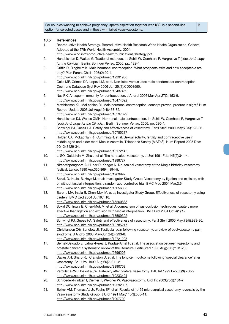For couples wanting to achieve pregnancy, sperm aspiration together with ICSI is a second-line option for selected cases and in those with failed vaso-vasostomy.

#### **10.5 References**

- 1. Reproductive Health Strategy. Reproductive Health Research World Health Organisation, Geneva. Adopted at the 57th World Health Assembly, 2004.
	- http://www.who.int/reproductive-health/publications/strategy.pdf
- 2. Handelsman D, Waites G. Tradional methods. In: Schill W, Comhaire F, Hargreave T (eds). *Andrology for the Clinician*. Berlin: Springer Verlag, 2006, pp. 122-4.
- 3. Griffin D, Ringheim K. Male hormonal contraception. What prospects exist and how acceptable are they? Plan Parent Chall 1996;(2):20-4.
	- http://www.ncbi.nlm.nih.gov/pubmed/12291936
- 4. Gallo MF, Grimes DA, Lopez LM, et al. Non-latex versus latex male condoms for contraception. Cochrane Database Syst Rev 2006 Jan 25;(1):CD003550. http://www.ncbi.nlm.nih.gov/pubmed/16437459
- 5. Naz RK. Antisperm immunity for contraception. J Androl 2006 Mar-Apr;27(2):153-9. http://www.ncbi.nlm.nih.gov/pubmed/16474022
- 6. Matthiesson KL, McLachlan RI. Male hormonal contraception: concept proven, product in sight? Hum Reprod Update 2006 Jul-Aug;12(4):463-82.
	- http://www.ncbi.nlm.nih.gov/pubmed/16597629
- 7. Handelsman DJ, Waites GMH. Hormonal male contraception. In: Schill W, Comhaire F, Hargreave T (eds). *Andrology for the Clinician*. Berlin: Springer Verlag, 2006, pp. 520-4.
- 8. Schwingl PJ, Guess HA. Safety and effectiveness of vasectomy. Fertil Steril 2000 May;73(5):923-36. http://www.ncbi.nlm.nih.gov/pubmed/10785217
- 9. Holden CA, McLachlan RI, Cumming R, et al. Sexual activity, fertility and contraceptive use in middle-aged and older men: Men in Australia, Telephone Survey (MATeS). Hum Reprod 2005 Dec: 20(12):3429-34.
	- http://www.ncbi.nlm.nih.gov/pubmed/16172145
- 10. Li SQ, Goldstein M, Zhu J, et al. The no-scalpel vasectomy. J Urol 1991 Feb;145(2):341-4. http://www.ncbi.nlm.nih.gov/pubmed/1988727
- 11. Nirapathpongporn A, Huber D, Krieger N. No-scalpel vasectomy at the King's birthday vasectomy festival. Lancet 1990 Apr;335(8694):894-5. http://www.ncbi.nlm.nih.gov/pubmed/1969992
- 12. Sokal, D, Irsula, B, Hays M, et al; Investigator Study Group. Vasectomy by ligation and excision, with or without fascial interposition: a randomized controlled trial. BMC Med 2004 Mar;2:6.
- http://www.ncbi.nlm.nih.gov/pubmed/15056388 13. Barone MA, Irsula B, Chen-Mok M, et al; Investigator Study Group. Effectiveness of vasectomy using cautery. BMC Urol 2004 Jul;19;4:10.
	- http://www.ncbi.nlm.nih.gov/pubmed/15260885
- 14. Sokal DC, Irsula B, Chen-Mok M, et al. A comparison of vas occlusion techniques: cautery more effective than ligation and excision with fascial interposition. BMC Urol 2004 Oct;4(1):12. http://www.ncbi.nlm.nih.gov/pubmed/15509302
- 15. Schwingl PJ, Guess HA. Safety and effectiveness of vasectomy. Fertil Steril 2000 May;73(5):923-36. http://www.ncbi.nlm.nih.gov/pubmed/10785217
- 16. Christiansen CG, Sandlow JI. Testicular pain following vasectomy: a review of postvasectomy pain syndrome. J Androl 2003 May-Jun;24(3):293-8. http://www.ncbi.nlm.nih.gov/pubmed/12721203
- 17. Bernal-Delgado E, Latour-Pérez J, Pradas-Arnal F, et al. The association between vasectomy and prostate cancer: a systematic review of the literature. Fertil Steril 1998 Aug;70(2):191-200. http://www.ncbi.nlm.nih.gov/pubmed/9696205
- 18. Davies AH, Sharp RJ, Cranston D, et al. The long-term outcome following 'special clearance' after vasectomy. Br J Urol 1990 Aug;66(2):211-2. http://www.ncbi.nlm.nih.gov/pubmed/2390708
- 19. Verhulst APM, Hoekstra JW. Paternity after bilateral vasectomy. BJU Int 1999 Feb;83(3):280-2. http://www.ncbi.nlm.nih.gov/pubmed/10233494
- 20. Schroeder-Printzen I, Diemer T, Weidner W. Vasovasostomy. Urol Int 2003;70(2):101-7. http://www.ncbi.nlm.nih.gov/pubmed/12592037
- 21. Belker AM, Thomas AJ Jr, Fuchs EF, et al. Results of 1,469 microsurgical vasectomy reversals by the Vasovasostomy Study Group. J Urol 1991 Mar;145(3):505-11. http://www.ncbi.nlm.nih.gov/pubmed/1997700

B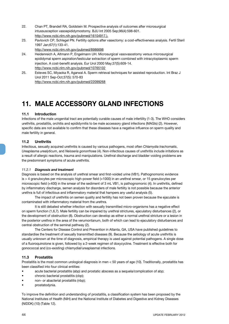- 22. Chan PT, Brandell RA, Goldstein M. Prospective analysis of outcomes after microsurgical intussusception vasoepididymostomy. BJU Int 2005 Sep;96(4):598-601. http://www.ncbi.nlm.nih.gov/pubmed/16104917.).
- 23. Pavlovich CP, Schlegel PN. Fertility options after vasectomy: a cost-effectiveness analysis. Fertil Steril 1997 Jan;67(1):133-41. http://www.ncbi.nlm.nih.gov/pubmed/8986698
- 24. Heidenreich A, Altmann P, Engelmann UH. Microsurgical vasovasostomy versus microsurgical epididymal sperm aspiration/testicular extraction of sperm combined with intracytoplasmic sperm injection. A cost-benefit analysis. Eur Urol 2000 May;37(5):609-14. http://www.ncbi.nlm.nih.gov/pubmed/10765102
- 25. Esteves SC, Miyaoka R, Agarwal A. Sperm retrieval techniques for assisted reproduction. Int Braz J Urol 2011 Sep-Oct;37(5): 570-83 http://www.ncbi.nlm.nih.gov/pubmed/22099268

## **11. MALE ACCESSORY GLAND INFECTIONS**

#### **11.1 Introduction**

Infections of the male urogenital tract are potentially curable causes of male infertility (1-3). The WHO considers urethritis, prostatitis, orchitis and epididymitis to be male accessory gland infections (MAGIs) (2). However, specific data are not available to confirm that these diseases have a negative influence on sperm quality and male fertility in general.

#### **11.2 Urethritis**

Infectious, sexually acquired urethritis is caused by various pathogens, most often *Chlamydia trachomatis*, *Ureaplasma urealyticum*, and *Neisseria gonorrhoea* (4). Non-infectious causes of urethritis include irritations as a result of allergic reactions, trauma and manipulations. Urethral discharge and bladder voiding problems are the predominant symptoms of acute urethritis.

#### *11.2.1 Diagnosis and treatment*

Diagnosis is based on the analysis of urethral smear and first-voided urine (VB1). Pathognomonic evidence is > 4 granulocytes per microscopic high-power field (×1000) in an urethral smear, or 15 granulocytes per microscopic field (×400) in the smear of the sediment of 3 mL VB1, is pathognomonic (4). In urethritis, defined by inflammatory discharge, semen analysis for disorders of male fertility is not possible because the anterior urethra is full of infectious and inflammatory material that hampers any useful analysis (5).

The impact of urethritis on semen quality and fertility has not been proven because the ejaculate is contaminated with inflammatory material from the urethra.

It is still debated whether infection with sexually transmitted micro-organisms has a negative effect on sperm function (1,6,7). Male fertility can be impaired by urethral strictures, ejaculatory disturbances (2), or the development of obstruction (8). Obstruction can develop as either a normal urethral stricture or a lesion in the posterior urethra in the area of the verumontanum, both of which can lead to ejaculatory disturbances and central obstruction of the seminal pathway (2).

The Centers for Disease Control and Prevention in Atlanta, GA, USA have published guidelines to standardise the treatment of sexually transmitted diseases (9). Because the aetiology of acute urethritis is usually unknown at the time of diagnosis, empirical therapy is used against potential pathogens. A single dose of a fluoroquinolone is given, followed by a 2-week regimen of doxycycline. Treatment is effective both for gonococcal and (co-existing) chlamydial/ureaplasmal infections.

#### **11.3 Prostatitis**

Prostatitis is the most common urological diagnosis in men < 50 years of age (10). Traditionally, prostatitis has been classified into four clinical entities:

- acute bacterial prostatitis (abp) and prostatic abscess as a sequela/complication of abp;
- chronic bacterial prostatitis (cbp);
- non- or abacterial prostatitis (nbp):
- prostatodynia.

To improve the definition and understanding of prostatitis, a classification system has been proposed by the National Institutes of Health (NIH) and the National Institute of Diabetes and Digestive and Kidney Diseases (NIDDK) (10) (Table 12).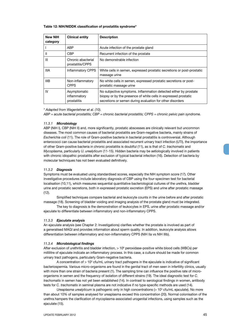#### **Table 12: NIH/NIDDK classification of prostatitis syndrome\***

| <b>New NIH</b><br>category | <b>Clinical entity</b>                      | <b>Description</b>                                                                                                                                                                               |
|----------------------------|---------------------------------------------|--------------------------------------------------------------------------------------------------------------------------------------------------------------------------------------------------|
|                            | ABP                                         | Acute infection of the prostate gland                                                                                                                                                            |
| Ш                          | <b>CBP</b>                                  | Recurrent infection of the prostate                                                                                                                                                              |
| Ш                          | Chronic abacterial<br>prostatitis/CPPS      | No demonstrable infection                                                                                                                                                                        |
| <b>IIIA</b>                | <b>Inflammatory CPPS</b>                    | White cells in semen, expressed prostatic secretions or post-prostatic<br>massage urine                                                                                                          |
| IIIB                       | Non-inflammatory<br><b>CPPS</b>             | No white cells in semen, expressed prostatic secretions or post-<br>prostatic massage urine                                                                                                      |
| IV                         | Asymptomatic<br>inflammatory<br>prostatitis | No subjective symptoms. Inflammation detected either by prostate<br>biopsy or by the presence of white cells in expressed prostatic<br>secretions or semen during evaluation for other disorders |

*\* Adapted from Wagenlehner et al. (10).*

*ABP = acute bacterial prostatitis; CBP = chronic bacterial prostatitis; CPPS = chronic pelvic pain syndrome.*

#### *11.3.1 Microbiology*

ABP (NIH I), CBP (NIH II) and, more significantly, prostatic abscesses are clinically relevant but uncommon diseases. The most common causes of bacterial prostatitis are Gram-negative bacteria, mainly strains of *Escherichia coli* (11). The role of Gram-positive bacteria in bacterial prostatitis is controversial. Although enterococci can cause bacterial prostatitis and associated recurrent urinary tract infection (UTI), the importance of other Gram-positive bacteria in chronic prostatitis is doubtful (11), as is that of *C. trachomatis* and *Mycoplasma*, particularly *U. urealyticum* (11-15). Hidden bacteria may be aetiologically involved in patients with chronic idiopathic prostatitis after exclusion of typical bacterial infection (16). Detection of bacteria by molecular techniques has not been evaluated definitively.

#### *11.3.2 Diagnosis*

Symptoms must be evaluated using standardised scores, especially the NIH symptom score (17). Other investigative procedures include laboratory diagnosis of CBP using the four-specimen test for bacterial localisation (10,11), which measures sequential quantitative bacteriological cultures of the urethra, bladder urine and prostatic secretions, both in expressed prostatic excretion (EPS) and urine after prostatic massage (12).

Simplified techniques compare bacterial and leukocyte counts in the urine before and after prostatic massage (18). Screening of bladder voiding and imaging analysis of the prostate gland must be integrated.

The key to diagnosis is the demonstration of leukocytes in EPS, urine after prostatic massage and/or ejaculate to differentiate between inflammatory and non-inflammatory CPPS.

#### *11.3.3 Ejaculate analysis*

An ejaculate analysis (*see* Chapter 2: Investigations) clarifies whether the prostate is involved as part of a generalised MAGI and provides information about sperm quality. In addition, leukocyte analysis allows differentiation between inflammatory and non-inflammatory CPPS (NIH IIa vs NIH IIIb).

#### *11.3.4 Microbiological findings*

After exclusion of urethritis and bladder infection, > 10<sup>6</sup> peroxidase-positive white blood cells (WBCs) per millilitre of ejaculate indicate an inflammatory process. In this case, a culture should be made for common urinary tract pathogens, particularly Gram-negative bacteria.

A concentration of  $> 10<sup>3</sup>$  cfu/mL urinary tract pathogens in the ejaculate is indicative of significant bacteriospermia. Various micro-organisms are found in the genital tract of men seen in infertility clinics, usually with more than one strain of bacteria present (1). The sampling time can influence the positive rate of microorganisms in semen and the frequency of isolation of different strains (19). The ideal diagnostic test for *C. trachomatis* in semen has not yet been established (14). In contrast to serological findings in women, antibody tests for *C. trachomatis* in seminal plasma are not indicative if no type-specific methods are used (14).

Ureaplasma urealyticum is pathogenic only in high concentrations (> 10<sup>3</sup> cfu/mL ejaculate). No more than about 10% of samples analysed for ureaplasma exceed this concentration (20). Normal colonisation of the urethra hampers the clarification of mycoplasma-associated urogenital infections, using samples such as the ejaculate (15).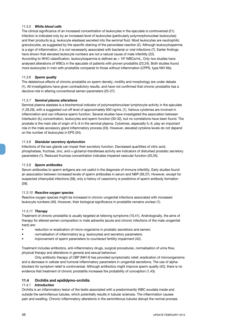#### *11.3.5 White blood cells*

The clinical significance of an increased concentration of leukocytes in the ejaculate is controversial (21). Infection is indicated only by an increased level of leukocytes (particularly polymorphonuclear leukocytes) and their products (e.g. leukocyte elastase) secreted into the seminal fluid. Most leukocytes are neutrophilic granulocytes, as suggested by the specific staining of the peroxidase reaction (2). Although leukocytospermia is a sign of inflammation, it is not necessarily associated with bacterial or viral infections (7). Earlier findings have shown that elevated leukocyte numbers are not a natural cause of male infertility (22). According to WHO classification, leukocytospermia is defined as > 10<sup>6</sup> WBCs/mL. Only two studies have analysed alterations of WBCs in the ejaculate of patients with proven prostatitis (23,24). Both studies found more leukocytes in men with prostatitis compared to those without inflammation (CPPS, type NIH IIIb).

#### *11.3.6 Sperm quality*

The deleterious effects of chronic prostatitis on sperm density, motility and morphology are under debate (1). All investigations have given contradictory results, and have not confirmed that chronic prostatitis has a decisive role in altering conventional semen parameters (25-27).

#### *11.3.7 Seminal plasma alterations*

Seminal plasma elastase is a biochemical indicator of polymorphonuclear lymphocyte activity in the ejaculate (1,28,29), with a suggested cut-off level of approximately 600 ng/mL (1). Various cytokines are involved in inflammation and can influence sperm function. Several studies have investigated the association between interleukin (IL) concentration, leukocytes and sperm function (30-32), but no correlations have been found. The prostate is the main site of origin of IL-6 in the seminal plasma. Cytokines, especially IL-6, play an important role in the male accessory gland inflammatory process (33). However, elevated cytokine levels do not depend on the number of leukocytes in EPS (34).

#### *11.3.8 Glandular secretory dysfunction*

Infections of the sex glands can impair their excretory function. Decreased quantities of citric acid, phosphatase, fructose, zinc, and α-glutamyl-transferase activity are indicators of disturbed prostatic secretory parameters (1). Reduced fructose concentration indicates impaired vesicular function (20,35).

#### *11.3.9 Sperm antibodies*

Serum antibodies to sperm antigens are not useful in the diagnosis of immune infertility. Early studies found an association between increased levels of sperm antibodies in serum and NBP (36,37). However, except for suspected chlamydial infections (38), only a history of vasectomy is predictive of sperm antibody formation (39).

#### *11.3.10 Reactive oxygen species*

Reactive oxygen species might be increased in chronic urogenital infections associated with increased leukocyte numbers (40). However, their biological significance in prostatitis remains unclear (1).

#### *11.3.11 Therapy*

Treatment of chronic prostatitis is usually targeted at relieving symptoms (10,41). Andrologically, the aims of therapy for altered semen composition in male adnexitis (acute and chronic infections of the male urogenital tract) are:

- reduction or eradication of micro-organisms in prostatic secretions and semen;
- normalisation of inflammatory (e.g. leukocytes) and secretory parameters;
- improvement of sperm parameters to counteract fertility impairment (42).

Treatment includes antibiotics, anti-inflammatory drugs, surgical procedures, normalisation of urine flow, physical therapy and alterations in general and sexual behaviour.

Only antibiotic therapy of CBP (NIH II) has provided symptomatic relief, eradication of microorganisms and a decrease in cellular and humoral inflammatory parameters in urogenital secretions. The use of alphablockers for symptom relief is controversial. Although antibiotics might improve sperm quality (42), there is no evidence that treatment of chronic prostatitis increases the probability of conception (1,43).

#### **11.4 Orchitis and epididymo-orchitis**

#### *11.4.1 Introduction*

Orchitis is an inflammatory lesion of the testis associated with a predominantly WBC exudate inside and outside the seminiferous tubules, which potentially results in tubular sclerosis. The inflammation causes pain and swelling. Chronic inflammatory alterations in the seminiferous tubules disrupt the normal process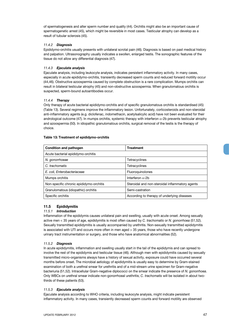of spermatogenesis and alter sperm number and quality (44). Orchitis might also be an important cause of spermatogenetic arrest (45), which might be reversible in most cases. Testicular atrophy can develop as a result of tubular sclerosis (45).

#### *11.4.2 Diagnosis*

Epididymo-orchitis usually presents with unilateral scrotal pain (46). Diagnosis is based on past medical history and palpation. Ultrasonography usually indicates a swollen, enlarged testis. The sonographic features of the tissue do not allow any differential diagnosis (47).

#### *11.4.3 Ejaculate analysis*

Ejaculate analysis, including leukocyte analysis, indicates persistent inflammatory activity. In many cases, especially in acute epididymo-orchitis, transiently decreased sperm counts and reduced forward motility occur (44,46). Obstructive azoospermia caused by complete obstruction is a rare complication. Mumps orchitis can result in bilateral testicular atrophy (45) and non-obstructive azoospermia. When granulomatous orchitis is suspected, sperm-bound autoantibodies occur.

#### *11.4.4 Therapy*

Only therapy of acute bacterial epididymo-orchitis and of specific granulomatous orchitis is standardised (45) (Table 13). Several regimens improve the inflammatory lesion. Unfortunately, corticosteroids and non-steroidal anti-inflammatory agents (e.g. diclofenac, indomethacin, acetylsalicylic acid) have not been evaluated for their andrological outcome (47). In mumps orchitis, systemic therapy with interferon  $\alpha$ -2b prevents testicular atrophy and azoospermia (50). In idiopathic granulomatous orchitis, surgical removal of the testis is the therapy of choice.

#### **Table 13: Treatment of epididymo-orchitis**

| <b>Condition and pathogen</b>           | <b>Treatment</b>                                |  |
|-----------------------------------------|-------------------------------------------------|--|
| Acute bacterial epididymo-orchitis      |                                                 |  |
| N. gonorrhoeae                          | Tetracyclines                                   |  |
| C. trachomatis                          | Tetracyclines                                   |  |
| E. coli, Enterobacteriaceae             | Fluoroguinolones                                |  |
| Mumps orchitis                          | Interferon $\alpha$ -2b                         |  |
| Non-specific chronic epididymo-orchitis | Steroidal and non-steroidal inflammatory agents |  |
| Granulomatous (idiopathic) orchitis     | Semi-castration                                 |  |
| Specific orchitis                       | According to therapy of underlying diseases     |  |

#### **11.5 Epididymitis**

#### *11.5.1 Introduction*

Inflammation of the epididymis causes unilateral pain and swelling, usually with acute onset. Among sexually active men < 35 years of age, epididymitis is most often caused by *C. trachomatis* or *N. gonorrhoea* (51,52). Sexually transmitted epididymitis is usually accompanied by urethritis. Non-sexually transmitted epididymitis is associated with UTI and occurs more often in men aged > 35 years, those who have recently undergone urinary tract instrumentation or surgery, and those who have anatomical abnormalities (52).

#### *11.5.2 Diagnosis*

In acute epididymitis, inflammation and swelling usually start in the tail of the epididymis and can spread to involve the rest of the epididymis and testicular tissue (46). Although men with epididymitis caused by sexually transmitted micro-organisms always have a history of sexual activity, exposure could have occurred several months before onset. The microbial aetiology of epididymitis is usually easy to determine by Gram-stained examination of both a urethral smear for urethritis and of a mid-stream urine specimen for Gram-negative bacteriuria (51,52). Intracellular Gram-negative diplococci on the smear indicate the presence of *N. gonorrhoea*. Only WBCs on urethral smear indicate non-gonorrhoeal urethritis; *C. trachomatis* will be isolated in about twothirds of these patients (53).

#### *11.5.3 Ejaculate analysis*

Ejaculate analysis according to WHO criteria, including leukocyte analysis, might indicate persistent inflammatory activity. In many cases, transiently decreased sperm counts and forward motility are observed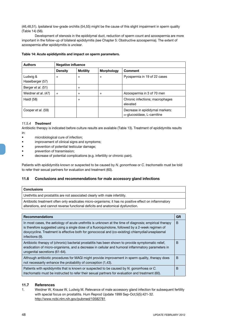(46,48,51). Ipsilateral low-grade orchitis (54,55) might be the cause of this slight impairment in sperm quality (Table 14) (56).

Development of stenosis in the epididymal duct, reduction of sperm count and azoospermia are more important in the follow-up of bilateral epididymitis *(see* Chapter 5: Obstructive azoospermia). The extent of azoospermia after epididymitis is unclear.

| <b>Authors</b>               | Negative influence |                 |                   |                                                                       |
|------------------------------|--------------------|-----------------|-------------------|-----------------------------------------------------------------------|
|                              | <b>Density</b>     | <b>Motility</b> | <b>Morphology</b> | <b>Comment</b>                                                        |
| Ludwig &<br>Haselberger (57) | $\ddot{}$          | $+$             | $+$               | Pyospermia in 19 of 22 cases                                          |
| Berger et al. (51)           |                    | $+$             |                   |                                                                       |
| Weidner et al. (47)          | $+$                | $+$             | $+$               | Azoospermia in 3 of 70 men                                            |
| Haidl (58)                   |                    | $+$             |                   | Chronic infections; macrophages<br>elevated                           |
| Cooper et al. (59)           |                    |                 |                   | Decrease in epididymal markers:<br>$\alpha$ -glucosidase, L-carnitine |

#### **Table 14: Acute epididymitis and impact on sperm parameters.**

#### *11.5.4 Treatment*

Antibiotic therapy is indicated before culture results are available (Table 13). Treatment of epididymitis results in:

- microbiological cure of infection;
- improvement of clinical signs and symptoms;
- prevention of potential testicular damage;
- prevention of transmission;
- decrease of potential complications (e.g. infertility or chronic pain).

Patients with epididymitis known or suspected to be caused by *N. gonorrhoea* or *C. trachomatis* must be told to refer their sexual partners for evaluation and treatment (60).

#### **11.6 Conclusions and recommendations for male accessory gland infections**

| <b>Conclusions</b>                                                                                                                                                                       |  |
|------------------------------------------------------------------------------------------------------------------------------------------------------------------------------------------|--|
| Urethritis and prostatitis are not associated clearly with male infertility.                                                                                                             |  |
| Antibiotic treatment often only eradicates micro-organisms; it has no positive effect on inflammatory<br>alterations, and cannot reverse functional deficits and anatomical dysfunction. |  |
|                                                                                                                                                                                          |  |
| <b>Recommendations</b>                                                                                                                                                                   |  |

| песопшениация                                                                                                                                                                                                                                                                                                                      | un |
|------------------------------------------------------------------------------------------------------------------------------------------------------------------------------------------------------------------------------------------------------------------------------------------------------------------------------------|----|
| In most cases, the aetiology of acute urethritis is unknown at the time of diagnosis; empirical therapy<br>is therefore suggested using a single dose of a fluoroquinolone, followed by a 2-week regimen of<br>doxycycline. Treatment is effective both for gonococcal and (co-existing) chlamydial/ureaplasmal<br>infections (9). | B  |
| Antibiotic therapy of (chronic) bacterial prostatitis has been shown to provide symptomatic relief,<br>eradication of micro-organisms, and a decrease in cellular and humoral inflammatory parameters in<br>urogenital secretions (61-64).                                                                                         | B  |
| Although antibiotic procedures for MAGI might provide improvement in sperm quality, therapy does<br>not necessarily enhance the probability of conception (1,43).                                                                                                                                                                  | B  |
| Patients with epididymitis that is known or suspected to be caused by N. gonorrhoea or C.<br><i>trachomatis</i> must be instructed to refer their sexual partners for evaluation and treatment (60).                                                                                                                               | В  |

#### **11.7 References**

1. Weidner W, Krause W, Ludwig M. Relevance of male accessory gland infection for subsequent fertility with special focus on prostatitis. Hum Reprod Update 1999 Sep-Oct;5(5):421-32. http://www.ncbi.nlm.nih.gov/pubmed/10582781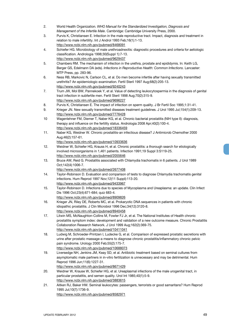- 2. World Health Organization. *WHO Manual for the Standardized Investigation, Diagnosis and Management of the Infertile Male*. Cambridge: Cambridge University Press, 2000.
- 3. Purvis K, Christiansen E. Infection in the male reproductive tract. Impact, diagnosis and treatment in relation to male infertility. Int J Androl 1993 Feb;16(1):1-13. http://www.ncbi.nlm.nih.gov/pubmed/8468091
- 4. Schiefer HG. Microbiology of male urethroadnexitis: diagnostic procedures and criteria for aetiologic classification. Andrologia 1998;30(Suppl 1):7-13. http://www.ncbi.nlm.nih.gov/pubmed/9629437
- 5. Chambers RM. The mechanism of infection in the urethra, prostate and epididymis. In: Keith LG, Berger GS, Edelmann DA (eds). *Infections in Reproductive Health: Common Infections*. Lancaster: MTP Press, pp. 283-96.
- 6. Ness RB, Markovic N, Carlson CL, et al. Do men become infertile after having sexually transmitted urethritis? An epidemiologic examination. Fertil Steril 1997 Aug;68(2):205-13. http://www.ncbi.nlm.nih.gov/pubmed/9240243
- 7. Trum JW, Mol BW, Pannekoek Y, et al. Value of detecting leukocytospermia in the diagnosis of genital tract infection in subfertile men. Fertil Steril 1998 Aug;70(2):315-9. http://www.ncbi.nlm.nih.gov/pubmed/9696227
- 8. Purvis K, Christiansen E. The impact of infection on sperm quality. J Br Fertil Soc 1995;1:31-41.
- 9. Krieger JN. New sexually transmitted diseases treatment guidelines. J Urol 1995 Jul;154(1):209-13. http://www.ncbi.nlm.nih.gov/pubmed/7776428
- 10 Wagenlehner FM, Diemer T, Naber KG, et al. Chronic bacterial prostatitis (NIH type II): diagnosis, therapy and influence on the fertility status. Andrologia 2008 Apr;40(2):100-4. http://www.ncbi.nlm.nih.gov/pubmed/18336459
- 11. Naber KG, Weidner W. Chronic prostatitis-an infectious disease? J Antimicrob Chemother 2000 Aug;46(2):157-61.

- 12. Weidner W, Schiefer HG, Krauss H, et al. Chronic prostatitis: a thorough search for etiologically involved microorganisms in 1,461 patients. Infection 1991;19 Suppl 3:S119-25. http://www.ncbi.nlm.nih.gov/pubmed/2055646
- 13. Bruce AW, Reid G. Prostatitis associated with Chlamydia trachomatis in 6 patients. J Urol 1989 Oct;142(4):1006-7.

- 14. Taylor-Robinson D. Evaluation and comparison of tests to diagnose Chlamydia trachomatis genital infections. Hum Reprod 1997 Nov;12(11 Suppl):113-20. http://www.ncbi.nlm.nih.gov/pubmed/9433967
- 15. Taylor-Robinson D. Infections due to species of Mycoplasma and Ureaplasma: an update. Clin Infect Dis 1996 Oct;23(4):671-684; quiz 683-4. http://www.ncbi.nlm.nih.gov/pubmed/8909826
- 16. Krieger JN, Riley DE, Roberts MC, et al. Prokaryotic DNA sequences in patients with chronic idiopathic prostatitis. J Clin Microbiol 1996 Dec;34(12):3120-8. http://www.ncbi.nlm.nih.gov/pubmed/8940458
- 17. Litwin MS, McNaughton-Collins M, Fowler FJ Jr, et al. The National Institutes of Health chronic prostatitis symptom index: development and validation of a new outcome measure. Chronic Prostatitis Collaboration Research Network. J Urol 1999 Aug;162(2):369-75. http://www.ncbi.nlm.nih.gov/pubmed/10411041
- 18. Ludwig M, Schroeder-Printzen I, Ludecke G, et al. Comparison of expressed prostatic secretions with urine after prostatic massage-a means to diagnose chronic prostatitis/inflammatory chronic pelvic pain syndrome. Urology 2000 Feb;55(2):175-7. http://www.ncbi.nlm.nih.gov/pubmed/10688073
- 19. Liversedge NH, Jenkins JM, Keay SD, et al. Antibiotic treatment based on seminal cultures from asymptomatic male partners in in-vitro fertilization is unnecessary and may be detrimental. Hum Reprod 1996 Jun;11(6):1227-31. http://www.ncbi.nlm.nih.gov/pubmed/8671429
- 20. Weidner W, Krause W, Schiefer HG, et al. Ureaplasmal infections of the male urogenital tract, in particular prostatitis, and semen quality. Urol Int 1985;40(1):5-9. http://www.ncbi.nlm.nih.gov/pubmed/3883615
- 21. Aitken RJ, Baker HW. Seminal leukocytes: passengers, terrorists or good samaritans? Hum Reprod 1995 Jul;10(7):1736-9. http://www.ncbi.nlm.nih.gov/pubmed/8582971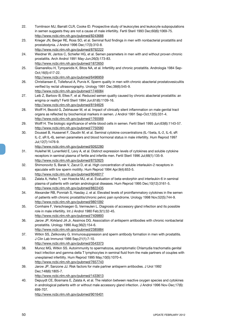- 22. Tomlinson MJ, Barratt CLR, Cooke ID. Prospective study of leukocytes and leukocyte subpopulations in semen suggests they are not a cause of male infertility. Fertil Steril 1993 Dec;60(6):1069-75. http://www.ncbi.nlm.nih.gov/pubmed/8243688
- 23. Krieger JN, Berger RE, Ross SO, et al. Seminal fluid findings in men with nonbacterial prostatitis and prostatodynia. J Androl 1996 Dec;17(3):310-8. http://www.ncbi.nlm.nih.gov/pubmed/8792222
- 24. Weidner W, Jantos C, Schiefer HG, et al. Semen parameters in men with and without proven chronic prostatitis. Arch Androl 1991 May-Jun;26(3):173-83. http://www.ncbi.nlm.nih.gov/pubmed/1872650
- 25. Giamarellou H, Tympanidis K, Bitos NA, et al. Infertility and chronic prostatitis. Andrologia 1984 Sep-Oct;16(5):417-22.

- 26. Christiansen E, Tollefsrud A, Purvis K. Sperm quality in men with chronic abacterial prostatovesiculitis verified by rectal ultrasonography. Urology 1991 Dec;38(6):545-9. http://www.ncbi.nlm.nih.gov/pubmed/1746084
- 27. Leib Z, Bartoov B, Eltes F, et al. Reduced semen quality caused by chronic abacterial prostatitis: an enigma or reality? Fertil Steril 1994 Jun;61(6):1109-16. http://www.ncbi.nlm.nih.gov/pubmed/8194626
- 28. Wolff H, Bezold G, Zebhauser M, et al. Impact of clinically silent inflammation on male genital tract organs as reflected by biochemical markers in semen. J Androl 1991 Sep-Oct;12(5):331-4. http://www.ncbi.nlm.nih.gov/pubmed/1765569
- 29. Wolff H. The biologic significance of white blood cells in semen. Fertil Steril 1995 Jun;63(6):1143-57. http://www.ncbi.nlm.nih.gov/pubmed/7750580
- 30. Dousset B, Hussenet F, Daudin M, et al. Seminal cytokine concentrations (IL-1beta, IL-2, IL-6, sR IL-2, sR IL-6), semen parameters and blood hormonal status in male infertility. Hum Reprod 1997 Jul;12(7):1476-9.

http://www.ncbi.nlm.nih.gov/pubmed/9262280

- 31. Huleihel M, Lunenfeld E, Levy A, et al. Distinct expression levels of cytokines and soluble cytokine receptors in seminal plasma of fertile and infertile men. Fertil Steril 1996 Jul;66(1):135-9. http://www.ncbi.nlm.nih.gov/pubmed/8752625
- 32. Shimonovitz S, Barak V, Zacut D, et al. High concentration of soluble interleukin-2 receptors in ejaculate with low sperm motility. Hum Reprod 1994 Apr;9(4):653-5. http://www.ncbi.nlm.nih.gov/pubmed/8046017
- 33. Zalata A, Hafez T, van Hoecke MJ, et al. Evaluation of beta-endorphin and interleukin-6 in seminal plasma of patients with certain andrological diseases. Hum Reprod 1995 Dec;10(12):3161-5. http://www.ncbi.nlm.nih.gov/pubmed/8822435
- 34. Alexander RB, Ponniah S, Hasday J, et al. Elevated levels of proinflammatory cytokines in the semen of patients with chronic prostatitis/chronic pelvic pain syndrome. Urology 1998 Nov;52(5):744-9. http://www.ncbi.nlm.nih.gov/pubmed/9801092
- 35. Comhaire F, Verschraegen G, Vermeulen L. Diagnosis of accessory gland infection and its possible role in male infertility. Int J Androl 1980 Feb;3(1):32-45. http://www.ncbi.nlm.nih.gov/pubmed/7409893
- 36. Jarow JP, Kirkland JA Jr, Assimos DG. Association of antisperm antibodies with chronic nonbacterial prostatitis. Urology 1990 Aug;36(2):154-6.
- http://www.ncbi.nlm.nih.gov/pubmed/2385884
- 37. Witkin SS, Zelikovsky G. Immunosuppression and sperm antibody formation in men with prostatitis. J Clin Lab Immunol 1986 Sep;21(1):7-10. http://www.ncbi.nlm.nih.gov/pubmed/3543373
- 38. Munoz MG, Witkin SS. Autoimmunity to spermatozoa, asymptomatic Chlamydia trachomatis genital tract infection and gamma delta T lymphocytes in seminal fluid from the male partners of couples with unexplained infertility. Hum Reprod 1995 May;10(5):1070-4. http://www.ncbi.nlm.nih.gov/pubmed/7657743
- 39. Jarow JP, Sanzone JJ. Risk factors for male partner antisperm antibodies. J Urol 1992 Dec;148(6):1805-7. http://www.ncbi.nlm.nih.gov/pubmed/1433613
- 40. Depuydt CE, Bosmans E, Zalata A, et al. The relation between reactive oxygen species and cytokines in andrological patients with or without male accessory gland infection. J Androl 1996 Nov-Dec;17(6): 699-707.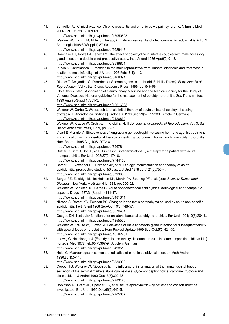- 41. Schaeffer AJ. Clinical practice. Chronic prostatitis and chronic pelvic pain syndrome. N Engl J Med 2006 Oct 19;355(16):1690-8. http://www.ncbi.nlm.nih.gov/pubmed/17050893
- 42. Weidner W, Ludwig M, Miller J. Therapy in male accessory gland infection-what is fact, what is fiction? Andrologia 1998;30(Suppl 1):87-90. http://www.ncbi.nlm.nih.gov/pubmed/9629448
- 43. Comhaire FH, Rowe PJ, Farley TM. The effect of doxycycline in infertile couples with male accessory gland infection: a double blind prospective study. Int J Androl 1986 Apr;9(2):91-8. http://www.ncbi.nlm.nih.gov/pubmed/3539821
- 44. Purvis K, Christiansen E. Infection in the male reproductive tract. Impact, diagnosis and treatment in relation to male infertility. Int J Androl 1993 Feb;16(1):1-13. http://www.ncbi.nlm.nih.gov/pubmed/8468091
- 45. Diemer T, Desjardins C. Disorders of Spermatogenesis. In: Knobil E, Neill JD (eds). *Encyclopedia of Reproduction*. Vol 4. San Diego: Academic Press, 1999, pp. 546-56.
- 46. [No authors listed.] Association of Genitourinary Medicine and the Medical Society for the Study of Venereal Diseases: National guideline for the management of epididymo-orchitis. Sex Transm Infect 1999 Aug;75(Suppl 1):S51-3.

- 47. Weidner W, Garbe C, Weissbach L, et al. [Initial therapy of acute unilateral epididymitis using ofloxacin. II. Andrological findings.] Urologe A 1990 Sep;29(5):277-280. [Article in German] http://www.ncbi.nlm.nih.gov/pubmed/2120839
- 48. Weidner W, Krause W. Orchitis. In: Knobil E, Neill JD (eds). *Encyclopedia of Reproduction*. Vol. 3. San Diego: Academic Press, 1999, pp. 92-5.
- 49. Vicari E, Mongioi A. Effectiveness of long-acting gonadotrophin-releasing hormone agonist treatment in combination with conventional therapy on testicular outcome in human orchitis/epididymo-orchitis. Hum Reprod 1995 Aug;10(8):2072-8. http://www.ncbi.nlm.nih.gov/pubmed/8567844
- 50. Ruther U, Stilz S, Rohl E, et al. Successful interferon-alpha 2, a therapy for a patient with acute mumps orchitis. Eur Urol 1995;27(2):174-6.
	- http://www.ncbi.nlm.nih.gov/pubmed/7744163
- 51. Berger RE, Alexander RE, Harnisch JP, et al. Etiology, manifestations and therapy of acute epididymitis: prospective study of 50 cases. J Urol 1979 Jun;121(6):750-4. http://www.ncbi.nlm.nih.gov/pubmed/379366
- 52. Berger RE. Epididymitis. In: Holmes KK, Mardh PA, Sparling PF et al. (eds). *Sexually Transmitted Diseases*. New York: McGraw-Hill, 1984, pp. 650-62.
- 53. Weidner W, Schiefer HG, Garbe C. Acute nongonococcal epididymitis. Aetiological and therapeutic aspects. Drugs 1987;34(Suppl 1):111-17. http://www.ncbi.nlm.nih.gov/pubmed/3481311
- 54. Nilsson S, Obrant KO, Persson PS. Changes in the testis parenchyma caused by acute non-specific epididymitis. Fertil Steril 1968 Sep-Oct;19(5):748-57. http://www.ncbi.nlm.nih.gov/pubmed/5676481
- 55. Osegbe DN. Testicular function after unilateral bacterial epididymo-orchitis. Eur Urol 1991;19(3):204-8. http://www.ncbi.nlm.nih.gov/pubmed/1855525
- 56. Weidner W, Krause W, Ludwig M. Relevance of male accessory gland infection for subsequent fertility with special focus on prostatitis. Hum Reprod Update 1999 Sep-Oct;5(5):421-32. http://www.ncbi.nlm.nih.gov/pubmed/10582781
- 57. Ludwig G, Haselberger J. [Epididymitis and fertility. Treatment results in acute unspecific epididymitis.] Fortschr Med 1977 Feb;95(7):397-9. [Article in German] http://www.ncbi.nlm.nih.gov/pubmed/849851
- 58. Haidl G. Macrophages in semen are indicative of chronic epididymal infection. Arch Androl 1990;25(1):5-11.
	- http://www.ncbi.nlm.nih.gov/pubmed/2389992
- 59. Cooper TG, Weidner W, Nieschlag E. The influence of inflammation of the human genital tract on secretion of the seminal markers alpha-glucosidase, glycerophosphocholine, carnitine, fructose and citric acid. Int J Androl 1990 Oct;13(5):329-36. http://www.ncbi.nlm.nih.gov/pubmed/2283178
- 60. Robinson AJ, Grant JB, Spencer RC, et al. Acute epididymitis: why patient and consort must be investigated. Br J Urol 1990 Dec;66(6):642-5. http://www.ncbi.nlm.nih.gov/pubmed/2265337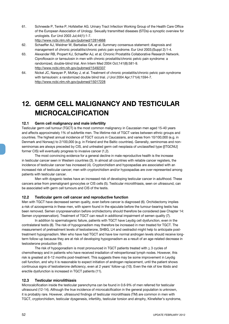61. Schneede P, Tenke P, Hofstetter AG. Urinary Tract Infection Working Group of the Health Care Office of the European Association of Urology. Sexually transmitted diseases (STDs)-a synoptic overview for urologists. Eur Urol 2003 Jul;44(1):1-7.

http://www.ncbi.nlm.nih.gov/pubmed/12814668

- 62. Schaeffer AJ, Weidner W, Barbalias GA, et al. Summary consensus statement: diagnosis and management of chronic prostatitis/chronic pelvic pain syndrome. Eur Urol 2003;(Suppl 2):1-4.
- 63. Alexander RB, Propert KJ, Schaeffer AJ, et al; Chronic Prostatitis Collaborative Research Network. Ciprofloxacin or tamsulosin in men with chronic prostatitis/chronic pelvic pain syndrome: a randomized, double-blind trial. Ann Intern Med 2004 Oct;141(8):581-9. http://www.ncbi.nlm.nih.gov/pubmed/15492337
- 64. Nickel JC, Narayan P, McKay J, et al. Treatment of chronic prostatitis/chronic pelvic pain syndrome with tamsulosin: a randomized double blind trial. J Urol 2004 Apr;171(4):1594-7. http://www.ncbi.nlm.nih.gov/pubmed/15017228

## **12. GERM CELL MALIGNANCY AND TESTICULAR MICROCALCIFICATION**

#### **12.1 Germ cell malignancy and male infertility**

Testicular germ cell tumour (TGCT) is the most common malignancy in Caucasian men aged 15-40 years and affects approximately 1% of subfertile men. The lifetime risk of TGCT varies between ethnic groups and countries. The highest annual incidence of TGCT occurs in Caucasians, and varies from 10/100,000 (e.g. in Denmark and Norway) to 2/100,000 (e.g. in Finland and the Baltic countries). Generally, seminomas and nonseminomas are always preceded by CIS, and untreated germ cell neoplasia of unclassified type ([ITGCNU] former CIS) will eventually progress to invasive cancer (1,2).

The most convincing evidence for a general decline in male reproductive health is the increase in testicular cancer seen in Western countries (3). In almost all countries with reliable cancer registers, the incidence of testicular cancer has increased (4). Cryptorchidism and hypospadias are associated with an increased risk of testicular cancer; men with cryptorchidism and/or hypospadias are over-represented among patients with testicular cancer.

Men with dysgenic testes have an increased risk of developing testicular cancer in adulthood. These cancers arise from premalignant gonocytes or CIS cells (5). Testicular microlithiasis, seen on ultrasound, can be associated with germ cell tumours and CIS of the testis.

#### **12.2 Testicular germ cell cancer and reproductive function**

Men with TGCT have decreased semen quality, even before cancer is diagnosed (6). Orchidectomy implies a risk of azoospermia in these men, with sperm found in the ejaculate before the tumour-bearing testis has been removed. Semen cryopreservation before orchidectomy should therefore be considered (*see* Chapter 14: Semen cryopreservation). Treatment of TGCT can result in additional impairment of semen quality (7).

In addition to spermatogenic failure, patients with TGCT have Leydig cell dysfunction, even in the contralateral testis (8). The risk of hypogonadism may therefore be increased in men treated for TGCT. The measurement of pretreatment levels of testosterone, SHBG, LH and oestradiol might help to anticipate posttreatment hypogonadism. Men who have had TGCT and have low normal androgen levels should receive longterm follow-up because they are at risk of developing hypogonadism as a result of an age-related decrease in testosterone production (9).

The risk of hypogonadism is most pronounced in TGCT patients treated with  $\geq 3$  cycles of chemotherapy and in patients who have received irradiation of retroperitoneal lymph nodes. However, this risk is greatest at 6-12 months post-treatment. This suggests there may be some improvement in Leydig cell function, and why it is reasonable to expect initiation of androgen replacement, until the patient shows continuous signs of testosterone deficiency, even at 2 years' follow-up (10). Even the risk of low libido and erectile dysfunction is increased in TGCT patients (11).

#### **12.3 Testicular microlithiasis**

Microcalcification inside the testicular parenchyma can be found in 0.6-9% of men referred for testicular ultrasound (12-14). Although the true incidence of microcalcification in the general population is unknown, it is probably rare. However, ultrasound findings of testicular microlithiasis (TM) are common in men with TGCT, cryptorchidism, testicular dysgenesis, infertility, testicular torsion and atrophy, Klinefelter's syndrome,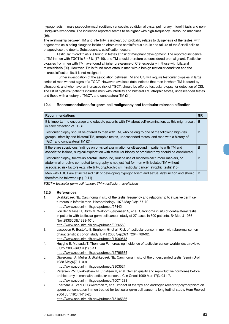hypogonadism, male pseudohermaphroditism, varicocele, epididymal cysts, pulmonary microlithiasis and non-Hodgkin's lymphoma. The incidence reported seems to be higher with high-frequency ultrasound machines (16).

The relationship between TM and infertility is unclear, but probably relates to dysgenesis of the testes, with degenerate cells being sloughed inside an obstructed seminiferous tubule and failure of the Sertoli cells to phagocytose the debris. Subsequently, calcification occurs.

Testicular microlithiasis is found in testes at risk of malignant development. The reported incidence of TM in men with TGCT is 6-46% (17-19), and TM should therefore be considered premalignant. Testicular biopsies from men with TM have found a higher prevalence of CIS, especially in those with bilateral microlithiasis (20). However, TM is found most often in men with a benign testicular condition and the microcalcification itself is not malignant.

Further investigation of the association between TM and CIS will require testicular biopsies in large series of men without signs of a TGCT. However, available data indicate that men in whom TM is found by ultrasound, and who have an increased risk of TGCT, should be offered testicular biopsy for detection of CIS. The list of high-risk patients includes men with infertility and bilateral TM, atrophic testes, undescended testes and those with a history of TGCT, and contralateral TM (21).

#### **12.4 Recommendations for germ cell malignancy and testicular microcalcification**

| <b>Recommendations</b>                                                                                                                                                                                                                                                                              | GR |
|-----------------------------------------------------------------------------------------------------------------------------------------------------------------------------------------------------------------------------------------------------------------------------------------------------|----|
| It is important to encourage and educate patients with TM about self-examination, as this might result<br>in early detection of TGCT.                                                                                                                                                               | B  |
| Testicular biopsy should be offered to men with TM, who belong to one of the following high-risk<br>groups: infertility and bilateral TM, atrophic testes, undescended testes, and men with a history of<br>TGCT and contralateral TM (21).                                                         | в  |
| If there are suspicious findings on physical examination or ultrasound in patients with TM and<br>associated lesions, surgical exploration with testicular biopsy or orchidectomy should be considered.                                                                                             | B  |
| Testicular biopsy, follow-up scrotal ultrasound, routine use of biochemical tumour markers, or<br>abdominal or pelvic computed tomography is not justified for men with isolated TM without<br>associated risk factors (e.g. infertility, cryptorchidism, testicular cancer, atrophic testis) (15). | B  |
| Men with TGCT are at increased risk of developing hypogonadism and sexual dysfunction and should<br>therefore be followed up (10,11).                                                                                                                                                               | B  |

*TGCT = testicular germ cell tumour; TM = testicular microlithiasis*

#### **12.5 References**

- 1. Skakkebaek NE. Carcinoma in situ of the testis: frequency and relationship to invasive germ cell tumours in infertile men. Histopathology 1978 May;2(3):157-70. http://www.ncbi.nlm.nih.gov/pubmed/27442
- 2. von der Maase H, Rørth M, Walbom-Jørgensen S, et al. Carcinoma in situ of contralateral testis in patients with testicular germ cell cancer: study of 27 cases in 500 patients. Br Med J 1986 Nov;293(6559):1398-401.
- http://www.ncbi.nlm.nih.gov/pubmed/3026550 3. Jacobsen R, Bostofte E, Engholm G, et al. Risk of testicular cancer in men with abnormal semen
- characteristics: cohort study. BMJ 2000 Sep;321(7264):789-92. http://www.ncbi.nlm.nih.gov/pubmed/11009515
- 4. Huyghe E, Matsuda T, Thonneau P. Increasing incidence of testicular cancer worldwide: a review. J Urol 2003 Jul;170(1):5-11. http://www.ncbi.nlm.nih.gov/pubmed/12796635
- 5. Giwercman A, Muller J, Skakkebaek NE. Carcinoma in situ of the undescended testis. Semin Urol 1988 May;6(2):110-9.
	- http://www.ncbi.nlm.nih.gov/pubmed/2903524
- 6. Petersen PM, Skakkebaek NE, Vistisen K, et al. Semen quality and reproductive hormones before orchiectomy in men with testicular cancer. J Clin Oncol 1999 Mar;17(3):941-7. http://www.ncbi.nlm.nih.gov/pubmed/10071288
- 7. Eberhard J, Stahl O, Giwercman Y, et al. Impact of therapy and androgen receptor polymorphism on sperm concentration in men treated for testicular germ cell cancer: a longitudinal study. Hum Reprod 2004 Jun;19(6):1418-25. http://www.ncbi.nlm.nih.gov/pubmed/15105386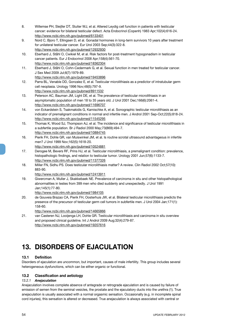- 8. Willemse PH, Sleijfer DT, Sluiter WJ, et al. Altered Leydig cell function in patients with testicular cancer: evidence for bilateral testicular defect. Acta Endocrinol (Copenh) 1983 Apr;102(4):616-24. http://www.ncbi.nlm.nih.gov/pubmed/6133401
- 9. Nord C, Bjoro T, Ellingsen D, et al. Gonadal hormones in long-term survivors 10 years after treatment for unilateral testicular cancer. Eur Urol 2003 Sep;44(3):322-8. http://www.ncbi.nlm.nih.gov/pubmed/12932930
- 10. Eberhard J, Ståhl O, Cwikiel M, et al. Risk factors for post-treatment hypogonadism in testicular cancer patients. Eur J Endocrinol 2008 Apr;158(4):561-70. http://www.ncbi.nlm.nih.gov/pubmed/18362304
- 11. Eberhard J, Ståhl O, Cohn-Cedermark G, et al. Sexual function in men treated for testicular cancer. J Sex Med 2009 Jul;6(7):1979-89. http://www.ncbi.nlm.nih.gov/pubmed/19453896
- 12. Parra BL, Venable DD, Gonzalez E, et al. Testicular microlithiasis as a predictor of intratubular germ cell neoplasia. Urology 1996 Nov;48(5):797-9. http://www.ncbi.nlm.nih.gov/pubmed/8911532
- 13. Peterson AC, Bauman JM, Light DE, et al. The prevalence of testicular microlithiasis in an asymptomatic population of men 18 to 35 years old. J Urol 2001 Dec;166(6):2061-4. http://www.ncbi.nlm.nih.gov/pubmed/11696707
- 14. von Eckardstein S, Tsakmakidis G, Kamischke A, et al. Sonographic testicular microlithiasis as an indicator of premalignant conditions in normal and infertile men. J Androl 2001 Sep-Oct;22(5):818-24. http://www.ncbi.nlm.nih.gov/pubmed/11545295
- 15. Thomas K, Wood SJ, Thompson AJ, et al. The incidence and significance of testicular microlithiasis in a subfertile population. Br J Radiol 2000 May;73(869):494-7. http://www.ncbi.nlm.nih.gov/pubmed/10884745
- 16. Pierik FH, Dohle GR, van Muiswinkel JM, et al. Is routine scrotal ultrasound advantageous in infertile men? J Urol 1999 Nov;162(5):1618-20.
- http://www.ncbi.nlm.nih.gov/pubmed/10524881
- 17. Derogee M, Bevers RF, Prins HJ, et al. Testicular microlithiasis, a premalignant condition: prevalence, histopathologic findings, and relation to testicular tumor. Urology 2001 Jun;57(6):1133-7. http://www.ncbi.nlm.nih.gov/pubmed/11377326
- 18. Miller FN, Sidhu PS. Does testicular microlithiasis matter? A review. Clin Radiol 2002 Oct;57(10): 883-90.

- 19. Giwercman A, Muller J, Skakkebaek NE. Prevalence of carcinoma in situ and other histopathological abnormalities in testes from 399 men who died suddenly and unexpectedly. J Urol 1991 Jan;145(1):77-80.
	- http://www.ncbi.nlm.nih.gov/pubmed/1984105
- 20. de Gouveia Brazao CA, Pierik FH, Oosterhuis JW, et al. Bilateral testicular microlithiasis predicts the presence of the precursor of testicular germ cell tumors in subfertile men. J Urol 2004 Jan;171(1): 158-60.
	- http://www.ncbi.nlm.nih.gov/pubmed/14665866
- 21. van Casteren NJ, Looijenga LH, Dohle GR. Testicular microlithiasis and carcinoma in situ overview and proposed clinical guideline. Int J Androl 2009 Aug;32(4):279-87. http://www.ncbi.nlm.nih.gov/pubmed/19207616

## **13. DISORDERS OF EJACULATION**

### **13.1 Definition**

Disorders of ejaculation are uncommon, but important, causes of male infertility. This group includes several heterogeneous dysfunctions, which can be either organic or functional.

#### **13.2 Classification and aetiology**

#### *13.2.1 Anejaculation*

Anejaculation involves complete absence of antegrade or retrograde ejaculation and is caused by failure of emission of semen from the seminal vesicles, the prostate and the ejaculatory ducts into the urethra (1). True anejaculation is usually associated with a normal orgasmic sensation. Occasionally (e.g. in incomplete spinal cord injuries), this sensation is altered or decreased. True anejaculation is always associated with central or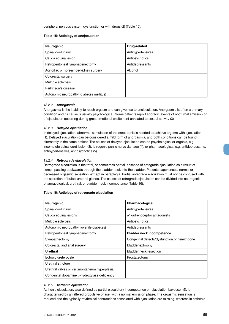peripheral nervous system dysfunction or with drugs (2) (Table 15).

#### **Table 15: Aetiology of anejaculation**

| <b>Neurogenic</b>                        | Drug-related      |
|------------------------------------------|-------------------|
| Spinal cord injury                       | Antihypertensives |
| Cauda equina lesion                      | Antipsychotics    |
| Retroperitoneal lymphadenectomy          | Antidepressants   |
| Aortoiliac or horseshoe-kidney surgery   | Alcohol           |
| Colorectal surgery                       |                   |
| Multiple sclerosis                       |                   |
| Parkinson's disease                      |                   |
| Autonomic neuropathy (diabetes mellitus) |                   |

#### *13.2.2 Anorgasmia*

Anorgasmia is the inability to reach orgasm and can give rise to anejaculation. Anorgasmia is often a primary condition and its cause is usually psychological. Some patients report sporadic events of nocturnal emission or of ejaculation occurring during great emotional excitement unrelated to sexual activity (3).

#### *13.2.3 Delayed ejaculation*

In delayed ejaculation, abnormal stimulation of the erect penis is needed to achieve orgasm with ejaculation (1). Delayed ejaculation can be considered a mild form of anorgasmia, and both conditions can be found alternately in the same patient. The causes of delayed ejaculation can be psychological or organic, e.g. incomplete spinal cord lesion (3), iatrogenic penile nerve damage (4), or pharmacological, e.g. antidepressants, antihypertensives, antipsychotics (5).

#### *13.2.4 Retrograde ejaculation*

Retrograde ejaculation is the total, or sometimes partial, absence of antegrade ejaculation as a result of semen passing backwards through the bladder neck into the bladder. Patients experience a normal or decreased orgasmic sensation, except in paraplegia. Partial antegrade ejaculation must not be confused with the secretion of bulbo-urethral glands. The causes of retrograde ejaculation can be divided into neurogenic, pharmacological, urethral, or bladder neck incompetence (Table 16).

#### **Table 16: Aetiology of retrograde ejaculation**

| Neurogenic                                          | Pharmacological                               |
|-----------------------------------------------------|-----------------------------------------------|
| Spinal cord injury                                  | Antihypertensives                             |
| Cauda equina lesions                                | $\alpha$ 1-adrenoceptor antagonists           |
| Multiple sclerosis                                  | Antipsychotics                                |
| Autonomic neuropathy (juvenile diabetes)            | Antidepressants                               |
| Retroperitoneal lymphadenectomy                     | <b>Bladder neck incompetence</b>              |
| Sympathectomy                                       | Congenital defects/dysfunction of hemitrigone |
| Colorectal and anal surgery                         | Bladder extrophy                              |
| Urethral                                            | Bladder neck resection                        |
| Ectopic ureterocele                                 | Prostatectomy                                 |
| Urethral stricture                                  |                                               |
| Urethral valves or verumontaneum hyperplasia        |                                               |
| Congenital dopamine $\beta$ -hydroxylase deficiency |                                               |

#### *13.2.5 Asthenic ejaculation*

Asthenic ejaculation, also defined as partial ejaculatory incompetence or 'ejaculation baveuse' (5), is characterised by an altered propulsive phase, with a normal emission phase. The orgasmic sensation is reduced and the typically rhythmical contractions associated with ejaculation are missing, whereas in asthenic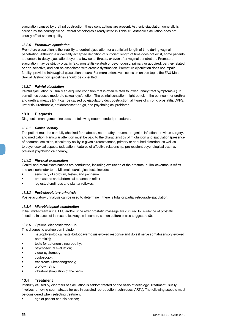ejaculation caused by urethral obstruction, these contractions are present. Asthenic ejaculation generally is caused by the neurogenic or urethral pathologies already listed in Table 16. Asthenic ejaculation does not usually affect semen quality.

#### *13.2.6 Premature ejaculation*

Premature ejaculation is the inability to control ejaculation for a sufficient length of time during vaginal penetration. Although a universally accepted definition of sufficient length of time does not exist, some patients are unable to delay ejaculation beyond a few coital thrusts, or even after vaginal penetration. Premature ejaculation may be strictly organic (e.g. prostatitis-related) or psychogenic, primary or acquired, partner-related or non-selective, and can be associated with erectile dysfunction. Premature ejaculation does not impair fertility, provided intravaginal ejaculation occurs. For more extensive discussion on this topic, the EAU Male Sexual Dysfunction guidelines should be consulted.

#### *13.2.7 Painful ejaculation*

Painful ejaculation is usually an acquired condition that is often related to lower urinary tract symptoms (6). It sometimes causes moderate sexual dysfunction. The painful sensation might be felt in the perineum, or urethra and urethral meatus (7). It can be caused by ejaculatory duct obstruction, all types of chronic prostatitis/CPPS, urethritis, urethrocele, antidepressant drugs, and psychological problems.

#### **13.3 Diagnosis**

Diagnostic management includes the following recommended procedures.

#### *13.3.1 Clinical history*

The patient must be carefully checked for diabetes, neuropathy, trauma, urogenital infection, previous surgery, and medication. Particular attention must be paid to the characteristics of micturition and ejaculation (presence of nocturnal emission, ejaculatory ability in given circumstances, primary or acquired disorder), as well as to psychosexual aspects (education, features of affective relationship, pre-existent psychological trauma, previous psychological therapy).

#### *13.3.2 Physical examination*

Genital and rectal examinations are conducted, including evaluation of the prostate, bulbo-cavernosus reflex and anal sphincter tone. Minimal neurological tests include:

- sensitivity of scrotum, testes, and perineum
- cremasteric and abdominal cutaneous reflex
- leg osteotendinous and plantar reflexes.

#### *13.3.3 Post-ejaculatory urinalysis*

Post-ejaculatory urinalysis can be used to determine if there is total or partial retrograde ejaculation.

#### *13.3.4 Microbiological examination*

Initial, mid-stream urine, EPS and/or urine after prostatic massage are cultured for evidence of prostatic infection. In cases of increased leukocytes in semen, semen culture is also suggested (8).

#### 13.3.5 Optional diagnostic work-up

This diagnostic workup can include:

- • neurophysiological tests (bulbocavernosus evoked response and dorsal nerve somatosensory evoked potentials);
- tests for autonomic neuropathy:
- psychosexual evaluation:
- video-cystometry;
- cystoscopy;
- transrectal ultrasonography;
- uroflowmetry:
- vibratory stimulation of the penis.

#### **13.4 Treatment**

Infertility caused by disorders of ejaculation is seldom treated on the basis of aetiology. Treatment usually involves retrieving spermatozoa for use in assisted reproduction techniques (ARTs). The following aspects must be considered when selecting treatment:

age of patient and his partner;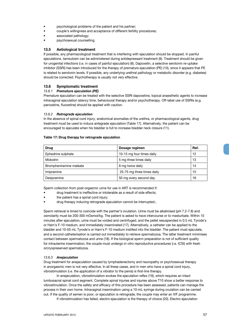- psychological problems of the patient and his partner;
- • couple's willingness and acceptance of different fertility procedures;
- associated pathology;
- psychosexual counselling.

#### **13.5 Aetiological treatment**

If possible, any pharmacological treatment that is interfering with ejaculation should be stopped. In painful ejaculations, tamsulosin can be administered during antidepressant treatment (9). Treatment should be given for urogenital infections (i.e. in cases of painful ejaculation) (8). Dapoxetin, a selective serotonin re-uptake inhibitor (SSRI) has been introduced for the therapy of premature ejaculation (PE) (10), since it appears that PE is related to serotonin levels. If possible, any underlying urethral pathology or metabolic disorder (e.g. diabetes) should be corrected. Psychotherapy is usually not very effective.

#### **13.6 Symptomatic treatment**

#### *13.6.1 Premature ejaculation (PE)*

Premature ejaculation can be treated with the selective SSRI dapoxetine, topical anaesthetic agents to increase intravaginal ejaculation latency time, behavioural therapy and/or psychotherapy. Off-label use of SSRIs (e.g. paroxetine, fluoxetine) should be applied with caution.

#### *13.6.2 Retrograde ejaculation*

In the absence of spinal cord injury, anatomical anomalies of the urethra, or pharmacological agents, drug treatment must be used to induce antegrade ejaculation (Table 17). Alternatively, the patient can be encouraged to ejaculate when his bladder is full to increase bladder neck closure (11).

#### **Table 17: Drug therapy for retrograde ejaculation**

| Drug                    | Dosage regimen             | Ref. |
|-------------------------|----------------------------|------|
| Ephedrine sulphate      | 10-15 mg four times daily  | 12   |
| <b>Midodrin</b>         | 5 mg three times daily     | 13   |
| Brompheniramine maleate | 8 mg twice daily           | 14   |
| Imipramine              | 25-75 mg three times daily | 15   |
| Desipramine             | 50 mg every second day     | 16   |

Sperm collection from post-orgasmic urine for use in ART is recommended if:

- drug treatment is ineffective or intolerable as a result of side effects;
- the patient has a spinal cord injury;
- drug therapy inducing retrograde ejaculation cannot be interrupted.;

Sperm retrieval is timed to coincide with the partner's ovulation. Urine must be alkalinised (pH 7.2-7.8) and osmolarity must be 200-300 mOsmol/kg. The patient is asked to have intercourse or to masturbate. Within 10 minutes after ejaculation, urine must be voided and centrifuged, and the pellet resuspended in 0.5 mL Tyrode's or Ham's F-10 medium, and immediately inseminated (17). Alternatively, a catheter can be applied to the bladder and 10-50 mL Tyrode's or Ham's F-10 medium instilled into the bladder. The patient must ejaculate, and a second catheterisation is carried out immediately to retrieve spermatozoa. The latter treatment minimises contact between spermatozoa and urine (18). If the biological sperm preparation is not of sufficient quality for intrauterine insemination, the couple must undergo *in vitro* reproductive procedures (i.e. ICSI) with fresh orcryopreserved spermatozoa.

#### *13.6.3 Anejaculation*

Drug treatment for anejaculation caused by lymphadenectomy and neuropathy or psychosexual therapy in anorgasmic men is not very effective. In all these cases, and in men who have a spinal cord injury, vibrostimulation (i.e. the application of a vibrator to the penis) is first-line therapy.

In anejaculation, vibrostimulation evokes the ejaculation reflex (19), which requires an intact lumbosacral spinal cord segment. Complete spinal injuries and injuries above T10 show a better response to vibrostimulation. Once the safety and efficacy of this procedure has been assessed, patients can manage the process in their own home. Intravaginal insemination using a 10-mL syringe during ovulation can be carried out. If the quality of semen is poor, or ejaculation is retrograde, the couple may enter an IVF programme.

If vibrostimulation has failed, electro-ejaculation is the therapy of choice (20). Electro-ejaculation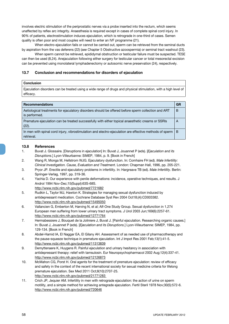involves electric stimulation of the periprostatic nerves via a probe inserted into the rectum, which seems unaffected by reflex arc integrity. Anaesthesia is required except in cases of complete spinal cord injury. In 90% of patients, electrostimulation induces ejaculation, which is retrograde in one-third of cases. Semen quality is often poor and most couples will need to enter an IVF programme (21).

When electro-ejaculation fails or cannot be carried out, sperm can be retrieved from the seminal ducts by aspiration from the vas deferens (22) (*see* Chapter 5 Obstructive azoospermia) or seminal tract washout (23).

When sperm cannot be retrieved, epididymal obstruction or testicular failure must be suspected. TESE can then be used (8,24). Anejaculation following either surgery for testicular cancer or total mesorectal excision can be prevented using monolateral lymphadenectomy or autosomic nerve preservation (24), respectively.

#### **13.7 Conclusion and recommendations for disorders of ejaculation**

#### **Conclusion**

Ejaculation disorders can be treated using a wide range of drugs and physical stimulation, with a high level of efficacy.

| <b>Recommendations</b>                                                                                                | <b>GR</b> |
|-----------------------------------------------------------------------------------------------------------------------|-----------|
| Aetiological treatments for ejaculatory disorders should be offered before sperm collection and ART<br>is performed.  | B         |
| Premature ejaculation can be treated successfully with either topical anaesthetic creams or SSRIs<br>$(22)$ .         | A         |
| In men with spinal cord injury, vibrostimulation and electro-ejaculation are effective methods of sperm<br>retrieval. | B         |

#### **13.8 References**

- 1. Buvat J. Glossaire. [Disruptions in ejaculation] In: Buvat J, Jouannet P (eds). [*Ejaculation and its Disruptions*.] Lyon-Villeurbanne: SIMEP, 1984, p. 9. [Book in French]
- 2. Wang R, Monga M, Hellstrom WJG. Ejaculatory dysfunction. In: Comhaire FH (ed). *Male Infertility: Clinical Investigation. Cause, Evaluation and Treatment*. London: Chapman Hall, 1996, pp. 205-221.
- 3. Pryor JP. Erectile and ejaculatory problems in infertility. In: Hargreave TB (ed). *Male Infertility*. Berlin: Springer-Verlag, 1997, pp. 319-36.
- 4. Yachia D. Our experience with penile deformations: incidence, operative techniques, and results. J Androl 1994 Nov-Dec;15(Suppl):63S-68S.
- http://www.ncbi.nlm.nih.gov/pubmed/7721682
- 5. Rudkin L, Taylor MJ, Hawton K. Strategies for managing sexual dysfunction induced by antidepressant medication. Cochrane Database Syst Rev 2004 Oct18;(4):CD003382. http://www.ncbi.nlm.nih.gov/pubmed/15495050
- 6. Vallancien G, Emberton M, Harving N, et al; Alf-One Study Group. Sexual dysfunction in 1,274 European men suffering from lower urinary tract symptoms. J Urol 2003 Jun;169(6):2257-61. http://www.ncbi.nlm.nih.gov/pubmed/12771764
- 7. Hermabessiere J, Bouquet de la Joliniere J, Buvat J. [Painful ejaculation. Researching organic causes.] In: Buvat J, Jouannet P (eds). [*Ejaculation and its Disruptions*.] Lyon-Villeurbanne: SIMEP, 1984, pp. 129-134. [Book in French]
- 8. Abdel-Hamid IA, El Naggar EA, El Gilany AH. Assessment of as needed use of pharmacotherapy and the pause-squeeze technique in premature ejaculation. Int J Impot Res 2001 Feb;13(1):41-5. http://www.ncbi.nlm.nih.gov/pubmed/11313839
- 9. Demyttenaere K, Huygens R. Painful ejaculation and urinary hesitancy in association with antidepressant therapy: relief with tamsulosin. Eur Neuropsychopharmacol 2002 Aug;12(4):337-41. http://www.ncbi.nlm.nih.gov/pubmed/12126873
- 10. McMahon CG, Porst H. Oral agents for the treatment of premature ejaculation: review of efficacy and safety in the context of the recent international society for sexual medicine criteria for lifelong premature ejaculation. Sex Med 2011 Oct;8(10):2707-25. http://www.ncbi.nlm.nih.gov/pubmed/21771283
- 11. Crich JP, Jequier AM. Infertility in men with retrograde ejaculation: the action of urine on sperm motility, and a simple method for achieving antegrade ejaculation. Fertil Steril 1978 Nov;30(5):572-6. http://www.ncbi.nlm.nih.gov/pubmed/720646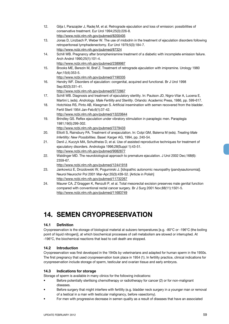- 12. Gilja I, Parazajder J, Radej M, et al. Retrograde ejaculation and loss of emission: possibilities of conservative treatment. Eur Urol 1994;25(3):226-8. http://www.ncbi.nlm.nih.gov/pubmed/8200405
- 13. Jonas D, Linzbach P, Weber W. The use of midodrin in the treatment of ejaculation disorders following retroperitoneal lymphadenectomy. Eur Urol 1979;5(3):184-7. http://www.ncbi.nlm.nih.gov/pubmed/87324
- 14. Schill WB. Pregnancy after brompheniramine treatment of a diabetic with incomplete emission failure. Arch Androl 1990;25(1):101-4. http://www.ncbi.nlm.nih.gov/pubmed/2389987
- 15. Brooks ME, Berezin M, Braf Z. Treatment of retrograde ejaculation with imipramine. Urology 1980 Apr;15(4):353-5.
- http://www.ncbi.nlm.nih.gov/pubmed/7190335 16. Hendry WF. Disorders of ejaculation: congenital, acquired and functional. Br J Urol 1998 Sep;82(3):331-41.

- 17. Schill WB. Diagnosis and treatment of ejaculatory sterility. In: Paulson JD, Nigro-Vilar A, Lucena E, Martini L (eds). *Andrology. Male Fertility and Sterility*. Orlando: Academic Press, 1986, pp. 599-617.
- 18. Hotchkiss RS, Pinto AB, Kleegman S. Artificial insemination with semen recovered from the bladder. Fertil Steril 1954 Jan-Feb;6(1):37-42.
	- http://www.ncbi.nlm.nih.gov/pubmed/13220644
- 19. Brindley GS. Reflex ejaculation under vibratory stimulation in paraplegic men. Paraplegia 1981;19(5):299-302.
- http://www.ncbi.nlm.nih.gov/pubmed/7279433 20. Elliott S, Rainsbury PA. Treatment of anejaculation. In: Colpi GM, Balerna M (eds). *Treating Male Infertility: New Possibilities*. Basel: Karger AG, 1994, pp. 240-54.
- 21. Denil J, Kuczyk MA, Schultheiss D, et al. Use of assisted reproductive techniques for treatment of ejaculatory disorders. Andrologia 1996;28(Suppl 1):43-51. http://www.ncbi.nlm.nih.gov/pubmed/9082877
- 22. Waldinger MD. The neurobiological approach to premature ejaculation. J Urol 2002 Dec;168(6): 2359-67.
	- http://www.ncbi.nlm.nih.gov/pubmed/12441918
- 23. Jankowicz E, Drozdowski W, Pogumirski J. [Idiopathic autonomic neuropathy (pandysautonomia)]. Neurol Neurochir Pol 2001 Mar-Apr;35(3):439-52. [Article in Polish] http://www.ncbi.nlm.nih.gov/pubmed/11732267
- 24. Maurer CA, Z'Graggen K, Renzulli P, et al. Total mesorectal excision preserves male genital function compared with conventional rectal cancer surgery. Br J Surg 2001 Nov;88(11):1501-5. http://www.ncbi.nlm.nih.gov/pubmed/11683749

## **14. SEMEN CRYOPRESERVATION**

#### **14.1 Definition**

Cryopreservation is the storage of biological material at subzero temperatures [e.g. -80°C or -196°C (the boiling point of liquid nitrogen)], at which biochemical processes of cell metabolism are slowed or interrupted. At -196°C, the biochemical reactions that lead to cell death are stopped.

#### **14.2 Introduction**

Cryopreservation was first developed in the 1940s by veterinarians and adapted for human sperm in the 1950s. The first pregnancy that used cryopreservation took place in 1954 (1). In fertility practice, clinical indications for cryopreservation include storage of sperm, testicular and ovarian tissue and early embryos.

#### **14.3 Indications for storage**

Storage of sperm is available in many clinics for the following indications:

- Before potentially sterilising chemotherapy or radiotherapy for cancer (2) or for non-malignant diseases.
- Before surgery that might interfere with fertility (e.g. bladder neck surgery in a younger man or removal of a testical in a man with testicular malignancy, before vasectomy).
- For men with progressive decrease in semen quality as a result of diseases that have an associated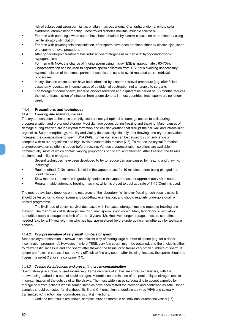risk of subsequent azoospermia (i.e. pituitary macroadenoma, Craniopharyngioma, empty sella syndrome, chronic nephropathy, uncontrolled diabetes mellitus, multiple sclerosis).

- For men with paraplegia when sperm have been obtained by electro-ejaculation or obtained by using penile vibratory stimulation.
- For men with psychogenic anejaculation, after sperm have been obtained either by electro-ejaculation or a sperm retrieval procedure.
- After gonadotrophin treatment has induced spermatogenesis in men with hypogonadotrophic hypogonadism.
- For men with NOA, the chance of finding sperm using micro-TESE is approximately 60-70%. Cryopreservation can be used to separate sperm collection from ICSI, thus avoiding unnecessary hyperstimulation of the female partner. It can also be used to avoid repeated sperm retrieval procedures.
- In any situation where sperm have been obtained by a sperm retrieval procedure (e.g. after failed vasectomy reversal, or in some cases of epididymal obstruction not amenable to surgery).
- For storage of donor sperm, because cryopreservation and a quarantine period of 3-6 months reduces the risk of transmission of infection from sperm donors; in most countries, fresh sperm are no longer used.

#### **14.4 Precautions and techniques**

#### *14.4.1 Freezing and thawing process*

The cryopreservation techniques currently used are not yet optimal as damage occurs to cells during cryopreservation and prolonged storage. Most damage occurs during freezing and thawing. Major causes of damage during freezing are ice crystal formation and cell dehydration that disrupt the cell wall and intracellular organelles. Sperm morphology, motility and vitality decrease significantly after thawing, and cryopreservation increases the damage done to sperm DNA (3-6). Further damage can be caused by contamination of samples with micro-organisms and high levels of superoxide radicals (7,8). To reduce ice crystal formation, a cryopreservation solution is added before freezing. Various cryopreservation solutions are available commercially, most of which contain varying proportions of glycerol and albumen. After freezing, the tissues are immersed in liquid nitrogen.

 Several techniques have been developed to try to reduce damage caused by freezing and thawing, including:

- Rapid method (9,10): sample is held in the vapour phase for 10 minutes before being plunged into liquid nitrogen.
- Slow method (11): sample is gradually cooled in the vapour phase for approximately 40 minutes.
- Programmable automatic freezing machine, which is preset to cool at a rate of  $1-10^{\circ}$ C/min, is used.

The method available depends on the resources of the laboratory. Whichever freezing technique is used, it should be tested using donor sperm and post-thaw examination, and should regularly undergo a qualitycontrol programme.

The likelihood of sperm survival decreases with increased storage time and repeated freezing and thawing. The maximum viable storage time for human sperm is not known. Many laboratory or regulatory authorities apply a storage time limit of up to 10 years (12). However, longer storage times are sometimes needed (e.g. for a 17-year-old man who has had sperm stored before undergoing chemotherapy for testicular cancer).

#### *14.4.2 Cryopreservation of very small numbers of sperm*

Standard cryopreservation in straws is an efficient way of storing large number of sperm (e.g. for a donor insemination programme). However, in micro-TESE, very few sperm might be obtained, and the choice is either to freeze testicular tissue and find sperm after thawing the tissue, or to freeze very small numbers of sperm. If sperm are frozen in straws, it can be very difficult to find any sperm after thawing. Instead, the sperm should be frozen in a pellet (13) or in a container (14).

#### *14.4.3 Testing for infections and preventing cross-contamination*

Sperm storage in straws is used extensively. Large numbers of straws are stored in canisters, with the straws being bathed in a pool of liquid nitrogen. Microbial contamination of the pool of liquid nitrogen results in contamination of the outside of all the straws. The most widely used safeguard is to accept samples for storage only from patients whose semen samples have been tested for infection and confirmed as safe. Donor samples should be tested for viral (hepatitis B and C, human immunodeficiency virus [HIV]) and sexually transmitted (*C. trachomatis*, gonorrhoea, syphilis) infections.

Until the test results are known, samples must be stored in an individual quarantine vessel (15)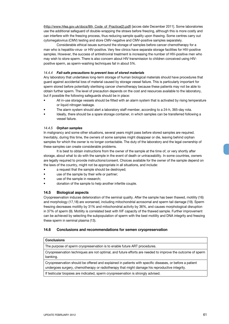(http://www.hfea.gov.uk/docs/8th\_Code\_of\_Practice(2).pdf) [acces date December 2011]. Some laboratories use the additional safeguard of double-wrapping the straws before freezing, although this is more costly and can interfere with the freezing process, thus reducing sample quality upon thawing. Some centres carry out cytomegalovirus (CMV) testing and store CMV-negative and CMV-positive samples separately.

Considerable ethical issues surround the storage of samples before cancer chemotherapy for a man who is hepatitis-virus- or HIV-positive. Very few clinics have separate storage facilities for HIV-positive samples. However, the success of antiretroviral treatment is increasing the number of HIV-positive men who may wish to store sperm. There is also concern about HIV transmission to children conceived using HIVpositive sperm, as sperm-washing techniques fail in about 5%.

#### *14.4.4 Fail-safe precautions to prevent loss of stored materials*

Any laboratory that undertakes long-term storage of human biological materials should have procedures that guard against accidental loss of material caused by storage vessel failure. This is particularly important for sperm stored before potentially sterilising cancer chemotherapy because these patients may not be able to obtain further sperm. The level of precaution depends on the cost and resources available to the laboratory, but if possible the following safeguards should be in place:

- All in-use storage vessels should be fitted with an alarm system that is activated by rising temperature or liquid nitrogen leakage.
- The alarm system should alert a laboratory staff member, according to a 24-h, 365-day rota.
- Ideally, there should be a spare storage container, in which samples can be transferred following a vessel failure.

#### *14.4.5 Orphan samples*

In malignancy and some other situations, several years might pass before stored samples are required. Inevitably, during this time, the owners of some samples might disappear or die, leaving behind orphan samples for which the owner is no longer contactable. The duty of the laboratory and the legal ownership of these samples can create considerable problems.

It is best to obtain instructions from the owner of the sample at the time of, or very shortly after storage, about what to do with the sample in the event of death or untraceability. In some countries, owners are legally required to provide instructions/consent. Choices available for the owner of the sample depend on the laws of the country, might not be appropriate in all situations, and include:

- a request that the sample should be destroyed;
- use of the sample by their wife or partner;
- use of the sample in research;
- donation of the sample to help another infertile couple.

#### **14.5 Biological aspects**

Cryopreservation induces deterioration of the seminal quality. After the sample has been thawed, motility (16) and morphology (17,18) are worsened, including mitochondrial acrosomal and sperm tail damage (19). Sperm freezing decreases motility by 31% and mitochondrial activity by 36%, and causes morphological disruption in 37% of sperm (9). Motility is correlated best with IVF capacity of the thawed sample. Further improvement can be achieved by selecting the subpopulation of sperm with the best motility and DNA integrity and freezing these sperm in seminal plasma (13).

#### **14.6 Conclusions and recommendations for semen cryopreservation**

#### **Conclusions**

The purpose of sperm cryopreservation is to enable future ART procedures.

Cryopreservation techniques are not optimal, and future efforts are needed to improve the outcome of sperm banking.

Cryopreservation should be offered and explained in patients with specific diseases, or before a patient undergoes surgery, chemotherapy or radiotherapy that might damage his reproductive integrity.

If testicular biopsies are indicated, sperm cryopreservation is strongly advised.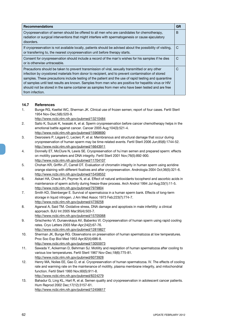| <b>Recommendations</b>                                                                                                                                                                                                                                                                                                                                                                                                                                                                                                                        | <b>GR</b> |
|-----------------------------------------------------------------------------------------------------------------------------------------------------------------------------------------------------------------------------------------------------------------------------------------------------------------------------------------------------------------------------------------------------------------------------------------------------------------------------------------------------------------------------------------------|-----------|
| Cryopreservation of semen should be offered to all men who are candidates for chemotherapy,<br>radiation or surgical interventions that might interfere with spermatogenesis or cause ejaculatory<br>disorders.                                                                                                                                                                                                                                                                                                                               | B         |
| If cryopreservation is not available locally, patients should be advised about the possibility of visiting,<br>or transferring to, the nearest cryopreservation unit before therapy starts.                                                                                                                                                                                                                                                                                                                                                   | C         |
| Consent for cryopreservation should include a record of the man's wishes for his samples if he dies<br>or is otherwise untraceable.                                                                                                                                                                                                                                                                                                                                                                                                           | C         |
| Precautions should be taken to prevent transmission of viral, sexually transmitted or any other<br>infection by cryostored materials from donor to recipient, and to prevent contamination of stored<br>samples. These precautions include testing of the patient and the use of rapid testing and quarantine<br>of samples until test results are known. Samples from men who are positive for hepatitis virus or HIV<br>should not be stored in the same container as samples from men who have been tested and are free<br>from infection. | C         |

#### **14.7 References**

1. Bunge RG, Keettel WC, Sherman JK. Clinical use of frozen semen; report of four cases. Fertil Steril 1954 Nov-Dec;5(6):520-9.

- 2. Saito K, Suzuki K, Iwasaki A, et al. Sperm cryopreservation before cancer chemotherapy helps in the emotional battle against cancer. Cancer 2005 Aug;104(3):521-4. http://www.ncbi.nlm.nih.gov/pubmed/15968690
- 3. Desrosiers P, Légaré C, Leclerc P, et al. Membranous and structural damage that occur during cryopreservation of human sperm may be time-related events. Fertil Steril 2006 Jun;85(6):1744-52. http://www.ncbi.nlm.nih.gov/pubmed/16643911
- 4. Donnelly ET, McClure N, Lewis SE. Cryopreservation of hu`man semen and prepared sperm: effects on motility parameters and DNA integrity. Fertil Steril 2001 Nov;76(5):892-900. http://www.ncbi.nlm.nih.gov/pubmed/11704107
- 5. Chohan KR, Griffin JT, Carrell DT. Evaluation of chromatin integrity in human sperm using acridine orange staining with different fixatives and after cryopreservation. Andrologia 2004 Oct;36(5):321-6. http://www.ncbi.nlm.nih.gov/pubmed/15458552
- 6. Askari HA, Check JH, Peymer N, et al. Effect of natural antioxidants tocopherol and ascorbic acids in maintenance of sperm activity during freeze-thaw process. Arch Androl 1994 Jul-Aug;33(1):11-5. http://www.ncbi.nlm.nih.gov/pubmed/7979804
- 7. Smith KD, Steinberger E. Survival of spermatozoa in a human sperm bank. Effects of long-term storage in liquid nitrogen. J Am Med Assoc 1973 Feb;223(7):774-7. http://www.ncbi.nlm.nih.gov/pubmed/4739258
- 8. Agarwal A, Said TM. Oxidative stress, DNA damage and apoptosis in male infertility: a clinical approach. BJU Int 2005 Mar;95(4):503-7.
- http://www.ncbi.nlm.nih.gov/pubmed/15705068
- 9. Grischenko VI, Dunaevskaya AV, Babenko VI. Cryopreservation of human sperm using rapid cooling rates. Cryo Letters 2003 Mar-Apr;24(2):67-76.
- http://www.ncbi.nlm.nih.gov/pubmed/12819827 10. Sherman JK, Bunge RG. Observations on preservation of human spermatozoa at low temperatures. Proc Soc Exp Biol Med 1953 Apr;82(4):686-8.
- http://www.ncbi.nlm.nih.gov/pubmed/13055973
- 11. Sawada Y, Ackerman D, Behrman SJ. Motility and respiration of human spermatozoa after cooling to various low temperatures. Fertil Steril 1967 Nov-Dec;18(6):775-81. http://www.ncbi.nlm.nih.gov/pubmed/6073928
- 12. Henry MA, Noiles EE, Gao D, et al. Cryopreservation of human spermatozoa. IV. The effects of cooling rate and warming rate on the maintenance of motility, plasma membrane integrity, and mitochondrial function. Fertil Steril 1993 Nov;60(5):911-8. http://www.ncbi.nlm.nih.gov/pubmed/8224279
- 13. Bahadur G, Ling KL, Hart R, et al. Semen quality and cryopreservation in adolescent cancer patients. Hum Reprod 2002 Dec;17(12):3157-61. http://www.ncbi.nlm.nih.gov/pubmed/12456617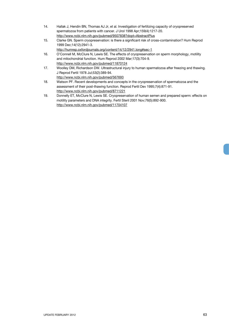- 14. Hallak J, Hendin BN, Thomas AJ Jr, et al. Investigation of fertilizing capacity of cryopreserved spermatozoa from patients with cancer. J Urol 1998 Apr;159(4):1217-20. http://www.ncbi.nlm.nih.gov/pubmed/9507838?dopt=AbstractPlus
- 15. Clarke GN. Sperm cryopreservation: is there a significant risk of cross-contamination? Hum Reprod 1999 Dec;14(12):2941-3.

http://humrep.oxfordjournals.org/content/14/12/2941.long#sec-1

- 16. O'Connell M, McClure N, Lewis SE. The effects of cryopreservation on sperm morphology, motility and mitochondrial function. Hum Reprod 2002 Mar;17(3):704-9. http://www.ncbi.nlm.nih.gov/pubmed/11870124
- 17. Woolley DM, Richardson DW. Ultrastructural injury to human spermatozoa after freezing and thawing. J Reprod Fertil 1978 Jul;53(2):389-94. http://www.ncbi.nlm.nih.gov/pubmed/567693
- 18. Watson PF. Recent developments and concepts in the cryopreservation of spermatozoa and the assessment of their post-thawing function. Reprod Fertil Dev 1995;7(4):871-91. http://www.ncbi.nlm.nih.gov/pubmed/8711221
- 19. Donnelly ET, McClure N, Lewis SE. Cryopreservation of human semen and prepared sperm: effects on motility parameters and DNA integrity. Fertil Steril 2001 Nov;76(5):892-900. http://www.ncbi.nlm.nih.gov/pubmed/11704107